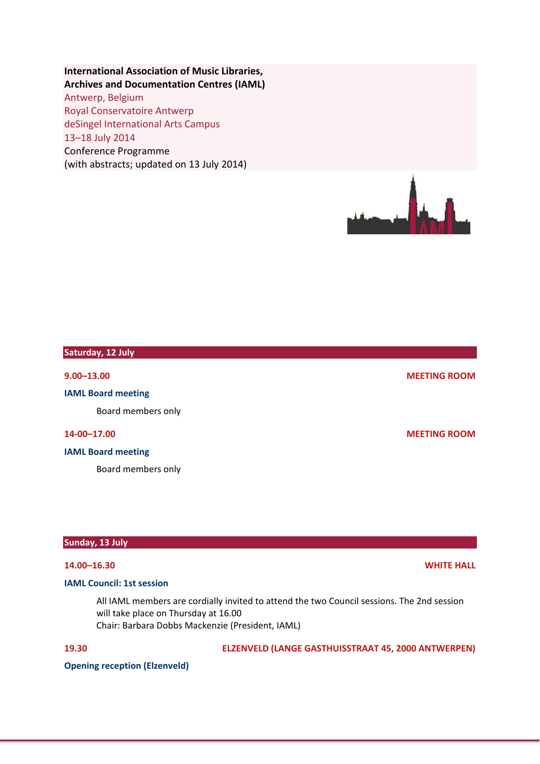## **International Association of Music Libraries, Archives and Documentation Centres (IAML)**

Antwerp, Belgium Royal Conservatoire Antwerp deSingel International Arts Campus 13–18 July 2014 Conference Programme (with abstracts; updated on 13 July 2014)



# **Saturday, 12 July 9.00–13.00 MEETING ROOM IAML Board meeting** Board members only **14‐00–17.00 MEETING ROOM**

**IAML Board meeting**

Board members only

**Sunday, 13 July**

## **14.00–16.30 WHITE HALL**

## **IAML Council: 1st session**

All IAML members are cordially invited to attend the two Council sessions. The 2nd session will take place on Thursday at 16.00 Chair: Barbara Dobbs Mackenzie (President, IAML)

**19.30 ELZENVELD (LANGE GASTHUISSTRAAT 45, 2000 ANTWERPEN)**

**Opening reception (Elzenveld)**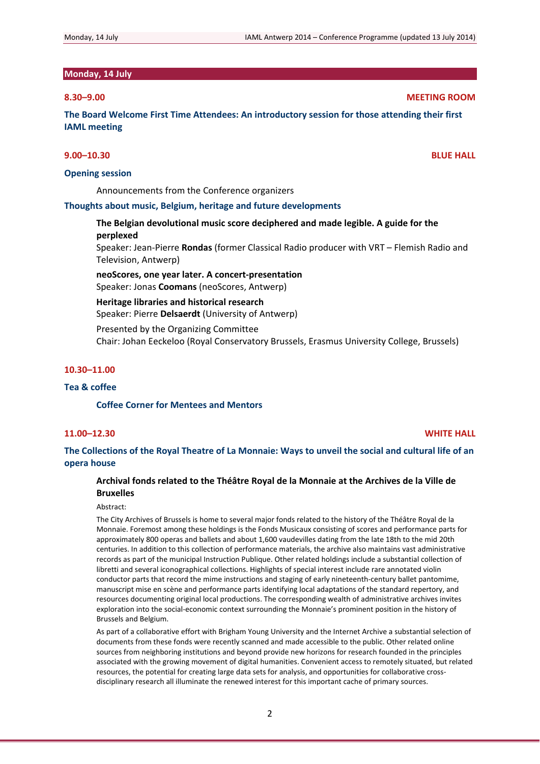## **Monday, 14 July**

**The Board Welcome First Time Attendees: An introductory session for those attending their first IAML meeting**

## **9.00–10.30 BLUE HALL**

### **Opening session**

Announcements from the Conference organizers

## **Thoughts about music, Belgium, heritage and future developments**

**The Belgian devolutional music score deciphered and made legible. A guide for the perplexed** Speaker: Jean‐Pierre **Rondas** (former Classical Radio producer with VRT – Flemish Radio and

Television, Antwerp) **neoScores, one year later. A concert‐presentation** Speaker: Jonas **Coomans** (neoScores, Antwerp)

**Heritage libraries and historical research**

Speaker: Pierre **Delsaerdt** (University of Antwerp)

Presented by the Organizing Committee

Chair: Johan Eeckeloo (Royal Conservatory Brussels, Erasmus University College, Brussels)

### **10.30–11.00**

## **Tea & coffee**

#### **Coffee Corner for Mentees and Mentors**

## **11.00–12.30 WHITE HALL**

The Collections of the Royal Theatre of La Monnaie: Ways to unveil the social and cultural life of an **opera house**

## **Archival fonds related to the Théâtre Royal de la Monnaie at the Archives de la Ville de Bruxelles**

#### Abstract:

The City Archives of Brussels is home to several major fonds related to the history of the Théâtre Royal de la Monnaie. Foremost among these holdings is the Fonds Musicaux consisting of scores and performance parts for approximately 800 operas and ballets and about 1,600 vaudevilles dating from the late 18th to the mid 20th centuries. In addition to this collection of performance materials, the archive also maintains vast administrative records as part of the municipal Instruction Publique. Other related holdings include a substantial collection of libretti and several iconographical collections. Highlights of special interest include rare annotated violin conductor parts that record the mime instructions and staging of early nineteenth-century ballet pantomime, manuscript mise en scène and performance parts identifying local adaptations of the standard repertory, and resources documenting original local productions. The corresponding wealth of administrative archives invites exploration into the social‐economic context surrounding the Monnaie's prominent position in the history of Brussels and Belgium.

As part of a collaborative effort with Brigham Young University and the Internet Archive a substantial selection of documents from these fonds were recently scanned and made accessible to the public. Other related online sources from neighboring institutions and beyond provide new horizons for research founded in the principles associated with the growing movement of digital humanities. Convenient access to remotely situated, but related resources, the potential for creating large data sets for analysis, and opportunities for collaborative cross‐ disciplinary research all illuminate the renewed interest for this important cache of primary sources.

## **8.30–9.00 MEETING ROOM**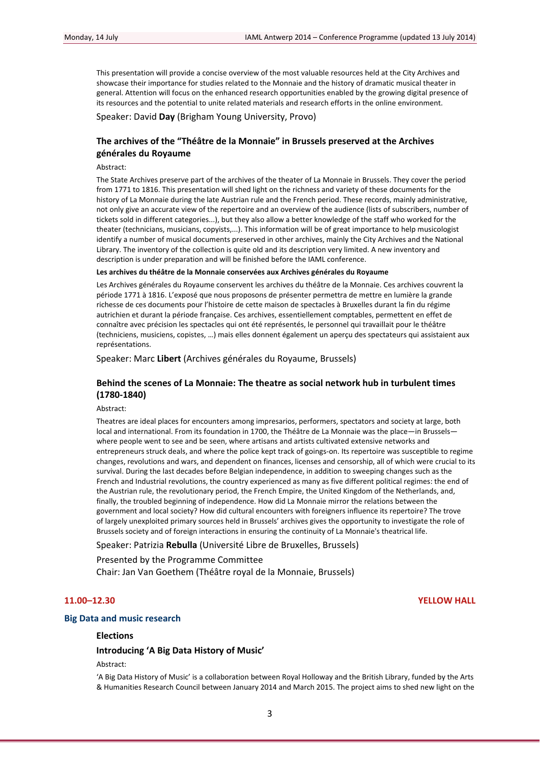This presentation will provide a concise overview of the most valuable resources held at the City Archives and showcase their importance for studies related to the Monnaie and the history of dramatic musical theater in general. Attention will focus on the enhanced research opportunities enabled by the growing digital presence of its resources and the potential to unite related materials and research efforts in the online environment.

Speaker: David **Day** (Brigham Young University, Provo)

## **The archives of the "Théâtre de la Monnaie" in Brussels preserved at the Archives générales du Royaume**

Abstract:

The State Archives preserve part of the archives of the theater of La Monnaie in Brussels. They cover the period from 1771 to 1816. This presentation will shed light on the richness and variety of these documents for the history of La Monnaie during the late Austrian rule and the French period. These records, mainly administrative, not only give an accurate view of the repertoire and an overview of the audience (lists of subscribers, number of tickets sold in different categories...), but they also allow a better knowledge of the staff who worked for the theater (technicians, musicians, copyists,...). This information will be of great importance to help musicologist identify a number of musical documents preserved in other archives, mainly the City Archives and the National Library. The inventory of the collection is quite old and its description very limited. A new inventory and description is under preparation and will be finished before the IAML conference.

#### **Les archives du théâtre de la Monnaie conservées aux Archives générales du Royaume**

Les Archives générales du Royaume conservent les archives du théâtre de la Monnaie. Ces archives couvrent la période 1771 à 1816. L'exposé que nous proposons de présenter permettra de mettre en lumière la grande richesse de ces documents pour l'histoire de cette maison de spectacles à Bruxelles durant la fin du régime autrichien et durant la période française. Ces archives, essentiellement comptables, permettent en effet de connaître avec précision les spectacles qui ont été représentés, le personnel qui travaillait pour le théâtre (techniciens, musiciens, copistes, …) mais elles donnent également un aperçu des spectateurs qui assistaient aux représentations.

Speaker: Marc **Libert** (Archives générales du Royaume, Brussels)

## **Behind the scenes of La Monnaie: The theatre as social network hub in turbulent times (1780‐1840)**

Abstract:

Theatres are ideal places for encounters among impresarios, performers, spectators and society at large, both local and international. From its foundation in 1700, the Théâtre de La Monnaie was the place—in Brussels where people went to see and be seen, where artisans and artists cultivated extensive networks and entrepreneurs struck deals, and where the police kept track of goings-on. Its repertoire was susceptible to regime changes, revolutions and wars, and dependent on finances, licenses and censorship, all of which were crucial to its survival. During the last decades before Belgian independence, in addition to sweeping changes such as the French and Industrial revolutions, the country experienced as many as five different political regimes: the end of the Austrian rule, the revolutionary period, the French Empire, the United Kingdom of the Netherlands, and, finally, the troubled beginning of independence. How did La Monnaie mirror the relations between the government and local society? How did cultural encounters with foreigners influence its repertoire? The trove of largely unexploited primary sources held in Brussels' archives gives the opportunity to investigate the role of Brussels society and of foreign interactions in ensuring the continuity of La Monnaie's theatrical life.

Speaker: Patrizia **Rebulla** (Université Libre de Bruxelles, Brussels)

Presented by the Programme Committee Chair: Jan Van Goethem (Théâtre royal de la Monnaie, Brussels)

#### **11.00–12.30 YELLOW HALL**

### **Big Data and music research**

## **Elections**

**Introducing 'A Big Data History of Music'**

#### Abstract:

'A Big Data History of Music' is a collaboration between Royal Holloway and the British Library, funded by the Arts & Humanities Research Council between January 2014 and March 2015. The project aims to shed new light on the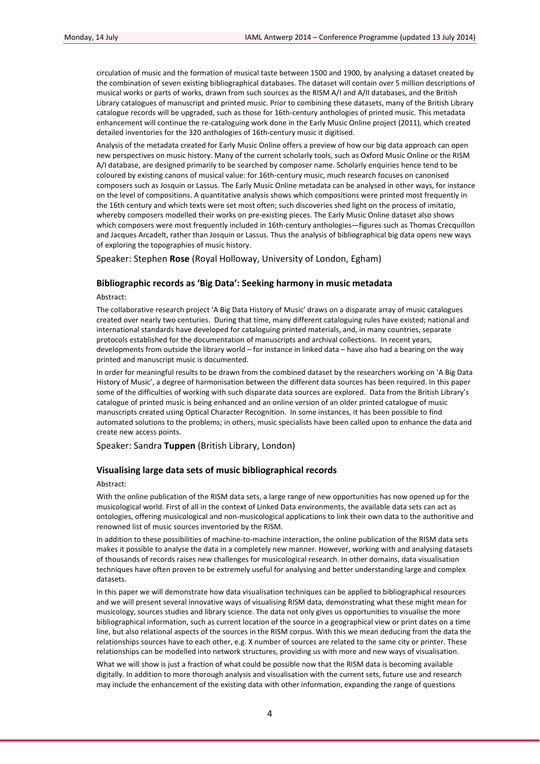circulation of music and the formation of musical taste between 1500 and 1900, by analysing a dataset created by the combination of seven existing bibliographical databases. The dataset will contain over 5 million descriptions of musical works or parts of works, drawn from such sources as the RISM A/I and A/II databases, and the British Library catalogues of manuscript and printed music. Prior to combining these datasets, many of the British Library catalogue records will be upgraded, such as those for 16th‐century anthologies of printed music. This metadata enhancement will continue the re‐cataloguing work done in the Early Music Online project (2011), which created detailed inventories for the 320 anthologies of 16th‐century music it digitised.

Analysis of the metadata created for Early Music Online offers a preview of how our big data approach can open new perspectives on music history. Many of the current scholarly tools, such as Oxford Music Online or the RISM A/I database, are designed primarily to be searched by composer name. Scholarly enquiries hence tend to be coloured by existing canons of musical value: for 16th‐century music, much research focuses on canonised composers such as Josquin or Lassus. The Early Music Online metadata can be analysed in other ways, for instance on the level of compositions. A quantitative analysis shows which compositions were printed most frequently in the 16th century and which texts were set most often; such discoveries shed light on the process of imitatio, whereby composers modelled their works on pre-existing pieces. The Early Music Online dataset also shows which composers were most frequently included in 16th-century anthologies—figures such as Thomas Crecquillon and Jacques Arcadelt, rather than Josquin or Lassus. Thus the analysis of bibliographical big data opens new ways of exploring the topographies of music history.

Speaker: Stephen **Rose** (Royal Holloway, University of London, Egham)

## **Bibliographic records as 'Big Data': Seeking harmony in music metadata**

#### Abstract:

The collaborative research project 'A Big Data History of Music' draws on a disparate array of music catalogues created over nearly two centuries. During that time, many different cataloguing rules have existed; national and international standards have developed for cataloguing printed materials, and, in many countries, separate protocols established for the documentation of manuscripts and archival collections. In recent years, developments from outside the library world – for instance in linked data – have also had a bearing on the way printed and manuscript music is documented.

In order for meaningful results to be drawn from the combined dataset by the researchers working on 'A Big Data History of Music', a degree of harmonisation between the different data sources has been required. In this paper some of the difficulties of working with such disparate data sources are explored. Data from the British Library's catalogue of printed music is being enhanced and an online version of an older printed catalogue of music manuscripts created using Optical Character Recognition. In some instances, it has been possible to find automated solutions to the problems; in others, music specialists have been called upon to enhance the data and create new access points.

Speaker: Sandra **Tuppen** (British Library, London)

#### **Visualising large data sets of music bibliographical records**

#### Abstract:

With the online publication of the RISM data sets, a large range of new opportunities has now opened up for the musicological world. First of all in the context of Linked Data environments, the available data sets can act as ontologies, offering musicological and non‐musicological applications to link their own data to the authoritive and renowned list of music sources inventoried by the RISM.

In addition to these possibilities of machine-to-machine interaction, the online publication of the RISM data sets makes it possible to analyse the data in a completely new manner. However, working with and analysing datasets of thousands of records raises new challenges for musicological research. In other domains, data visualisation techniques have often proven to be extremely useful for analysing and better understanding large and complex datasets.

In this paper we will demonstrate how data visualisation techniques can be applied to bibliographical resources and we will present several innovative ways of visualising RISM data, demonstrating what these might mean for musicology, sources studies and library science. The data not only gives us opportunities to visualise the more bibliographical information, such as current location of the source in a geographical view or print dates on a time line, but also relational aspects of the sources in the RISM corpus. With this we mean deducing from the data the relationships sources have to each other, e.g. X number of sources are related to the same city or printer. These relationships can be modelled into network structures, providing us with more and new ways of visualisation.

What we will show is just a fraction of what could be possible now that the RISM data is becoming available digitally. In addition to more thorough analysis and visualisation with the current sets, future use and research may include the enhancement of the existing data with other information, expanding the range of questions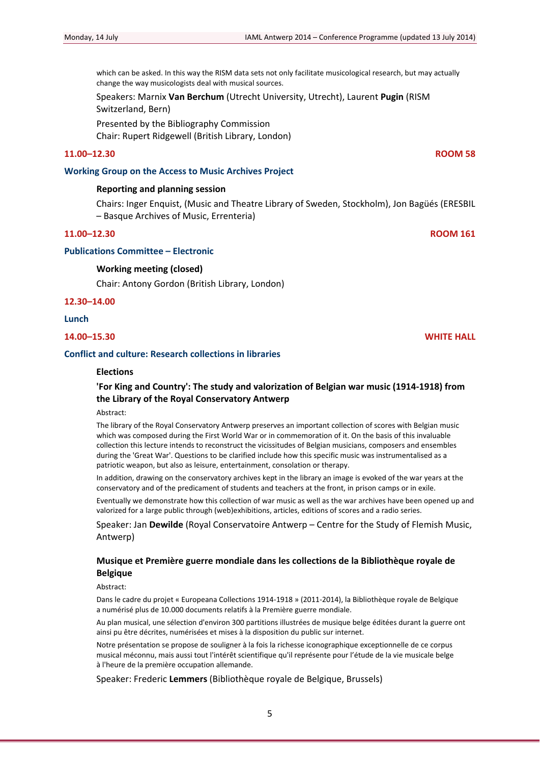which can be asked. In this way the RISM data sets not only facilitate musicological research, but may actually change the way musicologists deal with musical sources.

Speakers: Marnix **Van Berchum** (Utrecht University, Utrecht), Laurent **Pugin** (RISM Switzerland, Bern)

Presented by the Bibliography Commission Chair: Rupert Ridgewell (British Library, London)

## **11.00–12.30 ROOM 58**

### **Working Group on the Access to Music Archives Project**

## **Reporting and planning session**

Chairs: Inger Enquist, (Music and Theatre Library of Sweden, Stockholm), Jon Bagüés (ERESBIL – Basque Archives of Music, Errenteria)

## **11.00–12.30 ROOM 161**

## **Publications Committee – Electronic**

## **Working meeting (closed)**

Chair: Antony Gordon (British Library, London)

**12.30–14.00**

## **Lunch**

**14.00–15.30 WHITE HALL**

## **Conflict and culture: Research collections in libraries**

## **Elections**

## **'For King and Country': The study and valorization of Belgian war music (1914‐1918) from the Library of the Royal Conservatory Antwerp**

Abstract:

The library of the Royal Conservatory Antwerp preserves an important collection of scores with Belgian music which was composed during the First World War or in commemoration of it. On the basis of this invaluable collection this lecture intends to reconstruct the vicissitudes of Belgian musicians, composers and ensembles during the 'Great War'. Questions to be clarified include how this specific music was instrumentalised as a patriotic weapon, but also as leisure, entertainment, consolation or therapy.

In addition, drawing on the conservatory archives kept in the library an image is evoked of the war years at the conservatory and of the predicament of students and teachers at the front, in prison camps or in exile.

Eventually we demonstrate how this collection of war music as well as the war archives have been opened up and valorized for a large public through (web)exhibitions, articles, editions of scores and a radio series.

Speaker: Jan **Dewilde** (Royal Conservatoire Antwerp – Centre for the Study of Flemish Music, Antwerp)

## **Musique et Première guerre mondiale dans les collections de la Bibliothèque royale de Belgique**

Abstract:

Dans le cadre du projet « Europeana Collections 1914‐1918 » (2011‐2014), la Bibliothèque royale de Belgique a numérisé plus de 10.000 documents relatifs à la Première guerre mondiale.

Au plan musical, une sélection d'environ 300 partitions illustrées de musique belge éditées durant la guerre ont ainsi pu être décrites, numérisées et mises à la disposition du public sur internet.

Notre présentation se propose de souligner à la fois la richesse iconographique exceptionnelle de ce corpus musical méconnu, mais aussi tout l'intérêt scientifique qu'il représente pour l'étude de la vie musicale belge à l'heure de la première occupation allemande.

Speaker: Frederic **Lemmers** (Bibliothèque royale de Belgique, Brussels)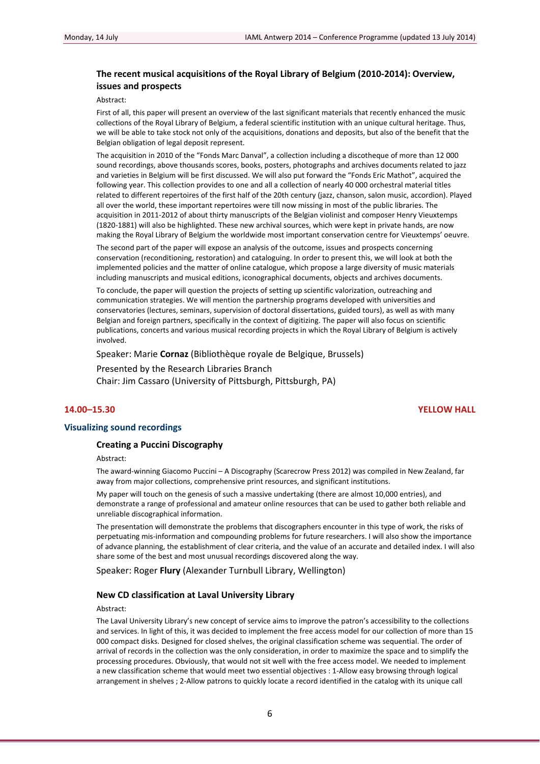## **The recent musical acquisitions of the Royal Library of Belgium (2010‐2014): Overview, issues and prospects**

Abstract:

First of all, this paper will present an overview of the last significant materials that recently enhanced the music collections of the Royal Library of Belgium, a federal scientific institution with an unique cultural heritage. Thus, we will be able to take stock not only of the acquisitions, donations and deposits, but also of the benefit that the Belgian obligation of legal deposit represent.

The acquisition in 2010 of the "Fonds Marc Danval", a collection including a discotheque of more than 12 000 sound recordings, above thousands scores, books, posters, photographs and archives documents related to jazz and varieties in Belgium will be first discussed. We will also put forward the "Fonds Eric Mathot", acquired the following year. This collection provides to one and all a collection of nearly 40 000 orchestral material titles related to different repertoires of the first half of the 20th century (jazz, chanson, salon music, accordion). Played all over the world, these important repertoires were till now missing in most of the public libraries. The acquisition in 2011-2012 of about thirty manuscripts of the Belgian violinist and composer Henry Vieuxtemps (1820‐1881) will also be highlighted. These new archival sources, which were kept in private hands, are now making the Royal Library of Belgium the worldwide most important conservation centre for Vieuxtemps' oeuvre.

The second part of the paper will expose an analysis of the outcome, issues and prospects concerning conservation (reconditioning, restoration) and cataloguing. In order to present this, we will look at both the implemented policies and the matter of online catalogue, which propose a large diversity of music materials including manuscripts and musical editions, iconographical documents, objects and archives documents.

To conclude, the paper will question the projects of setting up scientific valorization, outreaching and communication strategies. We will mention the partnership programs developed with universities and conservatories (lectures, seminars, supervision of doctoral dissertations, guided tours), as well as with many Belgian and foreign partners, specifically in the context of digitizing. The paper will also focus on scientific publications, concerts and various musical recording projects in which the Royal Library of Belgium is actively involved.

Speaker: Marie **Cornaz** (Bibliothèque royale de Belgique, Brussels)

Presented by the Research Libraries Branch Chair: Jim Cassaro (University of Pittsburgh, Pittsburgh, PA)

### **14.00–15.30 YELLOW HALL**

#### **Visualizing sound recordings**

### **Creating a Puccini Discography**

Abstract:

The award‐winning Giacomo Puccini – A Discography (Scarecrow Press 2012) was compiled in New Zealand, far away from major collections, comprehensive print resources, and significant institutions.

My paper will touch on the genesis of such a massive undertaking (there are almost 10,000 entries), and demonstrate a range of professional and amateur online resources that can be used to gather both reliable and unreliable discographical information.

The presentation will demonstrate the problems that discographers encounter in this type of work, the risks of perpetuating mis‐information and compounding problems for future researchers. I will also show the importance of advance planning, the establishment of clear criteria, and the value of an accurate and detailed index. I will also share some of the best and most unusual recordings discovered along the way.

Speaker: Roger **Flury** (Alexander Turnbull Library, Wellington)

#### **New CD classification at Laval University Library**

Abstract:

The Laval University Library's new concept of service aims to improve the patron's accessibility to the collections and services. In light of this, it was decided to implement the free access model for our collection of more than 15 000 compact disks. Designed for closed shelves, the original classification scheme was sequential. The order of arrival of records in the collection was the only consideration, in order to maximize the space and to simplify the processing procedures. Obviously, that would not sit well with the free access model. We needed to implement a new classification scheme that would meet two essential objectives : 1‐Allow easy browsing through logical arrangement in shelves ; 2‐Allow patrons to quickly locate a record identified in the catalog with its unique call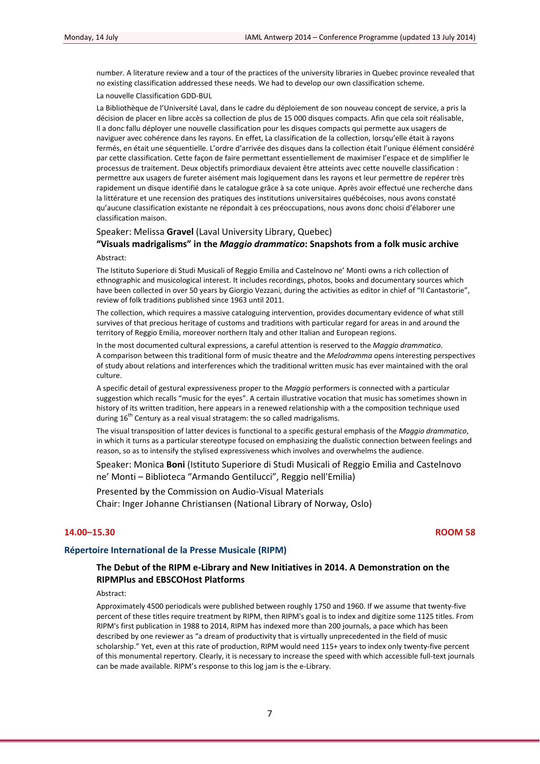number. A literature review and a tour of the practices of the university libraries in Quebec province revealed that no existing classification addressed these needs. We had to develop our own classification scheme.

La nouvelle Classification GDD‐BUL

La Bibliothèque de l'Université Laval, dans le cadre du déploiement de son nouveau concept de service, a pris la décision de placer en libre accès sa collection de plus de 15 000 disques compacts. Afin que cela soit réalisable, Il a donc fallu déployer une nouvelle classification pour les disques compacts qui permette aux usagers de naviguer avec cohérence dans les rayons. En effet, La classification de la collection, lorsqu'elle était à rayons fermés, en était une séquentielle. L'ordre d'arrivée des disques dans la collection était l'unique élément considéré par cette classification. Cette façon de faire permettant essentiellement de maximiser l'espace et de simplifier le processus de traitement. Deux objectifs primordiaux devaient être atteints avec cette nouvelle classification : permettre aux usagers de fureter aisément mais logiquement dans les rayons et leur permettre de repérer très rapidement un disque identifié dans le catalogue grâce à sa cote unique. Après avoir effectué une recherche dans la littérature et une recension des pratiques des institutions universitaires québécoises, nous avons constaté qu'aucune classification existante ne répondait à ces préoccupations, nous avons donc choisi d'élaborer une classification maison.

#### Speaker: Melissa **Gravel** (Laval University Library, Quebec)

## **"Visuals madrigalisms" in the** *Maggio drammatico***: Snapshots from a folk music archive** Abstract:

The Istituto Superiore di Studi Musicali of Reggio Emilia and Castelnovo ne' Monti owns a rich collection of ethnographic and musicological interest. It includes recordings, photos, books and documentary sources which have been collected in over 50 years by Giorgio Vezzani, during the activities as editor in chief of "Il Cantastorie", review of folk traditions published since 1963 until 2011.

The collection, which requires a massive cataloguing intervention, provides documentary evidence of what still survives of that precious heritage of customs and traditions with particular regard for areas in and around the territory of Reggio Emilia, moreover northern Italy and other Italian and European regions.

In the most documented cultural expressions, a careful attention is reserved to the *Maggio drammatico*. A comparison between this traditional form of music theatre and the *Melodramma* opens interesting perspectives of study about relations and interferences which the traditional written music has ever maintained with the oral culture.

A specific detail of gestural expressiveness proper to the *Maggio* performers is connected with a particular suggestion which recalls "music for the eyes". A certain illustrative vocation that music has sometimes shown in history of its written tradition, here appears in a renewed relationship with a the composition technique used during  $16<sup>th</sup>$  Century as a real visual stratagem: the so called madrigalisms.

The visual transposition of latter devices is functional to a specific gestural emphasis of the *Maggio drammatico*, in which it turns as a particular stereotype focused on emphasizing the dualistic connection between feelings and reason, so as to intensify the stylised expressiveness which involves and overwhelms the audience.

Speaker: Monica **Boni** (Istituto Superiore di Studi Musicali of Reggio Emilia and Castelnovo ne' Monti – Biblioteca "Armando Gentilucci", Reggio nell'Emilia)

Presented by the Commission on Audio‐Visual Materials

Chair: Inger Johanne Christiansen (National Library of Norway, Oslo)

## **14.00–15.30 ROOM 58**

### **Répertoire International de la Presse Musicale (RIPM)**

## **The Debut of the RIPM e‐Library and New Initiatives in 2014. A Demonstration on the RIPMPlus and EBSCOHost Platforms**

Abstract:

Approximately 4500 periodicals were published between roughly 1750 and 1960. If we assume that twenty‐five percent of these titles require treatment by RIPM, then RIPM's goal is to index and digitize some 1125 titles. From RIPM's first publication in 1988 to 2014, RIPM has indexed more than 200 journals, a pace which has been described by one reviewer as "a dream of productivity that is virtually unprecedented in the field of music scholarship." Yet, even at this rate of production, RIPM would need 115+ years to index only twenty-five percent of this monumental repertory. Clearly, it is necessary to increase the speed with which accessible full‐text journals can be made available. RIPM's response to this log jam is the e‐Library.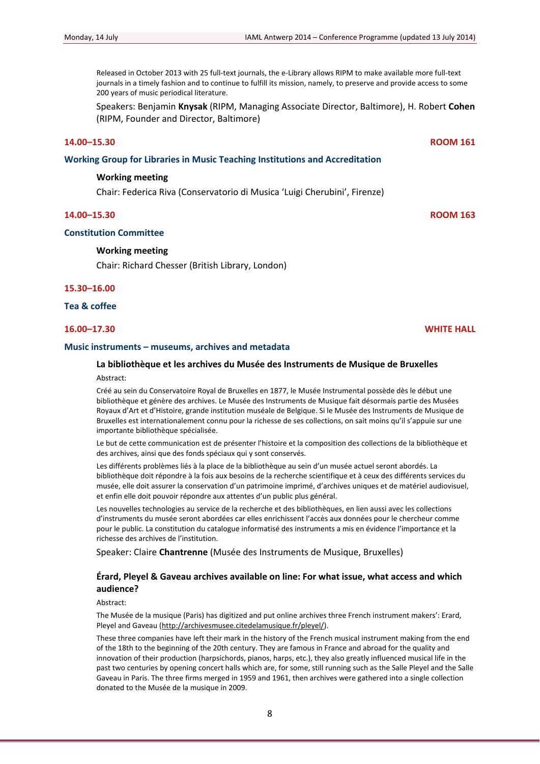Released in October 2013 with 25 full-text journals, the e-Library allows RIPM to make available more full-text journals in a timely fashion and to continue to fulfill its mission, namely, to preserve and provide access to some 200 years of music periodical literature.

Speakers: Benjamin **Knysak** (RIPM, Managing Associate Director, Baltimore), H. Robert **Cohen** (RIPM, Founder and Director, Baltimore)

## **14.00–15.30 ROOM 161**

#### **Working Group for Libraries in Music Teaching Institutions and Accreditation**

#### **Working meeting**

Chair: Federica Riva (Conservatorio di Musica 'Luigi Cherubini', Firenze)

## **14.00–15.30 ROOM 163**

## **Constitution Committee**

### **Working meeting**

Chair: Richard Chesser (British Library, London)

#### **15.30–16.00**

## **Tea & coffee**

## **16.00–17.30 WHITE HALL**

#### **Music instruments – museums, archives and metadata**

## **La bibliothèque et les archives du Musée des Instruments de Musique de Bruxelles**

#### Abstract:

Créé au sein du Conservatoire Royal de Bruxelles en 1877, le Musée Instrumental possède dès le début une bibliothèque et génère des archives. Le Musée des Instruments de Musique fait désormais partie des Musées Royaux d'Art et d'Histoire, grande institution muséale de Belgique. Si le Musée des Instruments de Musique de Bruxelles est internationalement connu pour la richesse de ses collections, on sait moins qu'il s'appuie sur une importante bibliothèque spécialisée.

Le but de cette communication est de présenter l'histoire et la composition des collections de la bibliothèque et des archives, ainsi que des fonds spéciaux qui y sont conservés.

Les différents problèmes liés à la place de la bibliothèque au sein d'un musée actuel seront abordés. La bibliothèque doit répondre à la fois aux besoins de la recherche scientifique et à ceux des différents services du musée, elle doit assurer la conservation d'un patrimoine imprimé, d'archives uniques et de matériel audiovisuel, et enfin elle doit pouvoir répondre aux attentes d'un public plus général.

Les nouvelles technologies au service de la recherche et des bibliothèques, en lien aussi avec les collections d'instruments du musée seront abordées car elles enrichissent l'accès aux données pour le chercheur comme pour le public. La constitution du catalogue informatisé des instruments a mis en évidence l'importance et la richesse des archives de l'institution.

Speaker: Claire **Chantrenne** (Musée des Instruments de Musique, Bruxelles)

## **Érard, Pleyel & Gaveau archives available on line: For what issue, what access and which audience?**

#### Abstract:

The Musée de la musique (Paris) has digitized and put online archives three French instrument makers': Erard, Pleyel and Gaveau (http://archivesmusee.citedelamusique.fr/pleyel/).

These three companies have left their mark in the history of the French musical instrument making from the end of the 18th to the beginning of the 20th century. They are famous in France and abroad for the quality and innovation of their production (harpsichords, pianos, harps, etc.), they also greatly influenced musical life in the past two centuries by opening concert halls which are, for some, still running such as the Salle Pleyel and the Salle Gaveau in Paris. The three firms merged in 1959 and 1961, then archives were gathered into a single collection donated to the Musée de la musique in 2009.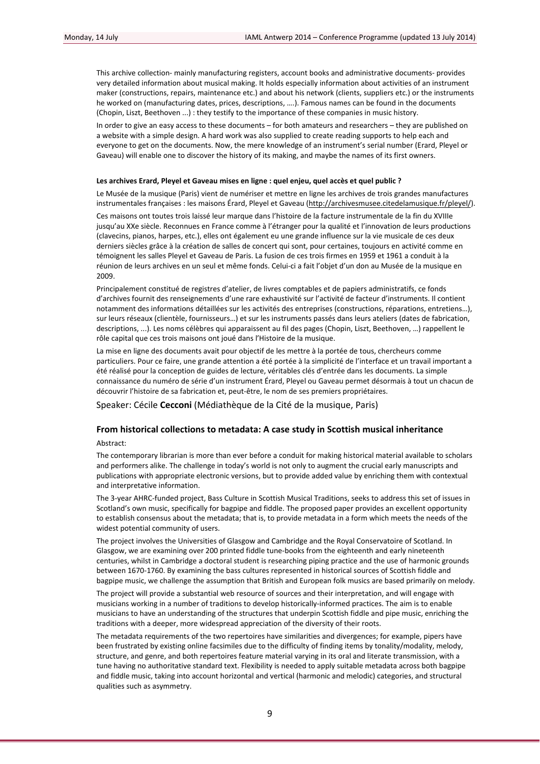This archive collection‐ mainly manufacturing registers, account books and administrative documents‐ provides very detailed information about musical making. It holds especially information about activities of an instrument maker (constructions, repairs, maintenance etc.) and about his network (clients, suppliers etc.) or the instruments he worked on (manufacturing dates, prices, descriptions, ….). Famous names can be found in the documents (Chopin, Liszt, Beethoven ...) : they testify to the importance of these companies in music history.

In order to give an easy access to these documents – for both amateurs and researchers – they are published on a website with a simple design. A hard work was also supplied to create reading supports to help each and everyone to get on the documents. Now, the mere knowledge of an instrument's serial number (Erard, Pleyel or Gaveau) will enable one to discover the history of its making, and maybe the names of its first owners.

#### **Les archives Erard, Pleyel et Gaveau mises en ligne : quel enjeu, quel accès et quel public ?**

Le Musée de la musique (Paris) vient de numériser et mettre en ligne les archives de trois grandes manufactures instrumentales françaises : les maisons Érard, Pleyel et Gaveau (http://archivesmusee.citedelamusique.fr/pleyel/).

Ces maisons ont toutes trois laissé leur marque dans l'histoire de la facture instrumentale de la fin du XVIIIe jusqu'au XXe siècle. Reconnues en France comme à l'étranger pour la qualité et l'innovation de leurs productions (clavecins, pianos, harpes, etc.), elles ont également eu une grande influence sur la vie musicale de ces deux derniers siècles grâce à la création de salles de concert qui sont, pour certaines, toujours en activité comme en témoignent les salles Pleyel et Gaveau de Paris. La fusion de ces trois firmes en 1959 et 1961 a conduit à la réunion de leurs archives en un seul et même fonds. Celui‐ci a fait l'objet d'un don au Musée de la musique en 2009.

Principalement constitué de registres d'atelier, de livres comptables et de papiers administratifs, ce fonds d'archives fournit des renseignements d'une rare exhaustivité sur l'activité de facteur d'instruments. Il contient notamment des informations détaillées sur les activités des entreprises (constructions, réparations, entretiens…), sur leurs réseaux (clientèle, fournisseurs…) et sur les instruments passés dans leurs ateliers (dates de fabrication, descriptions, ...). Les noms célèbres qui apparaissent au fil des pages (Chopin, Liszt, Beethoven, …) rappellent le rôle capital que ces trois maisons ont joué dans l'Histoire de la musique.

La mise en ligne des documents avait pour objectif de les mettre à la portée de tous, chercheurs comme particuliers. Pour ce faire, une grande attention a été portée à la simplicité de l'interface et un travail important a été réalisé pour la conception de guides de lecture, véritables clés d'entrée dans les documents. La simple connaissance du numéro de série d'un instrument Érard, Pleyel ou Gaveau permet désormais à tout un chacun de découvrir l'histoire de sa fabrication et, peut‐être, le nom de ses premiers propriétaires.

Speaker: Cécile **Cecconi** (Médiathèque de la Cité de la musique, Paris)

## **From historical collections to metadata: A case study in Scottish musical inheritance** Abstract:

The contemporary librarian is more than ever before a conduit for making historical material available to scholars and performers alike. The challenge in today's world is not only to augment the crucial early manuscripts and publications with appropriate electronic versions, but to provide added value by enriching them with contextual and interpretative information.

The 3‐year AHRC‐funded project, Bass Culture in Scottish Musical Traditions, seeks to address this set of issues in Scotland's own music, specifically for bagpipe and fiddle. The proposed paper provides an excellent opportunity to establish consensus about the metadata; that is, to provide metadata in a form which meets the needs of the widest potential community of users.

The project involves the Universities of Glasgow and Cambridge and the Royal Conservatoire of Scotland. In Glasgow, we are examining over 200 printed fiddle tune‐books from the eighteenth and early nineteenth centuries, whilst in Cambridge a doctoral student is researching piping practice and the use of harmonic grounds between 1670‐1760. By examining the bass cultures represented in historical sources of Scottish fiddle and bagpipe music, we challenge the assumption that British and European folk musics are based primarily on melody.

The project will provide a substantial web resource of sources and their interpretation, and will engage with musicians working in a number of traditions to develop historically‐informed practices. The aim is to enable musicians to have an understanding of the structures that underpin Scottish fiddle and pipe music, enriching the traditions with a deeper, more widespread appreciation of the diversity of their roots.

The metadata requirements of the two repertoires have similarities and divergences; for example, pipers have been frustrated by existing online facsimiles due to the difficulty of finding items by tonality/modality, melody, structure, and genre, and both repertoires feature material varying in its oral and literate transmission, with a tune having no authoritative standard text. Flexibility is needed to apply suitable metadata across both bagpipe and fiddle music, taking into account horizontal and vertical (harmonic and melodic) categories, and structural qualities such as asymmetry.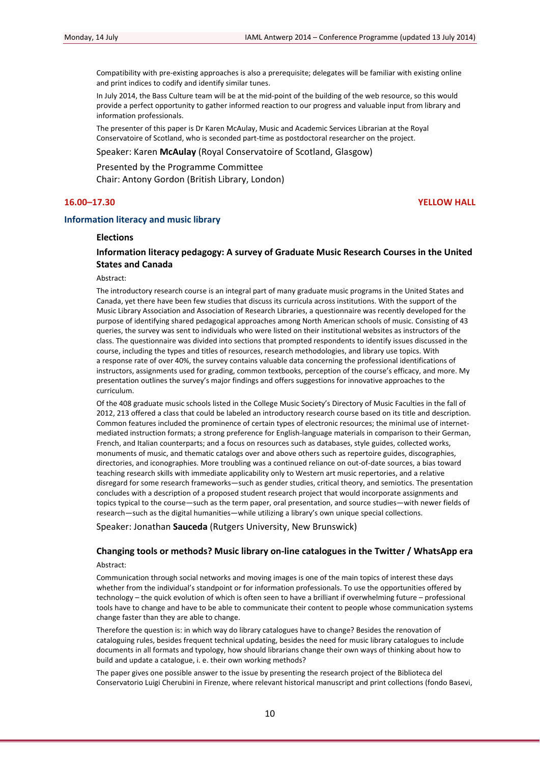Compatibility with pre‐existing approaches is also a prerequisite; delegates will be familiar with existing online and print indices to codify and identify similar tunes.

In July 2014, the Bass Culture team will be at the mid‐point of the building of the web resource, so this would provide a perfect opportunity to gather informed reaction to our progress and valuable input from library and information professionals.

The presenter of this paper is Dr Karen McAulay, Music and Academic Services Librarian at the Royal Conservatoire of Scotland, who is seconded part‐time as postdoctoral researcher on the project.

#### Speaker: Karen **McAulay** (Royal Conservatoire of Scotland, Glasgow)

Presented by the Programme Committee Chair: Antony Gordon (British Library, London)

**16.00–17.30 YELLOW HALL**

## **Information literacy and music library**

## **Elections**

## **Information literacy pedagogy: A survey of Graduate Music Research Courses in the United States and Canada**

Abstract:

The introductory research course is an integral part of many graduate music programs in the United States and Canada, yet there have been few studies that discuss its curricula across institutions. With the support of the Music Library Association and Association of Research Libraries, a questionnaire was recently developed for the purpose of identifying shared pedagogical approaches among North American schools of music. Consisting of 43 queries, the survey was sent to individuals who were listed on their institutional websites as instructors of the class. The questionnaire was divided into sections that prompted respondents to identify issues discussed in the course, including the types and titles of resources, research methodologies, and library use topics. With a response rate of over 40%, the survey contains valuable data concerning the professional identifications of instructors, assignments used for grading, common textbooks, perception of the course's efficacy, and more. My presentation outlines the survey's major findings and offers suggestions for innovative approaches to the curriculum.

Of the 408 graduate music schools listed in the College Music Society's Directory of Music Faculties in the fall of 2012, 213 offered a class that could be labeled an introductory research course based on its title and description. Common features included the prominence of certain types of electronic resources; the minimal use of internet‐ mediated instruction formats; a strong preference for English‐language materials in comparison to their German, French, and Italian counterparts; and a focus on resources such as databases, style guides, collected works, monuments of music, and thematic catalogs over and above others such as repertoire guides, discographies, directories, and iconographies. More troubling was a continued reliance on out‐of‐date sources, a bias toward teaching research skills with immediate applicability only to Western art music repertories, and a relative disregard for some research frameworks—such as gender studies, critical theory, and semiotics. The presentation concludes with a description of a proposed student research project that would incorporate assignments and topics typical to the course—such as the term paper, oral presentation, and source studies—with newer fields of research—such as the digital humanities—while utilizing a library's own unique special collections.

Speaker: Jonathan **Sauceda** (Rutgers University, New Brunswick)

# **Changing tools or methods? Music library on‐line catalogues in the Twitter / WhatsApp era**

Abstract:

Communication through social networks and moving images is one of the main topics of interest these days whether from the individual's standpoint or for information professionals. To use the opportunities offered by technology – the quick evolution of which is often seen to have a brilliant if overwhelming future – professional tools have to change and have to be able to communicate their content to people whose communication systems change faster than they are able to change.

Therefore the question is: in which way do library catalogues have to change? Besides the renovation of cataloguing rules, besides frequent technical updating, besides the need for music library catalogues to include documents in all formats and typology, how should librarians change their own ways of thinking about how to build and update a catalogue, i. e. their own working methods?

The paper gives one possible answer to the issue by presenting the research project of the Biblioteca del Conservatorio Luigi Cherubini in Firenze, where relevant historical manuscript and print collections (fondo Basevi,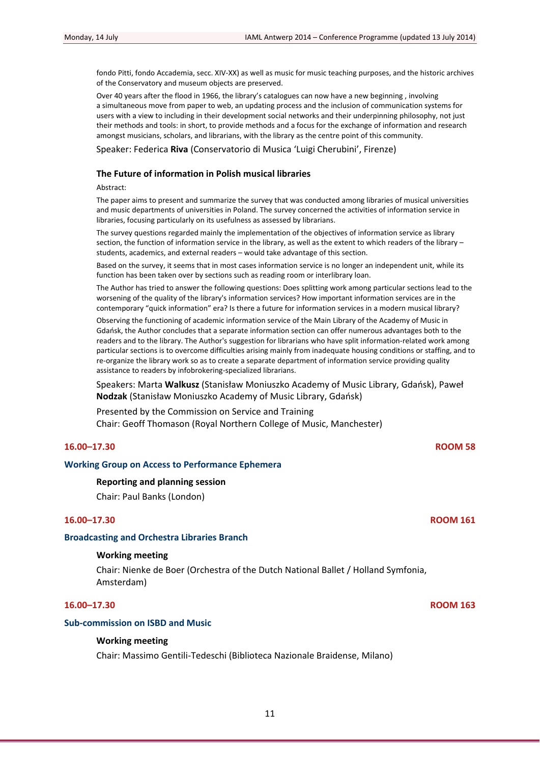fondo Pitti, fondo Accademia, secc. XIV‐XX) as well as music for music teaching purposes, and the historic archives of the Conservatory and museum objects are preserved.

Over 40 years after the flood in 1966, the library's catalogues can now have a new beginning , involving a simultaneous move from paper to web, an updating process and the inclusion of communication systems for users with a view to including in their development social networks and their underpinning philosophy, not just their methods and tools: in short, to provide methods and a focus for the exchange of information and research amongst musicians, scholars, and librarians, with the library as the centre point of this community.

Speaker: Federica **Riva** (Conservatorio di Musica 'Luigi Cherubini', Firenze)

## **The Future of information in Polish musical libraries**

#### Abstract:

The paper aims to present and summarize the survey that was conducted among libraries of musical universities and music departments of universities in Poland. The survey concerned the activities of information service in libraries, focusing particularly on its usefulness as assessed by librarians.

The survey questions regarded mainly the implementation of the objectives of information service as library section, the function of information service in the library, as well as the extent to which readers of the library – students, academics, and external readers – would take advantage of this section.

Based on the survey, it seems that in most cases information service is no longer an independent unit, while its function has been taken over by sections such as reading room or interlibrary loan.

The Author has tried to answer the following questions: Does splitting work among particular sections lead to the worsening of the quality of the library's information services? How important information services are in the contemporary "quick information" era? Is there a future for information services in a modern musical library?

Observing the functioning of academic information service of the Main Library of the Academy of Music in Gdańsk, the Author concludes that a separate information section can offer numerous advantages both to the readers and to the library. The Author's suggestion for librarians who have split information‐related work among particular sections is to overcome difficulties arising mainly from inadequate housing conditions or staffing, and to re-organize the library work so as to create a separate department of information service providing quality assistance to readers by infobrokering‐specialized librarians.

Speakers: Marta **Walkusz** (Stanisław Moniuszko Academy of Music Library, Gdańsk), Paweł **Nodzak** (Stanisław Moniuszko Academy of Music Library, Gdańsk)

Presented by the Commission on Service and Training Chair: Geoff Thomason (Royal Northern College of Music, Manchester)

## **16.00–17.30 ROOM 58**

## **Working Group on Access to Performance Ephemera**

## **Reporting and planning session**

Chair: Paul Banks (London)

## **16.00–17.30 ROOM 161**

#### **Broadcasting and Orchestra Libraries Branch**

## **Working meeting**

Chair: Nienke de Boer (Orchestra of the Dutch National Ballet / Holland Symfonia, Amsterdam)

## **16.00–17.30 ROOM 163**

## **Sub‐commission on ISBD and Music**

## **Working meeting**

Chair: Massimo Gentili‐Tedeschi (Biblioteca Nazionale Braidense, Milano)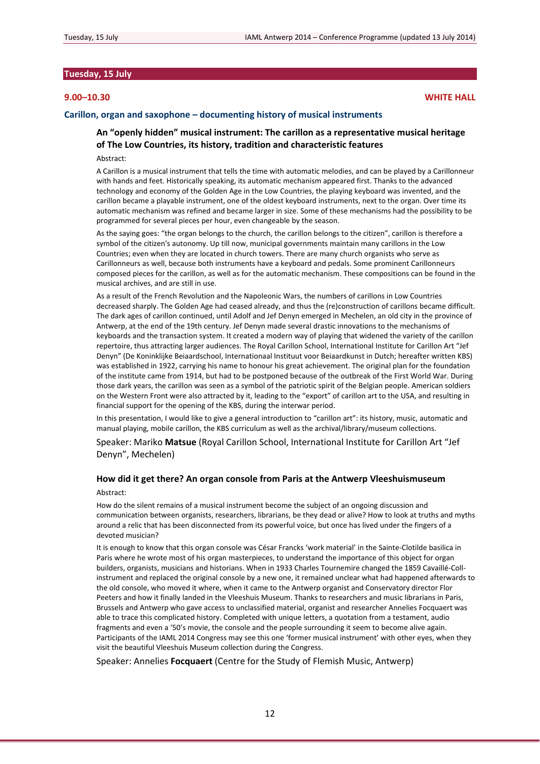## **Tuesday, 15 July**

## **9.00–10.30 WHITE HALL**

## **Carillon, organ and saxophone – documenting history of musical instruments**

## **An "openly hidden" musical instrument: The carillon as a representative musical heritage of The Low Countries, its history, tradition and characteristic features**

Abstract:

A Carillon is a musical instrument that tells the time with automatic melodies, and can be played by a Carillonneur with hands and feet. Historically speaking, its automatic mechanism appeared first. Thanks to the advanced technology and economy of the Golden Age in the Low Countries, the playing keyboard was invented, and the carillon became a playable instrument, one of the oldest keyboard instruments, next to the organ. Over time its automatic mechanism was refined and became larger in size. Some of these mechanisms had the possibility to be programmed for several pieces per hour, even changeable by the season.

As the saying goes: "the organ belongs to the church, the carillon belongs to the citizen", carillon is therefore a symbol of the citizen's autonomy. Up till now, municipal governments maintain many carillons in the Low Countries; even when they are located in church towers. There are many church organists who serve as Carillonneurs as well, because both instruments have a keyboard and pedals. Some prominent Carillonneurs composed pieces for the carillon, as well as for the automatic mechanism. These compositions can be found in the musical archives, and are still in use.

As a result of the French Revolution and the Napoleonic Wars, the numbers of carillons in Low Countries decreased sharply. The Golden Age had ceased already, and thus the (re)construction of carillons became difficult. The dark ages of carillon continued, until Adolf and Jef Denyn emerged in Mechelen, an old city in the province of Antwerp, at the end of the 19th century. Jef Denyn made several drastic innovations to the mechanisms of keyboards and the transaction system. It created a modern way of playing that widened the variety of the carillon repertoire, thus attracting larger audiences. The Royal Carillon School, International Institute for Carillon Art "Jef Denyn" (De Koninklijke Beiaardschool, Internationaal Instituut voor Beiaardkunst in Dutch; hereafter written KBS) was established in 1922, carrying his name to honour his great achievement. The original plan for the foundation of the institute came from 1914, but had to be postponed because of the outbreak of the First World War. During those dark years, the carillon was seen as a symbol of the patriotic spirit of the Belgian people. American soldiers on the Western Front were also attracted by it, leading to the "export" of carillon art to the USA, and resulting in financial support for the opening of the KBS, during the interwar period.

In this presentation, I would like to give a general introduction to "carillon art": its history, music, automatic and manual playing, mobile carillon, the KBS curriculum as well as the archival/library/museum collections.

Speaker: Mariko **Matsue** (Royal Carillon School, International Institute for Carillon Art "Jef Denyn", Mechelen)

# **How did it get there? An organ console from Paris at the Antwerp Vleeshuismuseum**

Abstract:

How do the silent remains of a musical instrument become the subject of an ongoing discussion and communication between organists, researchers, librarians, be they dead or alive? How to look at truths and myths around a relic that has been disconnected from its powerful voice, but once has lived under the fingers of a devoted musician?

It is enough to know that this organ console was César Francks 'work material' in the Sainte‐Clotilde basilica in Paris where he wrote most of his organ masterpieces, to understand the importance of this object for organ builders, organists, musicians and historians. When in 1933 Charles Tournemire changed the 1859 Cavaillé‐Coll‐ instrument and replaced the original console by a new one, it remained unclear what had happened afterwards to the old console, who moved it where, when it came to the Antwerp organist and Conservatory director Flor Peeters and how it finally landed in the Vleeshuis Museum. Thanks to researchers and music librarians in Paris, Brussels and Antwerp who gave access to unclassified material, organist and researcher Annelies Focquaert was able to trace this complicated history. Completed with unique letters, a quotation from a testament, audio fragments and even a '50's movie, the console and the people surrounding it seem to become alive again. Participants of the IAML 2014 Congress may see this one 'former musical instrument' with other eyes, when they visit the beautiful Vleeshuis Museum collection during the Congress.

Speaker: Annelies **Focquaert** (Centre for the Study of Flemish Music, Antwerp)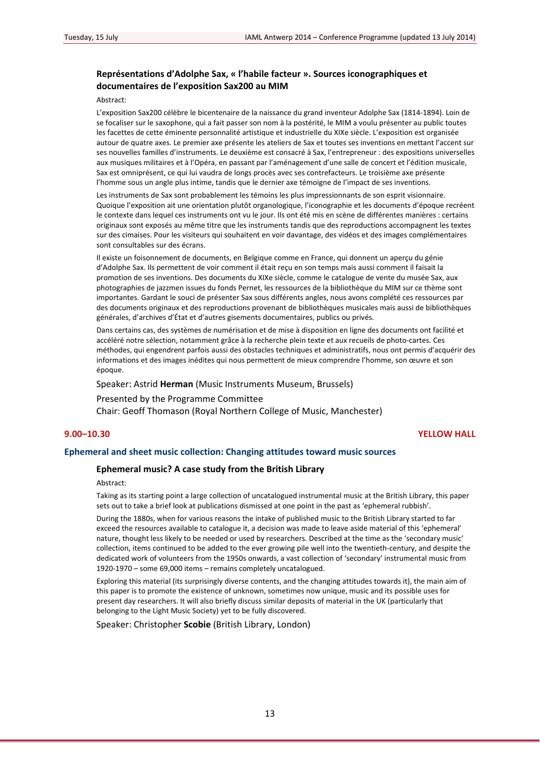## **Représentations d'Adolphe Sax, « l'habile facteur ». Sources iconographiques et documentaires de l'exposition Sax200 au MIM**

#### Abstract:

L'exposition Sax200 célèbre le bicentenaire de la naissance du grand inventeur Adolphe Sax (1814‐1894). Loin de se focaliser sur le saxophone, qui a fait passer son nom à la postérité, le MIM a voulu présenter au public toutes les facettes de cette éminente personnalité artistique et industrielle du XIXe siècle. L'exposition est organisée autour de quatre axes. Le premier axe présente les ateliers de Sax et toutes ses inventions en mettant l'accent sur ses nouvelles familles d'instruments. Le deuxième est consacré à Sax, l'entrepreneur : des expositions universelles aux musiques militaires et à l'Opéra, en passant par l'aménagement d'une salle de concert et l'édition musicale, Sax est omniprésent, ce qui lui vaudra de longs procès avec ses contrefacteurs. Le troisième axe présente l'homme sous un angle plus intime, tandis que le dernier axe témoigne de l'impact de ses inventions.

Les instruments de Sax sont probablement les témoins les plus impressionnants de son esprit visionnaire. Quoique l'exposition ait une orientation plutôt organologique, l'iconographie et les documents d'époque recréent le contexte dans lequel ces instruments ont vu le jour. Ils ont été mis en scène de différentes manières : certains originaux sont exposés au même titre que les instruments tandis que des reproductions accompagnent les textes sur des cimaises. Pour les visiteurs qui souhaitent en voir davantage, des vidéos et des images complémentaires sont consultables sur des écrans.

Il existe un foisonnement de documents, en Belgique comme en France, qui donnent un aperçu du génie d'Adolphe Sax. Ils permettent de voir comment il était reçu en son temps mais aussi comment il faisait la promotion de ses inventions. Des documents du XIXe siècle, comme le catalogue de vente du musée Sax, aux photographies de jazzmen issues du fonds Pernet, les ressources de la bibliothèque du MIM sur ce thème sont importantes. Gardant le souci de présenter Sax sous différents angles, nous avons complété ces ressources par des documents originaux et des reproductions provenant de bibliothèques musicales mais aussi de bibliothèques générales, d'archives d'État et d'autres gisements documentaires, publics ou privés.

Dans certains cas, des systèmes de numérisation et de mise à disposition en ligne des documents ont facilité et accéléré notre sélection, notamment grâce à la recherche plein texte et aux recueils de photo‐cartes. Ces méthodes, qui engendrent parfois aussi des obstacles techniques et administratifs, nous ont permis d'acquérir des informations et des images inédites qui nous permettent de mieux comprendre l'homme, son œuvre et son époque.

### Speaker: Astrid **Herman** (Music Instruments Museum, Brussels)

Presented by the Programme Committee

Chair: Geoff Thomason (Royal Northern College of Music, Manchester)

## **9.00–10.30 YELLOW HALL**

## **Ephemeral and sheet music collection: Changing attitudes toward music sources**

## **Ephemeral music? A case study from the British Library**

Abstract:

Taking as its starting point a large collection of uncatalogued instrumental music at the British Library, this paper sets out to take a brief look at publications dismissed at one point in the past as 'ephemeral rubbish'.

During the 1880s, when for various reasons the intake of published music to the British Library started to far exceed the resources available to catalogue it, a decision was made to leave aside material of this 'ephemeral' nature, thought less likely to be needed or used by researchers. Described at the time as the 'secondary music' collection, items continued to be added to the ever growing pile well into the twentieth‐century, and despite the dedicated work of volunteers from the 1950s onwards, a vast collection of 'secondary' instrumental music from 1920‐1970 – some 69,000 items – remains completely uncatalogued.

Exploring this material (its surprisingly diverse contents, and the changing attitudes towards it), the main aim of this paper is to promote the existence of unknown, sometimes now unique, music and its possible uses for present day researchers. It will also briefly discuss similar deposits of material in the UK (particularly that belonging to the Light Music Society) yet to be fully discovered.

Speaker: Christopher **Scobie** (British Library, London)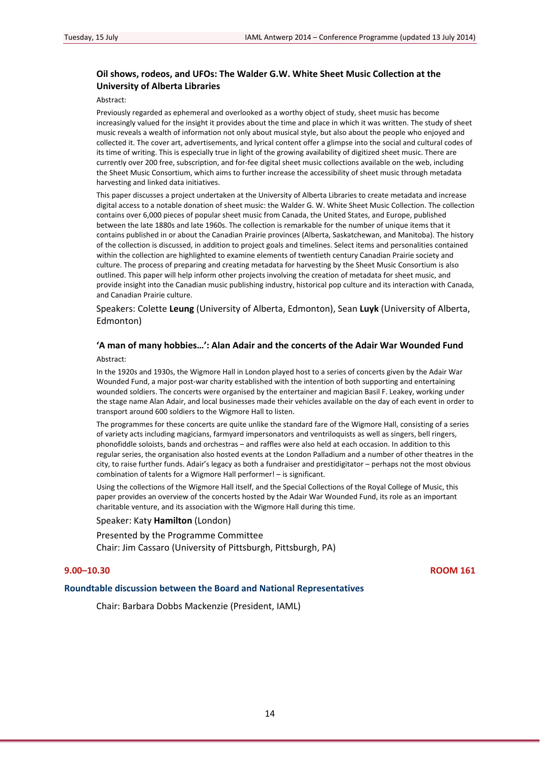## **Oil shows, rodeos, and UFOs: The Walder G.W. White Sheet Music Collection at the University of Alberta Libraries**

#### Abstract:

Previously regarded as ephemeral and overlooked as a worthy object of study, sheet music has become increasingly valued for the insight it provides about the time and place in which it was written. The study of sheet music reveals a wealth of information not only about musical style, but also about the people who enjoyed and collected it. The cover art, advertisements, and lyrical content offer a glimpse into the social and cultural codes of its time of writing. This is especially true in light of the growing availability of digitized sheet music. There are currently over 200 free, subscription, and for‐fee digital sheet music collections available on the web, including the Sheet Music Consortium, which aims to further increase the accessibility of sheet music through metadata harvesting and linked data initiatives.

This paper discusses a project undertaken at the University of Alberta Libraries to create metadata and increase digital access to a notable donation of sheet music: the Walder G. W. White Sheet Music Collection. The collection contains over 6,000 pieces of popular sheet music from Canada, the United States, and Europe, published between the late 1880s and late 1960s. The collection is remarkable for the number of unique items that it contains published in or about the Canadian Prairie provinces (Alberta, Saskatchewan, and Manitoba). The history of the collection is discussed, in addition to project goals and timelines. Select items and personalities contained within the collection are highlighted to examine elements of twentieth century Canadian Prairie society and culture. The process of preparing and creating metadata for harvesting by the Sheet Music Consortium is also outlined. This paper will help inform other projects involving the creation of metadata for sheet music, and provide insight into the Canadian music publishing industry, historical pop culture and its interaction with Canada, and Canadian Prairie culture.

Speakers: Colette **Leung** (University of Alberta, Edmonton), Sean **Luyk** (University of Alberta, Edmonton)

# **'A man of many hobbies…': Alan Adair and the concerts of the Adair War Wounded Fund**

#### Abstract:

In the 1920s and 1930s, the Wigmore Hall in London played host to a series of concerts given by the Adair War Wounded Fund, a major post-war charity established with the intention of both supporting and entertaining wounded soldiers. The concerts were organised by the entertainer and magician Basil F. Leakey, working under the stage name Alan Adair, and local businesses made their vehicles available on the day of each event in order to transport around 600 soldiers to the Wigmore Hall to listen.

The programmes for these concerts are quite unlike the standard fare of the Wigmore Hall, consisting of a series of variety acts including magicians, farmyard impersonators and ventriloquists as well as singers, bell ringers, phonofiddle soloists, bands and orchestras – and raffles were also held at each occasion. In addition to this regular series, the organisation also hosted events at the London Palladium and a number of other theatres in the city, to raise further funds. Adair's legacy as both a fundraiser and prestidigitator – perhaps not the most obvious combination of talents for a Wigmore Hall performer! – is significant.

Using the collections of the Wigmore Hall itself, and the Special Collections of the Royal College of Music, this paper provides an overview of the concerts hosted by the Adair War Wounded Fund, its role as an important charitable venture, and its association with the Wigmore Hall during this time.

#### Speaker: Katy **Hamilton** (London)

Presented by the Programme Committee Chair: Jim Cassaro (University of Pittsburgh, Pittsburgh, PA)

## **9.00–10.30 ROOM 161**

### **Roundtable discussion between the Board and National Representatives**

Chair: Barbara Dobbs Mackenzie (President, IAML)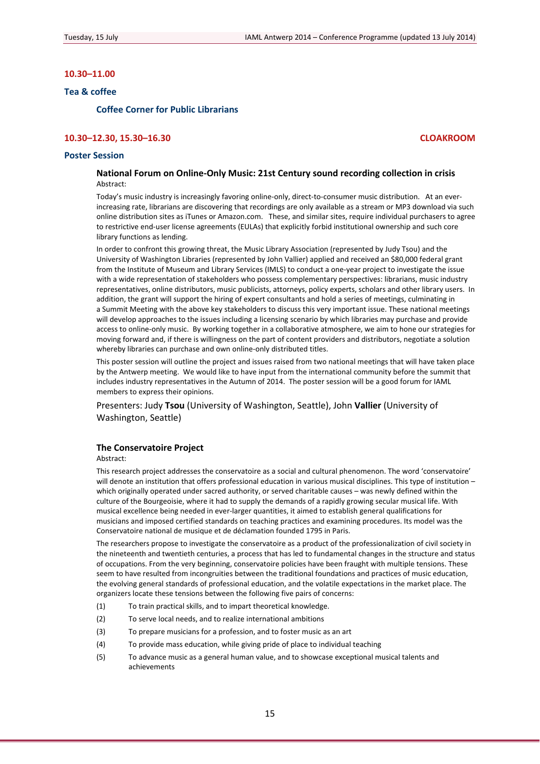## <span id="page-14-0"></span>**10.30–11.00**

## **Tea & coffee**

#### **Coffee Corner for Public Librarians**

## **10.30–12.30, 15.30–16.30 CLOAKROOM**

## **Poster Session**

## **National Forum on Online‐Only Music: 21st Century sound recording collection in crisis** Abstract:

Today's music industry is increasingly favoring online-only, direct-to-consumer music distribution. At an everincreasing rate, librarians are discovering that recordings are only available as a stream or MP3 download via such online distribution sites as iTunes or Amazon.com. These, and similar sites, require individual purchasers to agree to restrictive end‐user license agreements (EULAs) that explicitly forbid institutional ownership and such core library functions as lending.

In order to confront this growing threat, the Music Library Association (represented by Judy Tsou) and the University of Washington Libraries (represented by John Vallier) applied and received an \$80,000 federal grant from the Institute of Museum and Library Services (IMLS) to conduct a one‐year project to investigate the issue with a wide representation of stakeholders who possess complementary perspectives: librarians, music industry representatives, online distributors, music publicists, attorneys, policy experts, scholars and other library users. In addition, the grant will support the hiring of expert consultants and hold a series of meetings, culminating in a Summit Meeting with the above key stakeholders to discuss this very important issue. These national meetings will develop approaches to the issues including a licensing scenario by which libraries may purchase and provide access to online‐only music. By working together in a collaborative atmosphere, we aim to hone our strategies for moving forward and, if there is willingness on the part of content providers and distributors, negotiate a solution whereby libraries can purchase and own online-only distributed titles.

This poster session will outline the project and issues raised from two national meetings that will have taken place by the Antwerp meeting. We would like to have input from the international community before the summit that includes industry representatives in the Autumn of 2014. The poster session will be a good forum for IAML members to express their opinions.

Presenters: Judy **Tsou** (University of Washington, Seattle), John **Vallier** (University of Washington, Seattle)

#### **The Conservatoire Project**

#### Abstract:

This research project addresses the conservatoire as a social and cultural phenomenon. The word 'conservatoire' will denote an institution that offers professional education in various musical disciplines. This type of institution which originally operated under sacred authority, or served charitable causes – was newly defined within the culture of the Bourgeoisie, where it had to supply the demands of a rapidly growing secular musical life. With musical excellence being needed in ever‐larger quantities, it aimed to establish general qualifications for musicians and imposed certified standards on teaching practices and examining procedures. Its model was the Conservatoire national de musique et de déclamation founded 1795 in Paris.

The researchers propose to investigate the conservatoire as a product of the professionalization of civil society in the nineteenth and twentieth centuries, a process that has led to fundamental changes in the structure and status of occupations. From the very beginning, conservatoire policies have been fraught with multiple tensions. These seem to have resulted from incongruities between the traditional foundations and practices of music education, the evolving general standards of professional education, and the volatile expectations in the market place. The organizers locate these tensions between the following five pairs of concerns:

- (1) To train practical skills, and to impart theoretical knowledge.
- (2) To serve local needs, and to realize international ambitions
- (3) To prepare musicians for a profession, and to foster music as an art
- (4) To provide mass education, while giving pride of place to individual teaching
- (5) To advance music as a general human value, and to showcase exceptional musical talents and achievements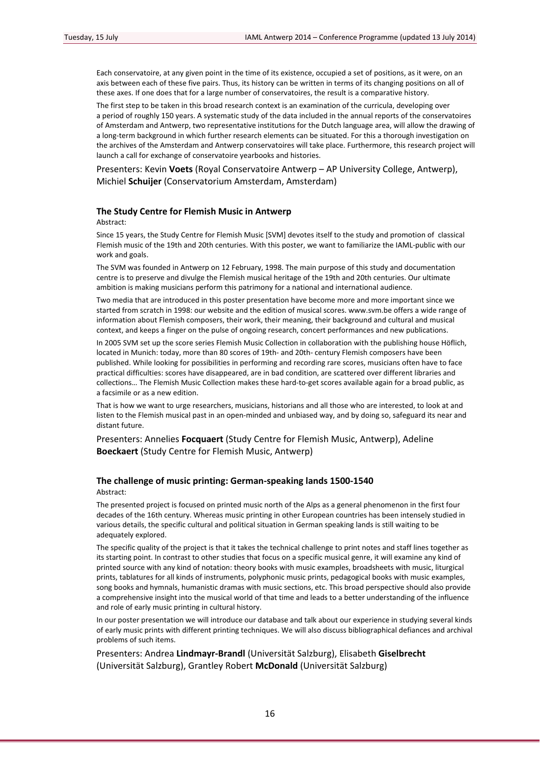Each conservatoire, at any given point in the time of its existence, occupied a set of positions, as it were, on an axis between each of these five pairs. Thus, its history can be written in terms of its changing positions on all of these axes. If one does that for a large number of conservatoires, the result is a comparative history.

The first step to be taken in this broad research context is an examination of the curricula, developing over a period of roughly 150 years. A systematic study of the data included in the annual reports of the conservatoires of Amsterdam and Antwerp, two representative institutions for the Dutch language area, will allow the drawing of a long‐term background in which further research elements can be situated. For this a thorough investigation on the archives of the Amsterdam and Antwerp conservatoires will take place. Furthermore, this research project will launch a call for exchange of conservatoire yearbooks and histories.

Presenters: Kevin **Voets** (Royal Conservatoire Antwerp – AP University College, Antwerp), Michiel **Schuijer** (Conservatorium Amsterdam, Amsterdam)

#### **The Study Centre for Flemish Music in Antwerp**

Abstract:

Since 15 years, the Study Centre for Flemish Music [SVM] devotes itself to the study and promotion of classical Flemish music of the 19th and 20th centuries. With this poster, we want to familiarize the IAML‐public with our work and goals.

The SVM was founded in Antwerp on 12 February, 1998. The main purpose of this study and documentation centre is to preserve and divulge the Flemish musical heritage of the 19th and 20th centuries. Our ultimate ambition is making musicians perform this patrimony for a national and international audience.

Two media that are introduced in this poster presentation have become more and more important since we started from scratch in 1998: our website and the edition of musical scores. www.svm.be offers a wide range of information about Flemish composers, their work, their meaning, their background and cultural and musical context, and keeps a finger on the pulse of ongoing research, concert performances and new publications.

In 2005 SVM set up the score series Flemish Music Collection in collaboration with the publishing house Höflich, located in Munich: today, more than 80 scores of 19th‐ and 20th‐ century Flemish composers have been published. While looking for possibilities in performing and recording rare scores, musicians often have to face practical difficulties: scores have disappeared, are in bad condition, are scattered over different libraries and collections... The Flemish Music Collection makes these hard-to-get scores available again for a broad public, as a facsimile or as a new edition.

That is how we want to urge researchers, musicians, historians and all those who are interested, to look at and listen to the Flemish musical past in an open-minded and unbiased way, and by doing so, safeguard its near and distant future.

Presenters: Annelies **Focquaert** (Study Centre for Flemish Music, Antwerp), Adeline **Boeckaert** (Study Centre for Flemish Music, Antwerp)

## **The challenge of music printing: German‐speaking lands 1500‐1540** Abstract:

The presented project is focused on printed music north of the Alps as a general phenomenon in the first four decades of the 16th century. Whereas music printing in other European countries has been intensely studied in various details, the specific cultural and political situation in German speaking lands is still waiting to be adequately explored.

The specific quality of the project is that it takes the technical challenge to print notes and staff lines together as its starting point. In contrast to other studies that focus on a specific musical genre, it will examine any kind of printed source with any kind of notation: theory books with music examples, broadsheets with music, liturgical prints, tablatures for all kinds of instruments, polyphonic music prints, pedagogical books with music examples, song books and hymnals, humanistic dramas with music sections, etc. This broad perspective should also provide a comprehensive insight into the musical world of that time and leads to a better understanding of the influence and role of early music printing in cultural history.

In our poster presentation we will introduce our database and talk about our experience in studying several kinds of early music prints with different printing techniques. We will also discuss bibliographical defiances and archival problems of such items.

Presenters: Andrea **Lindmayr‐Brandl** (Universität Salzburg), Elisabeth **Giselbrecht** (Universität Salzburg), Grantley Robert **McDonald** (Universität Salzburg)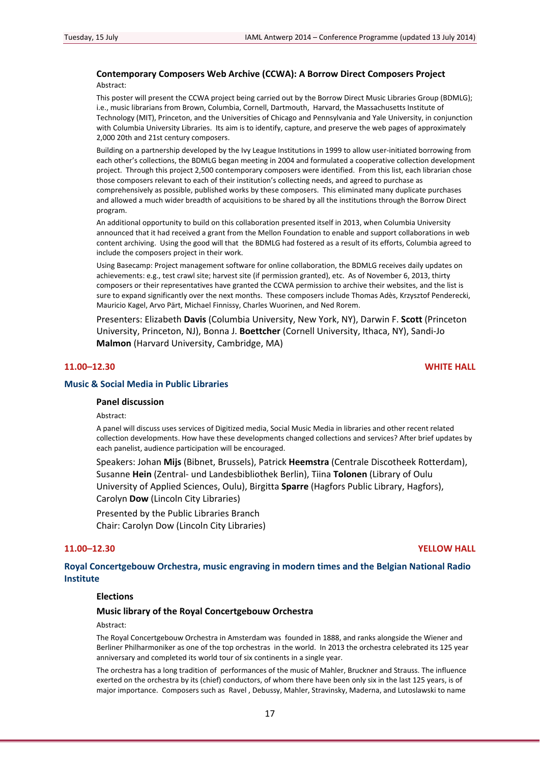## **Contemporary Composers Web Archive (CCWA): A Borrow Direct Composers Project** Abstract:

This poster will present the CCWA project being carried out by the Borrow Direct Music Libraries Group (BDMLG); i.e., music librarians from Brown, Columbia, Cornell, Dartmouth, Harvard, the Massachusetts Institute of Technology (MIT), Princeton, and the Universities of Chicago and Pennsylvania and Yale University, in conjunction with Columbia University Libraries. Its aim is to identify, capture, and preserve the web pages of approximately 2,000 20th and 21st century composers.

Building on a partnership developed by the Ivy League Institutions in 1999 to allow user-initiated borrowing from each other's collections, the BDMLG began meeting in 2004 and formulated a cooperative collection development project. Through this project 2,500 contemporary composers were identified. From this list, each librarian chose those composers relevant to each of their institution's collecting needs, and agreed to purchase as comprehensively as possible, published works by these composers. This eliminated many duplicate purchases and allowed a much wider breadth of acquisitions to be shared by all the institutions through the Borrow Direct program.

An additional opportunity to build on this collaboration presented itself in 2013, when Columbia University announced that it had received a grant from the Mellon Foundation to enable and support collaborations in web content archiving. Using the good will that the BDMLG had fostered as a result of its efforts, Columbia agreed to include the composers project in their work.

Using Basecamp: Project management software for online collaboration, the BDMLG receives daily updates on achievements: e.g., test crawl site; harvest site (if permission granted), etc. As of November 6, 2013, thirty composers or their representatives have granted the CCWA permission to archive their websites, and the list is sure to expand significantly over the next months. These composers include Thomas Adès, Krzysztof Penderecki, Mauricio Kagel, Arvo Pärt, Michael Finnissy, Charles Wuorinen, and Ned Rorem.

Presenters: Elizabeth **Davis** (Columbia University, New York, NY), Darwin F. **Scott** (Princeton University, Princeton, NJ), Bonna J. **Boettcher** (Cornell University, Ithaca, NY), Sandi‐Jo **Malmon** (Harvard University, Cambridge, MA)

## **11.00–12.30 WHITE HALL**

## **Music & Social Media in Public Libraries**

### **Panel discussion**

Abstract:

A panel will discuss uses services of Digitized media, Social Music Media in libraries and other recent related collection developments. How have these developments changed collections and services? After brief updates by each panelist, audience participation will be encouraged.

Speakers: Johan **Mijs** (Bibnet, Brussels), Patrick **Heemstra** (Centrale Discotheek Rotterdam), Susanne **Hein** (Zentral‐ und Landesbibliothek Berlin), Tiina **Tolonen** (Library of Oulu University of Applied Sciences, Oulu), Birgitta **Sparre** (Hagfors Public Library, Hagfors), Carolyn **Dow** (Lincoln City Libraries)

Presented by the Public Libraries Branch

Chair: Carolyn Dow (Lincoln City Libraries)

#### **11.00–12.30 YELLOW HALL**

**Royal Concertgebouw Orchestra, music engraving in modern times and the Belgian National Radio Institute**

## **Elections**

## **Music library of the Royal Concertgebouw Orchestra**

#### Abstract:

The Royal Concertgebouw Orchestra in Amsterdam was founded in 1888, and ranks alongside the Wiener and Berliner Philharmoniker as one of the top orchestras in the world. In 2013 the orchestra celebrated its 125 year anniversary and completed its world tour of six continents in a single year.

The orchestra has a long tradition of performances of the music of Mahler, Bruckner and Strauss. The influence exerted on the orchestra by its (chief) conductors, of whom there have been only six in the last 125 years, is of major importance. Composers such as Ravel , Debussy, Mahler, Stravinsky, Maderna, and Lutoslawski to name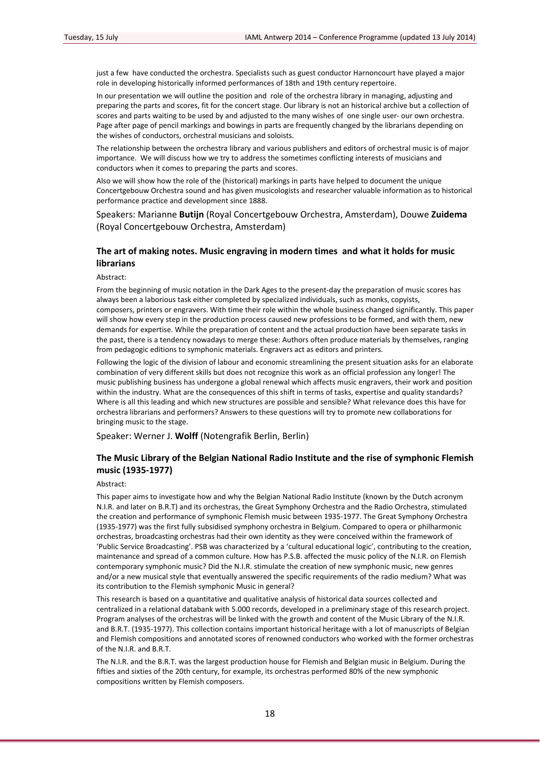just a few have conducted the orchestra. Specialists such as guest conductor Harnoncourt have played a major role in developing historically informed performances of 18th and 19th century repertoire.

In our presentation we will outline the position and role of the orchestra library in managing, adjusting and preparing the parts and scores, fit for the concert stage. Our library is not an historical archive but a collection of scores and parts waiting to be used by and adjusted to the many wishes of one single user‐ our own orchestra. Page after page of pencil markings and bowings in parts are frequently changed by the librarians depending on the wishes of conductors, orchestral musicians and soloists.

The relationship between the orchestra library and various publishers and editors of orchestral music is of major importance. We will discuss how we try to address the sometimes conflicting interests of musicians and conductors when it comes to preparing the parts and scores.

Also we will show how the role of the (historical) markings in parts have helped to document the unique Concertgebouw Orchestra sound and has given musicologists and researcher valuable information as to historical performance practice and development since 1888.

Speakers: Marianne **Butijn** (Royal Concertgebouw Orchestra, Amsterdam), Douwe **Zuidema** (Royal Concertgebouw Orchestra, Amsterdam)

## **The art of making notes. Music engraving in modern times and what it holds for music librarians**

Abstract:

From the beginning of music notation in the Dark Ages to the present-day the preparation of music scores has always been a laborious task either completed by specialized individuals, such as monks, copyists, composers, printers or engravers. With time their role within the whole business changed significantly. This paper will show how every step in the production process caused new professions to be formed, and with them, new demands for expertise. While the preparation of content and the actual production have been separate tasks in the past, there is a tendency nowadays to merge these: Authors often produce materials by themselves, ranging from pedagogic editions to symphonic materials. Engravers act as editors and printers.

Following the logic of the division of labour and economic streamlining the present situation asks for an elaborate combination of very different skills but does not recognize this work as an official profession any longer! The music publishing business has undergone a global renewal which affects music engravers, their work and position within the industry. What are the consequences of this shift in terms of tasks, expertise and quality standards? Where is all this leading and which new structures are possible and sensible? What relevance does this have for orchestra librarians and performers? Answers to these questions will try to promote new collaborations for bringing music to the stage.

Speaker: Werner J. **Wolff** (Notengrafik Berlin, Berlin)

## **The Music Library of the Belgian National Radio Institute and the rise of symphonic Flemish music (1935‐1977)**

Abstract:

This paper aims to investigate how and why the Belgian National Radio Institute (known by the Dutch acronym N.I.R. and later on B.R.T) and its orchestras, the Great Symphony Orchestra and the Radio Orchestra, stimulated the creation and performance of symphonic Flemish music between 1935‐1977. The Great Symphony Orchestra (1935‐1977) was the first fully subsidised symphony orchestra in Belgium. Compared to opera or philharmonic orchestras, broadcasting orchestras had their own identity as they were conceived within the framework of 'Public Service Broadcasting'. PSB was characterized by a 'cultural educational logic', contributing to the creation, maintenance and spread of a common culture. How has P.S.B. affected the music policy of the N.I.R. on Flemish contemporary symphonic music? Did the N.I.R. stimulate the creation of new symphonic music, new genres and/or a new musical style that eventually answered the specific requirements of the radio medium? What was its contribution to the Flemish symphonic Music in general?

This research is based on a quantitative and qualitative analysis of historical data sources collected and centralized in a relational databank with 5.000 records, developed in a preliminary stage of this research project. Program analyses of the orchestras will be linked with the growth and content of the Music Library of the N.I.R. and B.R.T. (1935-1977). This collection contains important historical heritage with a lot of manuscripts of Belgian and Flemish compositions and annotated scores of renowned conductors who worked with the former orchestras of the N.I.R. and B.R.T.

The N.I.R. and the B.R.T. was the largest production house for Flemish and Belgian music in Belgium. During the fifties and sixties of the 20th century, for example, its orchestras performed 80% of the new symphonic compositions written by Flemish composers.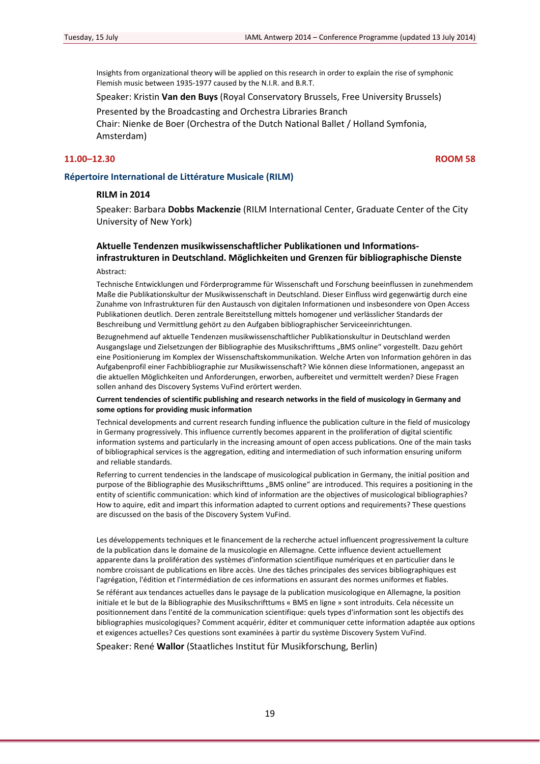Insights from organizational theory will be applied on this research in order to explain the rise of symphonic Flemish music between 1935‐1977 caused by the N.I.R. and B.R.T.

Speaker: Kristin **Van den Buys** (Royal Conservatory Brussels, Free University Brussels)

Presented by the Broadcasting and Orchestra Libraries Branch Chair: Nienke de Boer (Orchestra of the Dutch National Ballet / Holland Symfonia, Amsterdam)

## **11.00–12.30 ROOM 58**

## **Répertoire International de Littérature Musicale (RILM)**

## **RILM in 2014**

Speaker: Barbara **Dobbs Mackenzie** (RILM International Center, Graduate Center of the City University of New York)

## **Aktuelle Tendenzen musikwissenschaftlicher Publikationen und Informations‐ infrastrukturen in Deutschland. Möglichkeiten und Grenzen für bibliographische Dienste** Abstract:

Technische Entwicklungen und Förderprogramme für Wissenschaft und Forschung beeinflussen in zunehmendem Maße die Publikationskultur der Musikwissenschaft in Deutschland. Dieser Einfluss wird gegenwärtig durch eine Zunahme von Infrastrukturen für den Austausch von digitalen Informationen und insbesondere von Open Access Publikationen deutlich. Deren zentrale Bereitstellung mittels homogener und verlässlicher Standards der Beschreibung und Vermittlung gehört zu den Aufgaben bibliographischer Serviceeinrichtungen.

Bezugnehmend auf aktuelle Tendenzen musikwissenschaftlicher Publikationskultur in Deutschland werden Ausgangslage und Zielsetzungen der Bibliographie des Musikschrifttums "BMS online" vorgestellt. Dazu gehört eine Positionierung im Komplex der Wissenschaftskommunikation. Welche Arten von Information gehören in das Aufgabenprofil einer Fachbibliographie zur Musikwissenschaft? Wie können diese Informationen, angepasst an die aktuellen Möglichkeiten und Anforderungen, erworben, aufbereitet und vermittelt werden? Diese Fragen sollen anhand des Discovery Systems VuFind erörtert werden.

#### **Current tendencies of scientific publishing and research networks in the field of musicology in Germany and some options for providing music information**

Technical developments and current research funding influence the publication culture in the field of musicology in Germany progressively. This influence currently becomes apparent in the proliferation of digital scientific information systems and particularly in the increasing amount of open access publications. One of the main tasks of bibliographical services is the aggregation, editing and intermediation of such information ensuring uniform and reliable standards.

Referring to current tendencies in the landscape of musicological publication in Germany, the initial position and purpose of the Bibliographie des Musikschrifttums "BMS online" are introduced. This requires a positioning in the entity of scientific communication: which kind of information are the objectives of musicological bibliographies? How to aquire, edit and impart this information adapted to current options and requirements? These questions are discussed on the basis of the Discovery System VuFind.

Les développements techniques et le financement de la recherche actuel influencent progressivement la culture de la publication dans le domaine de la musicologie en Allemagne. Cette influence devient actuellement apparente dans la prolifération des systèmes d'information scientifique numériques et en particulier dans le nombre croissant de publications en libre accès. Une des tâches principales des services bibliographiques est l'agrégation, l'édition et l'intermédiation de ces informations en assurant des normes uniformes et fiables.

Se référant aux tendances actuelles dans le paysage de la publication musicologique en Allemagne, la position initiale et le but de la Bibliographie des Musikschrifttums « BMS en ligne » sont introduits. Cela nécessite un positionnement dans l'entité de la communication scientifique: quels types d'information sont les objectifs des bibliographies musicologiques? Comment acquérir, éditer et communiquer cette information adaptée aux options et exigences actuelles? Ces questions sont examinées à partir du système Discovery System VuFind.

Speaker: René **Wallor** (Staatliches Institut für Musikforschung, Berlin)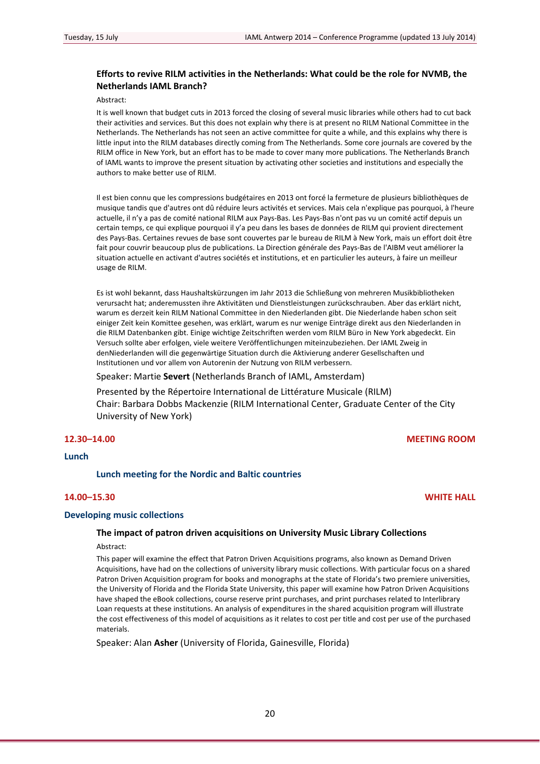## **Efforts to revive RILM activities in the Netherlands: What could be the role for NVMB, the Netherlands IAML Branch?**

Abstract:

It is well known that budget cuts in 2013 forced the closing of several music libraries while others had to cut back their activities and services. But this does not explain why there is at present no RILM National Committee in the Netherlands. The Netherlands has not seen an active committee for quite a while, and this explains why there is little input into the RILM databases directly coming from The Netherlands. Some core journals are covered by the RILM office in New York, but an effort has to be made to cover many more publications. The Netherlands Branch of IAML wants to improve the present situation by activating other societies and institutions and especially the authors to make better use of RILM.

Il est bien connu que les compressions budgétaires en 2013 ont forcé la fermeture de plusieurs bibliothèques de musique tandis que d'autres ont dû réduire leurs activités et services. Mais cela n'explique pas pourquoi, à l'heure actuelle, il n'y a pas de comité national RILM aux Pays‐Bas. Les Pays‐Bas n'ont pas vu un comité actif depuis un certain temps, ce qui explique pourquoi il y'a peu dans les bases de données de RILM qui provient directement des Pays‐Bas. Certaines revues de base sont couvertes par le bureau de RILM à New York, mais un effort doit être fait pour couvrir beaucoup plus de publications. La Direction générale des Pays‐Bas de l'AIBM veut améliorer la situation actuelle en activant d'autres sociétés et institutions, et en particulier les auteurs, à faire un meilleur usage de RILM.

Es ist wohl bekannt, dass Haushaltskürzungen im Jahr 2013 die Schließung von mehreren Musikbibliotheken verursacht hat; anderemussten ihre Aktivitäten und Dienstleistungen zurückschrauben. Aber das erklärt nicht, warum es derzeit kein RILM National Committee in den Niederlanden gibt. Die Niederlande haben schon seit einiger Zeit kein Komittee gesehen, was erklärt, warum es nur wenige Einträge direkt aus den Niederlanden in die RILM Datenbanken gibt. Einige wichtige Zeitschriften werden vom RILM Büro in New York abgedeckt. Ein Versuch sollte aber erfolgen, viele weitere Veröffentlichungen miteinzubeziehen. Der IAML Zweig in denNiederlanden will die gegenwärtige Situation durch die Aktivierung anderer Gesellschaften und Institutionen und vor allem von Autorenin der Nutzung von RILM verbessern.

Speaker: Martie **Severt** (Netherlands Branch of IAML, Amsterdam)

Presented by the Répertoire International de Littérature Musicale (RILM) Chair: Barbara Dobbs Mackenzie (RILM International Center, Graduate Center of the City University of New York)

**12.30–14.00 MEETING ROOM**

**Lunch**

## **Lunch meeting for the Nordic and Baltic countries**

## **14.00–15.30 WHITE HALL**

## **Developing music collections**

## **The impact of patron driven acquisitions on University Music Library Collections**

Abstract:

This paper will examine the effect that Patron Driven Acquisitions programs, also known as Demand Driven Acquisitions, have had on the collections of university library music collections. With particular focus on a shared Patron Driven Acquisition program for books and monographs at the state of Florida's two premiere universities, the University of Florida and the Florida State University, this paper will examine how Patron Driven Acquisitions have shaped the eBook collections, course reserve print purchases, and print purchases related to Interlibrary Loan requests at these institutions. An analysis of expenditures in the shared acquisition program will illustrate the cost effectiveness of this model of acquisitions as it relates to cost per title and cost per use of the purchased materials.

Speaker: Alan **Asher** (University of Florida, Gainesville, Florida)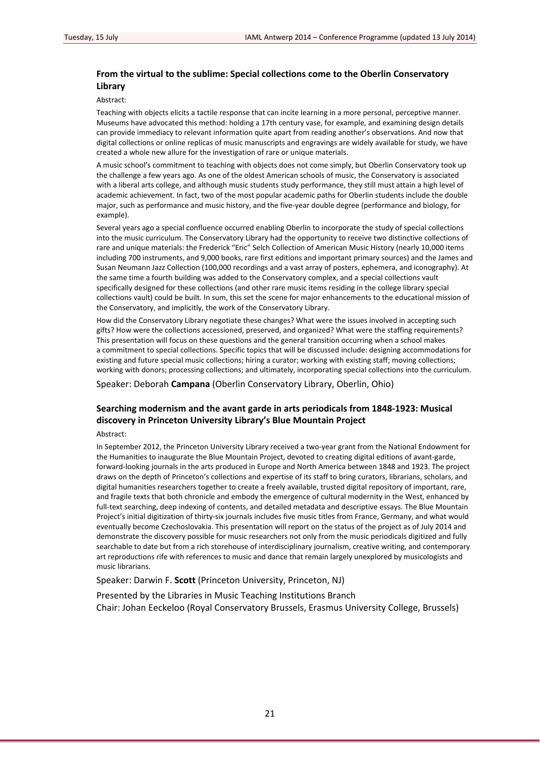## **From the virtual to the sublime: Special collections come to the Oberlin Conservatory Library**

#### Abstract:

Teaching with objects elicits a tactile response that can incite learning in a more personal, perceptive manner. Museums have advocated this method: holding a 17th century vase, for example, and examining design details can provide immediacy to relevant information quite apart from reading another's observations. And now that digital collections or online replicas of music manuscripts and engravings are widely available for study, we have created a whole new allure for the investigation of rare or unique materials.

A music school's commitment to teaching with objects does not come simply, but Oberlin Conservatory took up the challenge a few years ago. As one of the oldest American schools of music, the Conservatory is associated with a liberal arts college, and although music students study performance, they still must attain a high level of academic achievement. In fact, two of the most popular academic paths for Oberlin students include the double major, such as performance and music history, and the five-year double degree (performance and biology, for example).

Several years ago a special confluence occurred enabling Oberlin to incorporate the study of special collections into the music curriculum. The Conservatory Library had the opportunity to receive two distinctive collections of rare and unique materials: the Frederick "Eric" Selch Collection of American Music History (nearly 10,000 items including 700 instruments, and 9,000 books, rare first editions and important primary sources) and the James and Susan Neumann Jazz Collection (100,000 recordings and a vast array of posters, ephemera, and iconography). At the same time a fourth building was added to the Conservatory complex, and a special collections vault specifically designed for these collections (and other rare music items residing in the college library special collections vault) could be built. In sum, this set the scene for major enhancements to the educational mission of the Conservatory, and implicitly, the work of the Conservatory Library.

How did the Conservatory Library negotiate these changes? What were the issues involved in accepting such gifts? How were the collections accessioned, preserved, and organized? What were the staffing requirements? This presentation will focus on these questions and the general transition occurring when a school makes a commitment to special collections. Specific topics that will be discussed include: designing accommodations for existing and future special music collections; hiring a curator; working with existing staff; moving collections; working with donors; processing collections; and ultimately, incorporating special collections into the curriculum.

Speaker: Deborah **Campana** (Oberlin Conservatory Library, Oberlin, Ohio)

## **Searching modernism and the avant garde in arts periodicals from 1848‐1923: Musical discovery in Princeton University Library's Blue Mountain Project**

#### Abstract:

In September 2012, the Princeton University Library received a two-year grant from the National Endowment for the Humanities to inaugurate the Blue Mountain Project, devoted to creating digital editions of avant-garde, forward‐looking journals in the arts produced in Europe and North America between 1848 and 1923. The project draws on the depth of Princeton's collections and expertise of its staff to bring curators, librarians, scholars, and digital humanities researchers together to create a freely available, trusted digital repository of important, rare, and fragile texts that both chronicle and embody the emergence of cultural modernity in the West, enhanced by full-text searching, deep indexing of contents, and detailed metadata and descriptive essays. The Blue Mountain Project's initial digitization of thirty‐six journals includes five music titles from France, Germany, and what would eventually become Czechoslovakia. This presentation will report on the status of the project as of July 2014 and demonstrate the discovery possible for music researchers not only from the music periodicals digitized and fully searchable to date but from a rich storehouse of interdisciplinary journalism, creative writing, and contemporary art reproductions rife with references to music and dance that remain largely unexplored by musicologists and music librarians.

Speaker: Darwin F. **Scott** (Princeton University, Princeton, NJ)

Presented by the Libraries in Music Teaching Institutions Branch Chair: Johan Eeckeloo (Royal Conservatory Brussels, Erasmus University College, Brussels)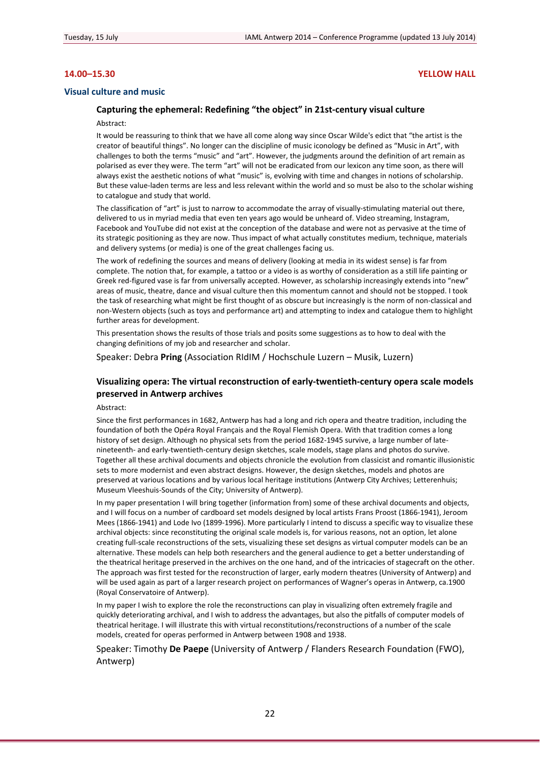## **14.00–15.30 YELLOW HALL**

### **Visual culture and music**

## **Capturing the ephemeral: Redefining "the object" in 21st‐century visual culture**

#### Abstract:

It would be reassuring to think that we have all come along way since Oscar Wilde's edict that "the artist is the creator of beautiful things". No longer can the discipline of music iconology be defined as "Music in Art", with challenges to both the terms "music" and "art". However, the judgments around the definition of art remain as polarised as ever they were. The term "art" will not be eradicated from our lexicon any time soon, as there will always exist the aesthetic notions of what "music" is, evolving with time and changes in notions of scholarship. But these value‐laden terms are less and less relevant within the world and so must be also to the scholar wishing to catalogue and study that world.

The classification of "art" is just to narrow to accommodate the array of visually‐stimulating material out there, delivered to us in myriad media that even ten years ago would be unheard of. Video streaming, Instagram, Facebook and YouTube did not exist at the conception of the database and were not as pervasive at the time of its strategic positioning as they are now. Thus impact of what actually constitutes medium, technique, materials and delivery systems (or media) is one of the great challenges facing us.

The work of redefining the sources and means of delivery (looking at media in its widest sense) is far from complete. The notion that, for example, a tattoo or a video is as worthy of consideration as a still life painting or Greek red-figured vase is far from universally accepted. However, as scholarship increasingly extends into "new" areas of music, theatre, dance and visual culture then this momentum cannot and should not be stopped. I took the task of researching what might be first thought of as obscure but increasingly is the norm of non‐classical and non‐Western objects (such as toys and performance art) and attempting to index and catalogue them to highlight further areas for development.

This presentation shows the results of those trials and posits some suggestions as to how to deal with the changing definitions of my job and researcher and scholar.

Speaker: Debra **Pring** (Association RIdIM / Hochschule Luzern – Musik, Luzern)

## **Visualizing opera: The virtual reconstruction of early‐twentieth‐century opera scale models preserved in Antwerp archives**

Abstract:

Since the first performances in 1682, Antwerp has had a long and rich opera and theatre tradition, including the foundation of both the Opéra Royal Français and the Royal Flemish Opera. With that tradition comes a long history of set design. Although no physical sets from the period 1682-1945 survive, a large number of latenineteenth- and early-twentieth-century design sketches, scale models, stage plans and photos do survive. Together all these archival documents and objects chronicle the evolution from classicist and romantic illusionistic sets to more modernist and even abstract designs. However, the design sketches, models and photos are preserved at various locations and by various local heritage institutions (Antwerp City Archives; Letterenhuis; Museum Vleeshuis‐Sounds of the City; University of Antwerp).

In my paper presentation I will bring together (information from) some of these archival documents and objects, and I will focus on a number of cardboard set models designed by local artists Frans Proost (1866‐1941), Jeroom Mees (1866‐1941) and Lode Ivo (1899‐1996). More particularly I intend to discuss a specific way to visualize these archival objects: since reconstituting the original scale models is, for various reasons, not an option, let alone creating full‐scale reconstructions of the sets, visualizing these set designs as virtual computer models can be an alternative. These models can help both researchers and the general audience to get a better understanding of the theatrical heritage preserved in the archives on the one hand, and of the intricacies of stagecraft on the other. The approach was first tested for the reconstruction of larger, early modern theatres (University of Antwerp) and will be used again as part of a larger research project on performances of Wagner's operas in Antwerp, ca.1900 (Royal Conservatoire of Antwerp).

In my paper I wish to explore the role the reconstructions can play in visualizing often extremely fragile and quickly deteriorating archival, and I wish to address the advantages, but also the pitfalls of computer models of theatrical heritage. I will illustrate this with virtual reconstitutions/reconstructions of a number of the scale models, created for operas performed in Antwerp between 1908 and 1938.

Speaker: Timothy **De Paepe** (University of Antwerp / Flanders Research Foundation (FWO), Antwerp)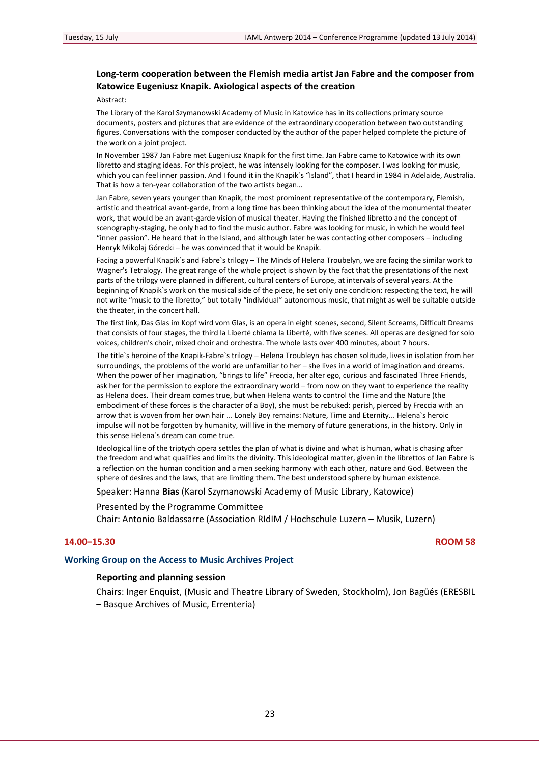## **Long‐term cooperation between the Flemish media artist Jan Fabre and the composer from Katowice Eugeniusz Knapik. Axiological aspects of the creation**

#### Abstract:

The Library of the Karol Szymanowski Academy of Music in Katowice has in its collections primary source documents, posters and pictures that are evidence of the extraordinary cooperation between two outstanding figures. Conversations with the composer conducted by the author of the paper helped complete the picture of the work on a joint project.

In November 1987 Jan Fabre met Eugeniusz Knapik for the first time. Jan Fabre came to Katowice with its own libretto and staging ideas. For this project, he was intensely looking for the composer. I was looking for music, which you can feel inner passion. And I found it in the Knapik`s "Island", that I heard in 1984 in Adelaide, Australia. That is how a ten-year collaboration of the two artists began...

Jan Fabre, seven years younger than Knapik, the most prominent representative of the contemporary, Flemish, artistic and theatrical avant‐garde, from a long time has been thinking about the idea of the monumental theater work, that would be an avant‐garde vision of musical theater. Having the finished libretto and the concept of scenography‐staging, he only had to find the music author. Fabre was looking for music, in which he would feel "inner passion". He heard that in the Island, and although later he was contacting other composers – including Henryk Mikolaj Górecki – he was convinced that it would be Knapik.

Facing a powerful Knapik`s and Fabre`s trilogy – The Minds of Helena Troubelyn, we are facing the similar work to Wagner's Tetralogy. The great range of the whole project is shown by the fact that the presentations of the next parts of the trilogy were planned in different, cultural centers of Europe, at intervals of several years. At the beginning of Knapik`s work on the musical side of the piece, he set only one condition: respecting the text, he will not write "music to the libretto," but totally "individual" autonomous music, that might as well be suitable outside the theater, in the concert hall.

The first link, Das Glas im Kopf wird vom Glas, is an opera in eight scenes, second, Silent Screams, Difficult Dreams that consists of four stages, the third la Liberté chiama la Liberté, with five scenes. All operas are designed for solo voices, children's choir, mixed choir and orchestra. The whole lasts over 400 minutes, about 7 hours.

The title`s heroine of the Knapik‐Fabre`s trilogy – Helena Troubleyn has chosen solitude, lives in isolation from her surroundings, the problems of the world are unfamiliar to her – she lives in a world of imagination and dreams. When the power of her imagination, "brings to life" Freccia, her alter ego, curious and fascinated Three Friends, ask her for the permission to explore the extraordinary world – from now on they want to experience the reality as Helena does. Their dream comes true, but when Helena wants to control the Time and the Nature (the embodiment of these forces is the character of a Boy), she must be rebuked: perish, pierced by Freccia with an arrow that is woven from her own hair ... Lonely Boy remains: Nature, Time and Eternity... Helena`s heroic impulse will not be forgotten by humanity, will live in the memory of future generations, in the history. Only in this sense Helena`s dream can come true.

Ideological line of the triptych opera settles the plan of what is divine and what is human, what is chasing after the freedom and what qualifies and limits the divinity. This ideological matter, given in the librettos of Jan Fabre is a reflection on the human condition and a men seeking harmony with each other, nature and God. Between the sphere of desires and the laws, that are limiting them. The best understood sphere by human existence.

## Speaker: Hanna **Bias** (Karol Szymanowski Academy of Music Library, Katowice)

### Presented by the Programme Committee

Chair: Antonio Baldassarre (Association RIdIM / Hochschule Luzern – Musik, Luzern)

## **14.00–15.30 ROOM 58**

## **Working Group on the Access to Music Archives Project**

## **Reporting and planning session**

Chairs: Inger Enquist, (Music and Theatre Library of Sweden, Stockholm), Jon Bagüés (ERESBIL – Basque Archives of Music, Errenteria)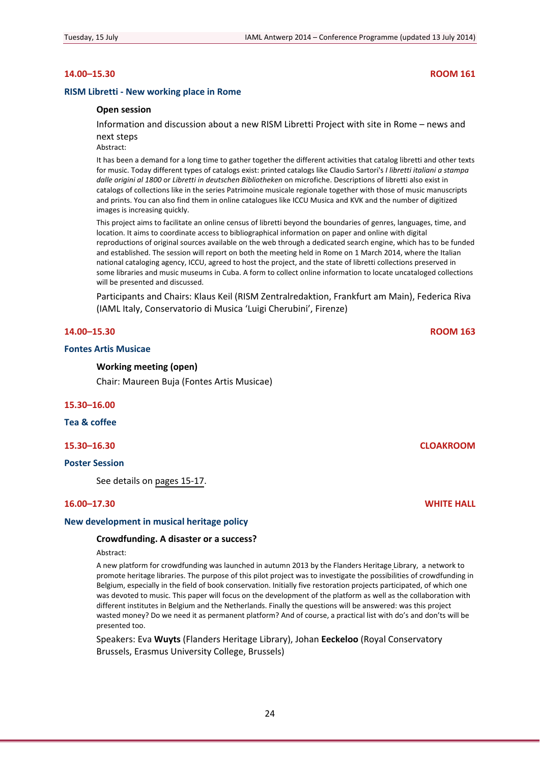## **14.00–15.30 ROOM 161**

#### **RISM Libretti ‐ New working place in Rome**

#### **Open session**

Information and discussion about a new RISM Libretti Project with site in Rome – news and next steps

Abstract:

It has been a demand for a long time to gather together the different activities that catalog libretti and other texts for music. Today different types of catalogs exist: printed catalogs like Claudio Sartori's *I libretti italiani a stampa dalle origini al 1800* or *Libretti in deutschen Bibliotheken* on microfiche. Descriptions of libretti also exist in catalogs of collections like in the series Patrimoine musicale regionale together with those of music manuscripts and prints. You can also find them in online catalogues like ICCU Musica and KVK and the number of digitized images is increasing quickly.

This project aims to facilitate an online census of libretti beyond the boundaries of genres, languages, time, and location. It aims to coordinate access to bibliographical information on paper and online with digital reproductions of original sources available on the web through a dedicated search engine, which has to be funded and established. The session will report on both the meeting held in Rome on 1 March 2014, where the Italian national cataloging agency, ICCU, agreed to host the project, and the state of libretti collections preserved in some libraries and music museums in Cuba. A form to collect online information to locate uncataloged collections will be presented and discussed.

Participants and Chairs: Klaus Keil (RISM Zentralredaktion, Frankfurt am Main), Federica Riva (IAML Italy, Conservatorio di Musica 'Luigi Cherubini', Firenze)

## **14.00–15.30 ROOM 163**

#### **Fontes Artis Musicae**

#### **Working meeting (open)**

Chair: Maureen Buja (Fontes Artis Musicae)

## **15.30–16.00**

**Tea & coffee**

### **15.30–16.30 CLOAKROOM**

## **Poster Session**

See details on [pages](#page-14-0) 15‐17.

## **16.00–17.30 WHITE HALL**

### **New development in musical heritage policy**

#### **Crowdfunding. A disaster or a success?**

#### Abstract:

A new platform for crowdfunding was launched in autumn 2013 by the Flanders Heritage Library, a network to promote heritage libraries. The purpose of this pilot project was to investigate the possibilities of crowdfunding in Belgium, especially in the field of book conservation. Initially five restoration projects participated, of which one was devoted to music. This paper will focus on the development of the platform as well as the collaboration with different institutes in Belgium and the Netherlands. Finally the questions will be answered: was this project wasted money? Do we need it as permanent platform? And of course, a practical list with do's and don'ts will be presented too.

Speakers: Eva **Wuyts** (Flanders Heritage Library), Johan **Eeckeloo** (Royal Conservatory Brussels, Erasmus University College, Brussels)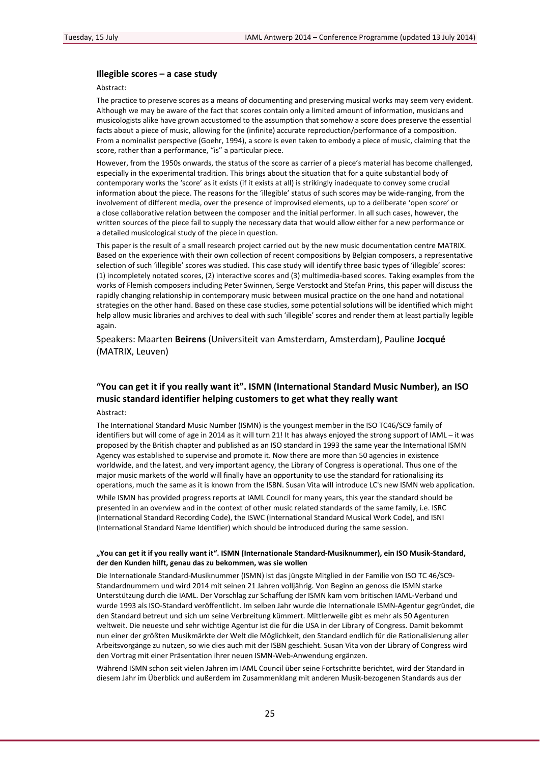## **Illegible scores – a case study**

#### Abstract:

The practice to preserve scores as a means of documenting and preserving musical works may seem very evident. Although we may be aware of the fact that scores contain only a limited amount of information, musicians and musicologists alike have grown accustomed to the assumption that somehow a score does preserve the essential facts about a piece of music, allowing for the (infinite) accurate reproduction/performance of a composition. From a nominalist perspective (Goehr, 1994), a score is even taken to embody a piece of music, claiming that the score, rather than a performance, "is" a particular piece.

However, from the 1950s onwards, the status of the score as carrier of a piece's material has become challenged, especially in the experimental tradition. This brings about the situation that for a quite substantial body of contemporary works the 'score' as it exists (if it exists at all) is strikingly inadequate to convey some crucial information about the piece. The reasons for the 'illegible' status of such scores may be wide-ranging, from the involvement of different media, over the presence of improvised elements, up to a deliberate 'open score' or a close collaborative relation between the composer and the initial performer. In all such cases, however, the written sources of the piece fail to supply the necessary data that would allow either for a new performance or a detailed musicological study of the piece in question.

This paper is the result of a small research project carried out by the new music documentation centre MATRIX. Based on the experience with their own collection of recent compositions by Belgian composers, a representative selection of such 'illegible' scores was studied. This case study will identify three basic types of 'illegible' scores: (1) incompletely notated scores, (2) interactive scores and (3) multimedia‐based scores. Taking examples from the works of Flemish composers including Peter Swinnen, Serge Verstockt and Stefan Prins, this paper will discuss the rapidly changing relationship in contemporary music between musical practice on the one hand and notational strategies on the other hand. Based on these case studies, some potential solutions will be identified which might help allow music libraries and archives to deal with such 'illegible' scores and render them at least partially legible again.

Speakers: Maarten **Beirens** (Universiteit van Amsterdam, Amsterdam), Pauline **Jocqué** (MATRIX, Leuven)

## **"You can get it if you really want it". ISMN (International Standard Music Number), an ISO music standard identifier helping customers to get what they really want**

## Abstract:

The International Standard Music Number (ISMN) is the youngest member in the ISO TC46/SC9 family of identifiers but will come of age in 2014 as it will turn 21! It has always enjoyed the strong support of IAML – it was proposed by the British chapter and published as an ISO standard in 1993 the same year the International ISMN Agency was established to supervise and promote it. Now there are more than 50 agencies in existence worldwide, and the latest, and very important agency, the Library of Congress is operational. Thus one of the major music markets of the world will finally have an opportunity to use the standard for rationalising its operations, much the same as it is known from the ISBN. Susan Vita will introduce LC's new ISMN web application.

While ISMN has provided progress reports at IAML Council for many years, this year the standard should be presented in an overview and in the context of other music related standards of the same family, i.e. ISRC (International Standard Recording Code), the ISWC (International Standard Musical Work Code), and ISNI (International Standard Name Identifier) which should be introduced during the same session.

### "You can get it if you really want it". ISMN (Internationale Standard-Musiknummer), ein ISO Musik-Standard, **der den Kunden hilft, genau das zu bekommen, was sie wollen**

Die Internationale Standard‐Musiknummer (ISMN) ist das jüngste Mitglied in der Familie von ISO TC 46/SC9‐ Standardnummern und wird 2014 mit seinen 21 Jahren volljährig. Von Beginn an genoss die ISMN starke Unterstützung durch die IAML. Der Vorschlag zur Schaffung der ISMN kam vom britischen IAML‐Verband und wurde 1993 als ISO‐Standard veröffentlicht. Im selben Jahr wurde die Internationale ISMN‐Agentur gegründet, die den Standard betreut und sich um seine Verbreitung kümmert. Mittlerweile gibt es mehr als 50 Agenturen weltweit. Die neueste und sehr wichtige Agentur ist die für die USA in der Library of Congress. Damit bekommt nun einer der größten Musikmärkte der Welt die Möglichkeit, den Standard endlich für die Rationalisierung aller Arbeitsvorgänge zu nutzen, so wie dies auch mit der ISBN geschieht. Susan Vita von der Library of Congress wird den Vortrag mit einer Präsentation ihrer neuen ISMN‐Web‐Anwendung ergänzen.

Während ISMN schon seit vielen Jahren im IAML Council über seine Fortschritte berichtet, wird der Standard in diesem Jahr im Überblick und außerdem im Zusammenklang mit anderen Musik‐bezogenen Standards aus der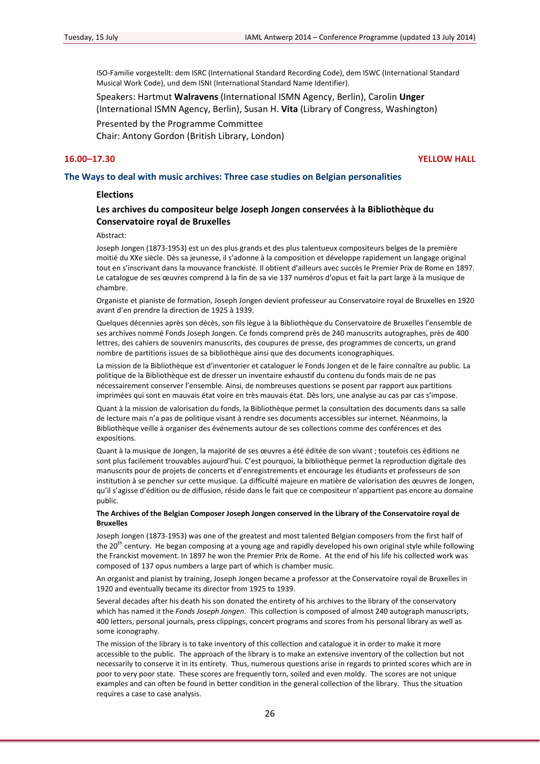ISO‐Familie vorgestellt: dem ISRC (International Standard Recording Code), dem ISWC (International Standard Musical Work Code), und dem ISNI (International Standard Name Identifier).

Speakers: Hartmut **Walravens** (International ISMN Agency, Berlin), Carolin **Unger** (International ISMN Agency, Berlin), Susan H. **Vita** (Library of Congress, Washington)

Presented by the Programme Committee

Chair: Antony Gordon (British Library, London)

## **16.00–17.30 YELLOW HALL**

#### **The Ways to deal with music archives: Three case studies on Belgian personalities**

## **Elections**

## **Les archives du compositeur belge Joseph Jongen conservées à la Bibliothèque du Conservatoire royal de Bruxelles**

#### Abstract:

Joseph Jongen (1873‐1953) est un des plus grands et des plus talentueux compositeurs belges de la première moitié du XXe siècle. Dès sa jeunesse, il s'adonne à la composition et développe rapidement un langage original tout en s'inscrivant dans la mouvance franckiste. Il obtient d'ailleurs avec succès le Premier Prix de Rome en 1897. Le catalogue de ses œuvres comprend à la fin de sa vie 137 numéros d'opus et fait la part large à la musique de chambre.

Organiste et pianiste de formation, Joseph Jongen devient professeur au Conservatoire royal de Bruxelles en 1920 avant d'en prendre la direction de 1925 à 1939.

Quelques décennies après son décès, son fils lègue à la Bibliothèque du Conservatoire de Bruxelles l'ensemble de ses archives nommé Fonds Joseph Jongen. Ce fonds comprend près de 240 manuscrits autographes, près de 400 lettres, des cahiers de souvenirs manuscrits, des coupures de presse, des programmes de concerts, un grand nombre de partitions issues de sa bibliothèque ainsi que des documents iconographiques.

La mission de la Bibliothèque est d'inventorier et cataloguer le Fonds Jongen et de le faire connaître au public. La politique de la Bibliothèque est de dresser un inventaire exhaustif du contenu du fonds mais de ne pas nécessairement conserver l'ensemble. Ainsi, de nombreuses questions se posent par rapport aux partitions imprimées qui sont en mauvais état voire en très mauvais état. Dès lors, une analyse au cas par cas s'impose.

Quant à la mission de valorisation du fonds, la Bibliothèque permet la consultation des documents dans sa salle de lecture mais n'a pas de politique visant à rendre ses documents accessibles sur internet. Néanmoins, la Bibliothèque veille à organiser des événements autour de ses collections comme des conférences et des expositions.

Quant à la musique de Jongen, la majorité de ses œuvres a été éditée de son vivant ; toutefois ces éditions ne sont plus facilement trouvables aujourd'hui. C'est pourquoi, la bibliothèque permet la reproduction digitale des manuscrits pour de projets de concerts et d'enregistrements et encourage les étudiants et professeurs de son institution à se pencher sur cette musique. La difficulté majeure en matière de valorisation des œuvres de Jongen, qu'il s'agisse d'édition ou de diffusion, réside dans le fait que ce compositeur n'appartient pas encore au domaine public.

#### **The Archives of the Belgian Composer Joseph Jongen conserved in the Library of the Conservatoire royal de Bruxelles**

Joseph Jongen (1873‐1953) was one of the greatest and most talented Belgian composers from the first half of the 20<sup>th</sup> century. He began composing at a young age and rapidly developed his own original style while following the Franckist movement. In 1897 he won the Premier Prix de Rome. At the end of his life his collected work was composed of 137 opus numbers a large part of which is chamber music.

An organist and pianist by training, Joseph Jongen became a professor at the Conservatoire royal de Bruxelles in 1920 and eventually became its director from 1925 to 1939.

Several decades after his death his son donated the entirety of his archives to the library of the conservatory which has named it the *Fonds Joseph Jongen*. This collection is composed of almost 240 autograph manuscripts, 400 letters, personal journals, press clippings, concert programs and scores from his personal library as well as some iconography.

The mission of the library is to take inventory of this collection and catalogue it in order to make it more accessible to the public. The approach of the library is to make an extensive inventory of the collection but not necessarily to conserve it in its entirety. Thus, numerous questions arise in regards to printed scores which are in poor to very poor state. These scores are frequently torn, soiled and even moldy. The scores are not unique examples and can often be found in better condition in the general collection of the library. Thus the situation requires a case to case analysis.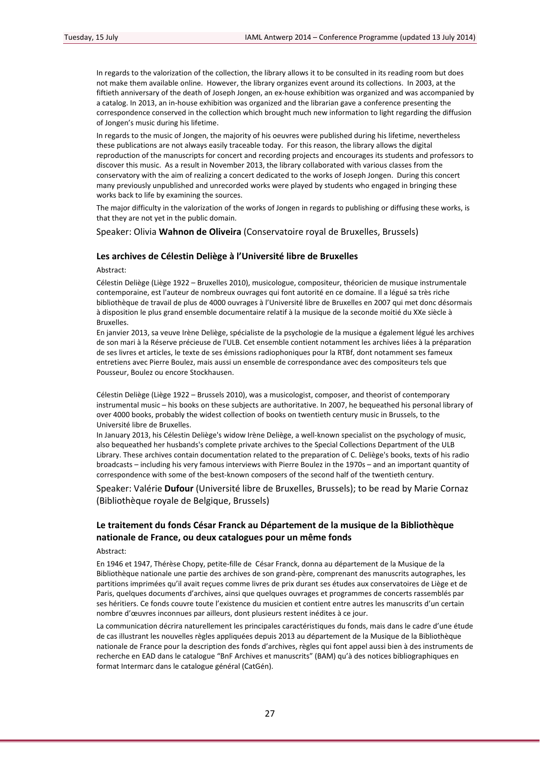In regards to the valorization of the collection, the library allows it to be consulted in its reading room but does not make them available online. However, the library organizes event around its collections. In 2003, at the fiftieth anniversary of the death of Joseph Jongen, an ex‐house exhibition was organized and was accompanied by a catalog. In 2013, an in‐house exhibition was organized and the librarian gave a conference presenting the correspondence conserved in the collection which brought much new information to light regarding the diffusion of Jongen's music during his lifetime.

In regards to the music of Jongen, the majority of his oeuvres were published during his lifetime, nevertheless these publications are not always easily traceable today. For this reason, the library allows the digital reproduction of the manuscripts for concert and recording projects and encourages its students and professors to discover this music. As a result in November 2013, the library collaborated with various classes from the conservatory with the aim of realizing a concert dedicated to the works of Joseph Jongen. During this concert many previously unpublished and unrecorded works were played by students who engaged in bringing these works back to life by examining the sources.

The major difficulty in the valorization of the works of Jongen in regards to publishing or diffusing these works, is that they are not yet in the public domain.

Speaker: Olivia **Wahnon de Oliveira** (Conservatoire royal de Bruxelles, Brussels)

### **Les archives de Célestin Deliège à l'Université libre de Bruxelles**

#### Abstract:

Célestin Deliège (Liège 1922 – Bruxelles 2010), musicologue, compositeur, théoricien de musique instrumentale contemporaine, est l'auteur de nombreux ouvrages qui font autorité en ce domaine. Il a légué sa très riche bibliothèque de travail de plus de 4000 ouvrages à l'Université libre de Bruxelles en 2007 qui met donc désormais à disposition le plus grand ensemble documentaire relatif à la musique de la seconde moitié du XXe siècle à Bruxelles.

En janvier 2013, sa veuve Irène Deliège, spécialiste de la psychologie de la musique a également légué les archives de son mari à la Réserve précieuse de l'ULB. Cet ensemble contient notamment les archives liées à la préparation de ses livres et articles, le texte de ses émissions radiophoniques pour la RTBf, dont notamment ses fameux entretiens avec Pierre Boulez, mais aussi un ensemble de correspondance avec des compositeurs tels que Pousseur, Boulez ou encore Stockhausen.

Célestin Deliège (Liège 1922 – Brussels 2010), was a musicologist, composer, and theorist of contemporary instrumental music – his books on these subjects are authoritative. In 2007, he bequeathed his personal library of over 4000 books, probably the widest collection of books on twentieth century music in Brussels, to the Université libre de Bruxelles.

In January 2013, his Célestin Deliège's widow Irène Deliège, a well‐known specialist on the psychology of music, also bequeathed her husbands's complete private archives to the Special Collections Department of the ULB Library. These archives contain documentation related to the preparation of C. Deliège's books, texts of his radio broadcasts – including his very famous interviews with Pierre Boulez in the 1970s – and an important quantity of correspondence with some of the best-known composers of the second half of the twentieth century.

Speaker: Valérie **Dufour** (Université libre de Bruxelles, Brussels); to be read by Marie Cornaz (Bibliothèque royale de Belgique, Brussels)

## **Le traitement du fonds César Franck au Département de la musique de la Bibliothèque nationale de France, ou deux catalogues pour un même fonds**

## Abstract:

En 1946 et 1947, Thérèse Chopy, petite‐fille de César Franck, donna au département de la Musique de la Bibliothèque nationale une partie des archives de son grand‐père, comprenant des manuscrits autographes, les partitions imprimées qu'il avait reçues comme livres de prix durant ses études aux conservatoires de Liège et de Paris, quelques documents d'archives, ainsi que quelques ouvrages et programmes de concerts rassemblés par ses héritiers. Ce fonds couvre toute l'existence du musicien et contient entre autres les manuscrits d'un certain nombre d'œuvres inconnues par ailleurs, dont plusieurs restent inédites à ce jour.

La communication décrira naturellement les principales caractéristiques du fonds, mais dans le cadre d'une étude de cas illustrant les nouvelles règles appliquées depuis 2013 au département de la Musique de la Bibliothèque nationale de France pour la description des fonds d'archives, règles qui font appel aussi bien à des instruments de recherche en EAD dans le catalogue "BnF Archives et manuscrits" (BAM) qu'à des notices bibliographiques en format Intermarc dans le catalogue général (CatGén).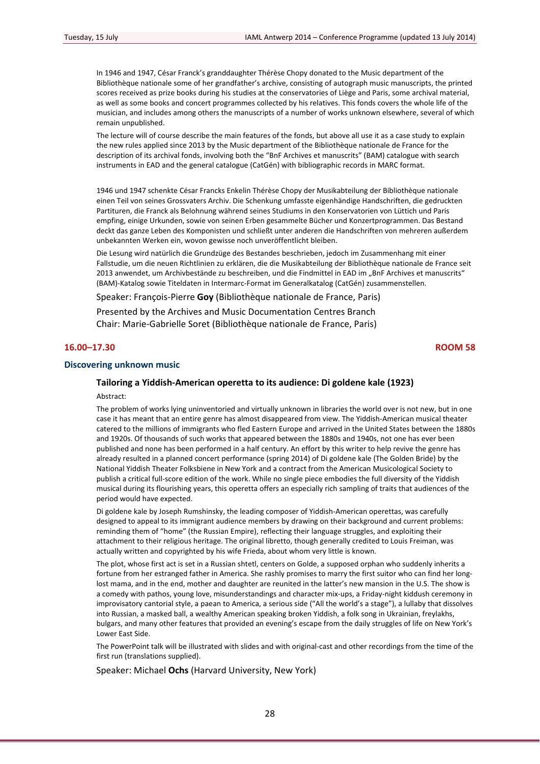In 1946 and 1947, César Franck's granddaughter Thérèse Chopy donated to the Music department of the Bibliothèque nationale some of her grandfather's archive, consisting of autograph music manuscripts, the printed scores received as prize books during his studies at the conservatories of Liège and Paris, some archival material, as well as some books and concert programmes collected by his relatives. This fonds covers the whole life of the musician, and includes among others the manuscripts of a number of works unknown elsewhere, several of which remain unpublished.

The lecture will of course describe the main features of the fonds, but above all use it as a case study to explain the new rules applied since 2013 by the Music department of the Bibliothèque nationale de France for the description of its archival fonds, involving both the "BnF Archives et manuscrits" (BAM) catalogue with search instruments in EAD and the general catalogue (CatGén) with bibliographic records in MARC format.

1946 und 1947 schenkte César Francks Enkelin Thérèse Chopy der Musikabteilung der Bibliothèque nationale einen Teil von seines Grossvaters Archiv. Die Schenkung umfasste eigenhändige Handschriften, die gedruckten Partituren, die Franck als Belohnung während seines Studiums in den Konservatorien von Lüttich und Paris empfing, einige Urkunden, sowie von seinen Erben gesammelte Bücher und Konzertprogrammen. Das Bestand deckt das ganze Leben des Komponisten und schließt unter anderen die Handschriften von mehreren außerdem unbekannten Werken ein, wovon gewisse noch unveröffentlicht bleiben.

Die Lesung wird natürlich die Grundzüge des Bestandes beschrieben, jedoch im Zusammenhang mit einer Fallstudie, um die neuen Richtlinien zu erklären, die die Musikabteilung der Bibliothèque nationale de France seit 2013 anwendet, um Archivbestände zu beschreiben, und die Findmittel in EAD im "BnF Archives et manuscrits" (BAM)‐Katalog sowie Titeldaten in Intermarc‐Format im Generalkatalog (CatGén) zusammenstellen.

Speaker: François‐Pierre **Goy** (Bibliothèque nationale de France, Paris)

Presented by the Archives and Music Documentation Centres Branch Chair: Marie‐Gabrielle Soret (Bibliothèque nationale de France, Paris)

## **16.00–17.30 ROOM 58**

## **Discovering unknown music**

## **Tailoring a Yiddish‐American operetta to its audience: Di goldene kale (1923)**

#### Abstract:

The problem of works lying uninventoried and virtually unknown in libraries the world over is not new, but in one case it has meant that an entire genre has almost disappeared from view. The Yiddish‐American musical theater catered to the millions of immigrants who fled Eastern Europe and arrived in the United States between the 1880s and 1920s. Of thousands of such works that appeared between the 1880s and 1940s, not one has ever been published and none has been performed in a half century. An effort by this writer to help revive the genre has already resulted in a planned concert performance (spring 2014) of Di goldene kale (The Golden Bride) by the National Yiddish Theater Folksbiene in New York and a contract from the American Musicological Society to publish a critical full‐score edition of the work. While no single piece embodies the full diversity of the Yiddish musical during its flourishing years, this operetta offers an especially rich sampling of traits that audiences of the period would have expected.

Di goldene kale by Joseph Rumshinsky, the leading composer of Yiddish‐American operettas, was carefully designed to appeal to its immigrant audience members by drawing on their background and current problems: reminding them of "home" (the Russian Empire), reflecting their language struggles, and exploiting their attachment to their religious heritage. The original libretto, though generally credited to Louis Freiman, was actually written and copyrighted by his wife Frieda, about whom very little is known.

The plot, whose first act is set in a Russian shtetl, centers on Golde, a supposed orphan who suddenly inherits a fortune from her estranged father in America. She rashly promises to marry the first suitor who can find her longlost mama, and in the end, mother and daughter are reunited in the latter's new mansion in the U.S. The show is a comedy with pathos, young love, misunderstandings and character mix‐ups, a Friday‐night kiddush ceremony in improvisatory cantorial style, a paean to America, a serious side ("All the world's a stage"), a lullaby that dissolves into Russian, a masked ball, a wealthy American speaking broken Yiddish, a folk song in Ukrainian, freylakhs, bulgars, and many other features that provided an evening's escape from the daily struggles of life on New York's Lower East Side.

The PowerPoint talk will be illustrated with slides and with original‐cast and other recordings from the time of the first run (translations supplied).

Speaker: Michael **Ochs** (Harvard University, New York)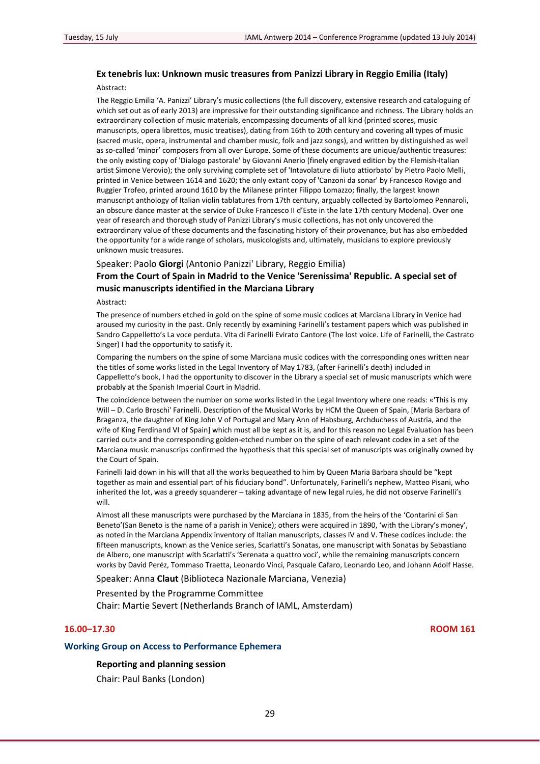## **Ex tenebris lux: Unknown music treasures from Panizzi Library in Reggio Emilia (Italy)**

Abstract:

The Reggio Emilia 'A. Panizzi' Library's music collections (the full discovery, extensive research and cataloguing of which set out as of early 2013) are impressive for their outstanding significance and richness. The Library holds an extraordinary collection of music materials, encompassing documents of all kind (printed scores, music manuscripts, opera librettos, music treatises), dating from 16th to 20th century and covering all types of music (sacred music, opera, instrumental and chamber music, folk and jazz songs), and written by distinguished as well as so-called 'minor' composers from all over Europe. Some of these documents are unique/authentic treasures: the only existing copy of 'Dialogo pastorale' by Giovanni Anerio (finely engraved edition by the Flemish‐Italian artist Simone Verovio); the only surviving complete set of 'Intavolature di liuto attiorbato' by Pietro Paolo Melli, printed in Venice between 1614 and 1620; the only extant copy of 'Canzoni da sonar' by Francesco Rovigo and Ruggier Trofeo, printed around 1610 by the Milanese printer Filippo Lomazzo; finally, the largest known manuscript anthology of Italian violin tablatures from 17th century, arguably collected by Bartolomeo Pennaroli, an obscure dance master at the service of Duke Francesco II d'Este in the late 17th century Modena). Over one year of research and thorough study of Panizzi Library's music collections, has not only uncovered the extraordinary value of these documents and the fascinating history of their provenance, but has also embedded the opportunity for a wide range of scholars, musicologists and, ultimately, musicians to explore previously unknown music treasures.

#### Speaker: Paolo **Giorgi** (Antonio Panizzi' Library, Reggio Emilia)

## **From the Court of Spain in Madrid to the Venice 'Serenissima' Republic. A special set of music manuscripts identified in the Marciana Library**

Abstract:

The presence of numbers etched in gold on the spine of some music codices at Marciana Library in Venice had aroused my curiosity in the past. Only recently by examining Farinelli's testament papers which was published in Sandro Cappelletto's La voce perduta. Vita di Farinelli Evirato Cantore (The lost voice. Life of Farinelli, the Castrato Singer) I had the opportunity to satisfy it.

Comparing the numbers on the spine of some Marciana music codices with the corresponding ones written near the titles of some works listed in the Legal Inventory of May 1783, (after Farinelli's death) included in Cappelletto's book, I had the opportunity to discover in the Library a special set of music manuscripts which were probably at the Spanish Imperial Court in Madrid.

The coincidence between the number on some works listed in the Legal Inventory where one reads: «'This is my Will – D. Carlo Broschi' Farinelli. Description of the Musical Works by HCM the Queen of Spain, [Maria Barbara of Braganza, the daughter of King John V of Portugal and Mary Ann of Habsburg, Archduchess of Austria, and the wife of King Ferdinand VI of Spain] which must all be kept as it is, and for this reason no Legal Evaluation has been carried out» and the corresponding golden‐etched number on the spine of each relevant codex in a set of the Marciana music manuscrips confirmed the hypothesis that this special set of manuscripts was originally owned by the Court of Spain.

Farinelli laid down in his will that all the works bequeathed to him by Queen Maria Barbara should be "kept together as main and essential part of his fiduciary bond". Unfortunately, Farinelli's nephew, Matteo Pisani, who inherited the lot, was a greedy squanderer – taking advantage of new legal rules, he did not observe Farinelli's will.

Almost all these manuscripts were purchased by the Marciana in 1835, from the heirs of the 'Contarini di San Beneto'(San Beneto is the name of a parish in Venice); others were acquired in 1890, 'with the Library's money', as noted in the Marciana Appendix inventory of Italian manuscripts, classes IV and V. These codices include: the fifteen manuscripts, known as the Venice series, Scarlatti's Sonatas, one manuscript with Sonatas by Sebastiano de Albero, one manuscript with Scarlatti's 'Serenata a quattro voci', while the remaining manuscripts concern works by David Peréz, Tommaso Traetta, Leonardo Vinci, Pasquale Cafaro, Leonardo Leo, and Johann Adolf Hasse.

Speaker: Anna **Claut** (Biblioteca Nazionale Marciana, Venezia)

Presented by the Programme Committee

Chair: Martie Severt (Netherlands Branch of IAML, Amsterdam)

## **16.00–17.30 ROOM 161**

#### **Working Group on Access to Performance Ephemera**

## **Reporting and planning session**

Chair: Paul Banks (London)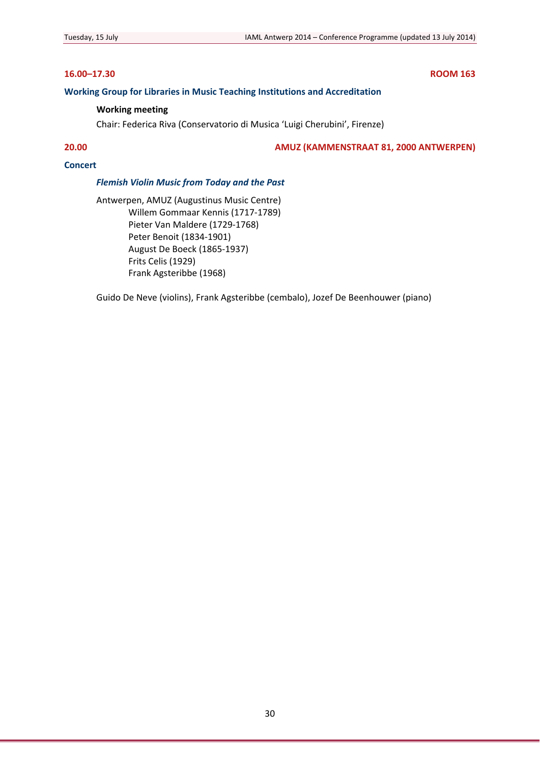## **16.00–17.30 ROOM 163**

## **Working Group for Libraries in Music Teaching Institutions and Accreditation**

## **Working meeting**

Chair: Federica Riva (Conservatorio di Musica 'Luigi Cherubini', Firenze)

**20.00 AMUZ (KAMMENSTRAAT 81, 2000 ANTWERPEN)**

## **Concert**

## *Flemish Violin Music from Today and the Past*

Antwerpen, AMUZ (Augustinus Music Centre) Willem Gommaar Kennis (1717‐1789) Pieter Van Maldere (1729‐1768) Peter Benoit (1834‐1901) August De Boeck (1865‐1937) Frits Celis (1929) Frank Agsteribbe (1968)

Guido De Neve (violins), Frank Agsteribbe (cembalo), Jozef De Beenhouwer (piano)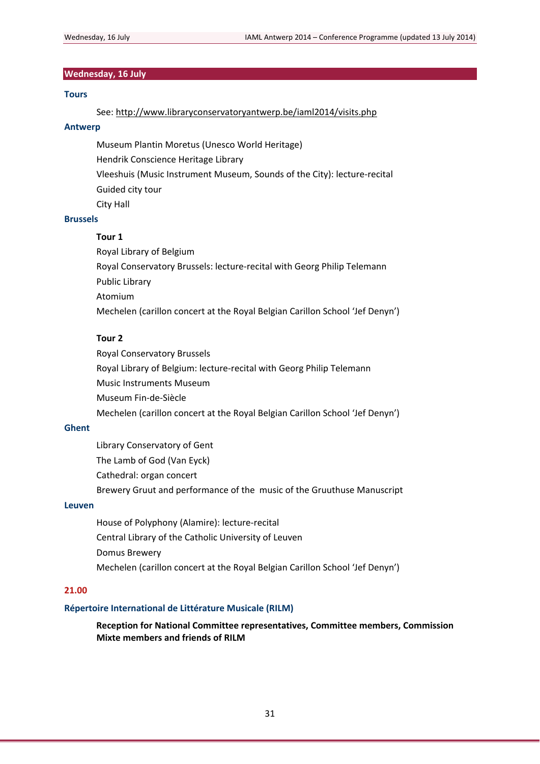## **Wednesday, 16 July**

## **Tours**

See: http://www.libraryconservatoryantwerp.be/iaml2014/visits.php

## **Antwerp**

Museum Plantin Moretus (Unesco World Heritage)

Hendrik Conscience Heritage Library

Vleeshuis (Music Instrument Museum, Sounds of the City): lecture‐recital

Guided city tour

City Hall

## **Brussels**

#### **Tour 1**

Royal Library of Belgium Royal Conservatory Brussels: lecture‐recital with Georg Philip Telemann Public Library Atomium Mechelen (carillon concert at the Royal Belgian Carillon School 'Jef Denyn')

## **Tour 2**

Royal Conservatory Brussels Royal Library of Belgium: lecture‐recital with Georg Philip Telemann Music Instruments Museum Museum Fin‐de‐Siècle Mechelen (carillon concert at the Royal Belgian Carillon School 'Jef Denyn')

## **Ghent**

Library Conservatory of Gent The Lamb of God (Van Eyck) Cathedral: organ concert Brewery Gruut and performance of the music of the Gruuthuse Manuscript

## **Leuven**

House of Polyphony (Alamire): lecture‐recital Central Library of the Catholic University of Leuven Domus Brewery Mechelen (carillon concert at the Royal Belgian Carillon School 'Jef Denyn')

## **21.00**

## **Répertoire International de Littérature Musicale (RILM)**

**Reception for National Committee representatives, Committee members, Commission Mixte members and friends of RILM**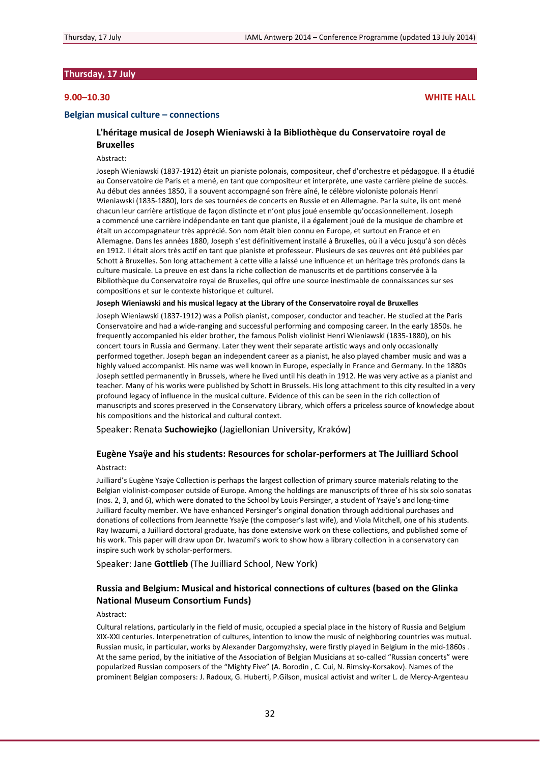## **Thursday, 17 July**

## **9.00–10.30 WHITE HALL**

### **Belgian musical culture – connections**

## **L'héritage musical de Joseph Wieniawski à la Bibliothèque du Conservatoire royal de Bruxelles**

#### Abstract:

Joseph Wieniawski (1837‐1912) était un pianiste polonais, compositeur, chef d'orchestre et pédagogue. Il a étudié au Conservatoire de Paris et a mené, en tant que compositeur et interprète, une vaste carrière pleine de succès. Au début des années 1850, il a souvent accompagné son frère aîné, le célèbre violoniste polonais Henri Wieniawski (1835‐1880), lors de ses tournées de concerts en Russie et en Allemagne. Par la suite, ils ont mené chacun leur carrière artistique de façon distincte et n'ont plus joué ensemble qu'occasionnellement. Joseph a commencé une carrière indépendante en tant que pianiste, il a également joué de la musique de chambre et était un accompagnateur très apprécié. Son nom était bien connu en Europe, et surtout en France et en Allemagne. Dans les années 1880, Joseph s'est définitivement installé à Bruxelles, où il a vécu jusqu'à son décès en 1912. Il était alors très actif en tant que pianiste et professeur. Plusieurs de ses œuvres ont été publiées par Schott à Bruxelles. Son long attachement à cette ville a laissé une influence et un héritage très profonds dans la culture musicale. La preuve en est dans la riche collection de manuscrits et de partitions conservée à la Bibliothèque du Conservatoire royal de Bruxelles, qui offre une source inestimable de connaissances sur ses compositions et sur le contexte historique et culturel.

#### **Joseph Wieniawski and his musical legacy at the Library of the Conservatoire royal de Bruxelles**

Joseph Wieniawski (1837‐1912) was a Polish pianist, composer, conductor and teacher. He studied at the Paris Conservatoire and had a wide‐ranging and successful performing and composing career. In the early 1850s. he frequently accompanied his elder brother, the famous Polish violinist Henri Wieniawski (1835-1880), on his concert tours in Russia and Germany. Later they went their separate artistic ways and only occasionally performed together. Joseph began an independent career as a pianist, he also played chamber music and was a highly valued accompanist. His name was well known in Europe, especially in France and Germany. In the 1880s Joseph settled permanently in Brussels, where he lived until his death in 1912. He was very active as a pianist and teacher. Many of his works were published by Schott in Brussels. His long attachment to this city resulted in a very profound legacy of influence in the musical culture. Evidence of this can be seen in the rich collection of manuscripts and scores preserved in the Conservatory Library, which offers a priceless source of knowledge about his compositions and the historical and cultural context.

Speaker: Renata **Suchowiejko** (Jagiellonian University, Kraków)

## **Eugène Ysaÿe and his students: Resources for scholar‐performers at The Juilliard School**

### Abstract:

Juilliard's Eugène Ysaÿe Collection is perhaps the largest collection of primary source materials relating to the Belgian violinist-composer outside of Europe. Among the holdings are manuscripts of three of his six solo sonatas (nos. 2, 3, and 6), which were donated to the School by Louis Persinger, a student of Ysaÿe's and long‐time Juilliard faculty member. We have enhanced Persinger's original donation through additional purchases and donations of collections from Jeannette Ysaÿe (the composer's last wife), and Viola Mitchell, one of his students. Ray Iwazumi, a Juilliard doctoral graduate, has done extensive work on these collections, and published some of his work. This paper will draw upon Dr. Iwazumi's work to show how a library collection in a conservatory can inspire such work by scholar‐performers.

Speaker: Jane **Gottlieb** (The Juilliard School, New York)

## **Russia and Belgium: Musical and historical connections of cultures (based on the Glinka National Museum Consortium Funds)**

### Abstract:

Cultural relations, particularly in the field of music, occupied a special place in the history of Russia and Belgium XIX‐XXI centuries. Interpenetration of cultures, intention to know the music of neighboring countries was mutual. Russian music, in particular, works by Alexander Dargomyzhsky, were firstly played in Belgium in the mid‐1860s . At the same period, by the initiative of the Association of Belgian Musicians at so-called "Russian concerts" were popularized Russian composers of the "Mighty Five" (A. Borodin , C. Cui, N. Rimsky‐Korsakov). Names of the prominent Belgian composers: J. Radoux, G. Huberti, P.Gilson, musical activist and writer L. de Mercy‐Argenteau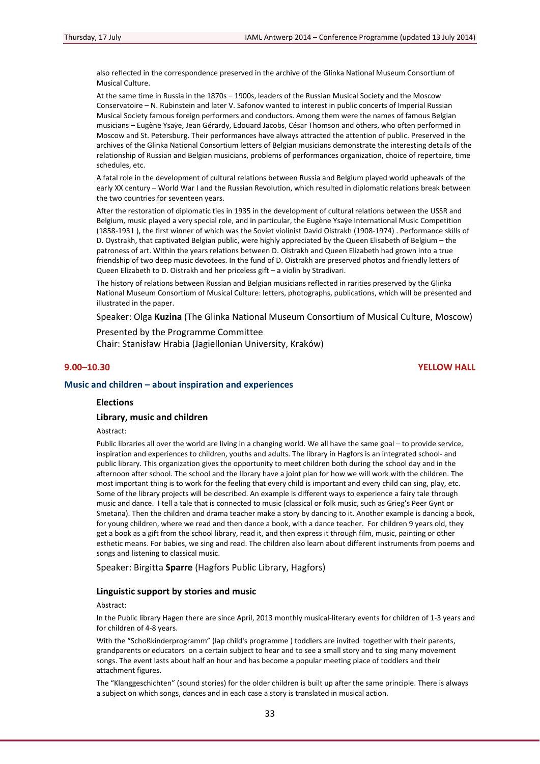also reflected in the correspondence preserved in the archive of the Glinka National Museum Consortium of Musical Culture.

At the same time in Russia in the 1870s – 1900s, leaders of the Russian Musical Society and the Moscow Conservatoire – N. Rubinstein and later V. Safonov wanted to interest in public concerts of Imperial Russian Musical Society famous foreign performers and conductors. Among them were the names of famous Belgian musicians – Eugène Ysaÿe, Jean Gérardy, Edouard Jacobs, César Thomson and others, who often performed in Moscow and St. Petersburg. Their performances have always attracted the attention of public. Preserved in the archives of the Glinka National Consortium letters of Belgian musicians demonstrate the interesting details of the relationship of Russian and Belgian musicians, problems of performances organization, choice of repertoire, time schedules, etc.

A fatal role in the development of cultural relations between Russia and Belgium played world upheavals of the early XX century – World War I and the Russian Revolution, which resulted in diplomatic relations break between the two countries for seventeen years.

After the restoration of diplomatic ties in 1935 in the development of cultural relations between the USSR and Belgium, music played a very special role, and in particular, the Eugène Ysaÿe International Music Competition (1858‐1931 ), the first winner of which was the Soviet violinist David Oistrakh (1908‐1974) . Performance skills of D. Oystrakh, that captivated Belgian public, were highly appreciated by the Queen Elisabeth of Belgium – the patroness of art. Within the years relations between D. Oistrakh and Queen Elizabeth had grown into a true friendship of two deep music devotees. In the fund of D. Oistrakh are preserved photos and friendly letters of Queen Elizabeth to D. Oistrakh and her priceless gift – a violin by Stradivari.

The history of relations between Russian and Belgian musicians reflected in rarities preserved by the Glinka National Museum Consortium of Musical Culture: letters, photographs, publications, which will be presented and illustrated in the paper.

Speaker: Olga **Kuzina** (The Glinka National Museum Consortium of Musical Culture, Moscow)

Presented by the Programme Committee Chair: Stanisław Hrabia (Jagiellonian University, Kraków)

### **9.00–10.30 YELLOW HALL**

### **Music and children – about inspiration and experiences**

## **Elections**

### **Library, music and children**

Abstract:

Public libraries all over the world are living in a changing world. We all have the same goal – to provide service, inspiration and experiences to children, youths and adults. The library in Hagfors is an integrated school- and public library. This organization gives the opportunity to meet children both during the school day and in the afternoon after school. The school and the library have a joint plan for how we will work with the children. The most important thing is to work for the feeling that every child is important and every child can sing, play, etc. Some of the library projects will be described. An example is different ways to experience a fairy tale through music and dance. I tell a tale that is connected to music (classical or folk music, such as Grieg's Peer Gynt or Smetana). Then the children and drama teacher make a story by dancing to it. Another example is dancing a book, for young children, where we read and then dance a book, with a dance teacher. For children 9 years old, they get a book as a gift from the school library, read it, and then express it through film, music, painting or other esthetic means. For babies, we sing and read. The children also learn about different instruments from poems and songs and listening to classical music.

Speaker: Birgitta **Sparre** (Hagfors Public Library, Hagfors)

## **Linguistic support by stories and music**

#### Abstract:

In the Public library Hagen there are since April, 2013 monthly musical-literary events for children of 1-3 years and for children of 4‐8 years.

With the "Schoßkinderprogramm" (lap child's programme ) toddlers are invited together with their parents, grandparents or educators on a certain subject to hear and to see a small story and to sing many movement songs. The event lasts about half an hour and has become a popular meeting place of toddlers and their attachment figures.

The "Klanggeschichten" (sound stories) for the older children is built up after the same principle. There is always a subject on which songs, dances and in each case a story is translated in musical action.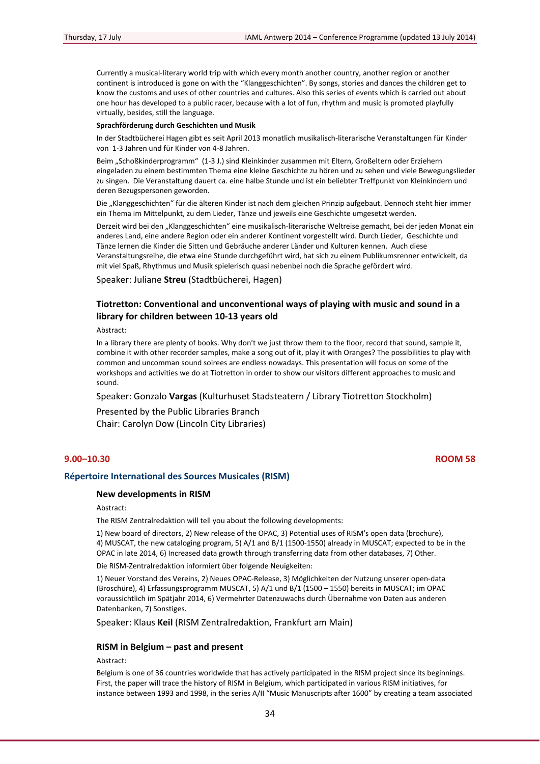Currently a musical‐literary world trip with which every month another country, another region or another continent is introduced is gone on with the "Klanggeschichten". By songs, stories and dances the children get to know the customs and uses of other countries and cultures. Also this series of events which is carried out about one hour has developed to a public racer, because with a lot of fun, rhythm and music is promoted playfully virtually, besides, still the language.

#### **Sprachförderung durch Geschichten und Musik**

In der Stadtbücherei Hagen gibt es seit April 2013 monatlich musikalisch‐literarische Veranstaltungen für Kinder von 1‐3 Jahren und für Kinder von 4‐8 Jahren.

Beim "Schoßkinderprogramm" (1‐3 J.) sind Kleinkinder zusammen mit Eltern, Großeltern oder Erziehern eingeladen zu einem bestimmten Thema eine kleine Geschichte zu hören und zu sehen und viele Bewegungslieder zu singen. Die Veranstaltung dauert ca. eine halbe Stunde und ist ein beliebter Treffpunkt von Kleinkindern und deren Bezugspersonen geworden.

Die "Klanggeschichten" für die älteren Kinder ist nach dem gleichen Prinzip aufgebaut. Dennoch steht hier immer ein Thema im Mittelpunkt, zu dem Lieder, Tänze und jeweils eine Geschichte umgesetzt werden.

Derzeit wird bei den "Klanggeschichten" eine musikalisch-literarische Weltreise gemacht, bei der jeden Monat ein anderes Land, eine andere Region oder ein anderer Kontinent vorgestellt wird. Durch Lieder, Geschichte und Tänze lernen die Kinder die Sitten und Gebräuche anderer Länder und Kulturen kennen. Auch diese Veranstaltungsreihe, die etwa eine Stunde durchgeführt wird, hat sich zu einem Publikumsrenner entwickelt, da mit viel Spaß, Rhythmus und Musik spielerisch quasi nebenbei noch die Sprache gefördert wird.

Speaker: Juliane **Streu** (Stadtbücherei, Hagen)

## **Tiotretton: Conventional and unconventional ways of playing with music and sound in a library for children between 10‐13 years old**

Abstract:

In a library there are plenty of books. Why don't we just throw them to the floor, record that sound, sample it, combine it with other recorder samples, make a song out of it, play it with Oranges? The possibilities to play with common and uncomman sound soirees are endless nowadays. This presentation will focus on some of the workshops and activities we do at Tiotretton in order to show our visitors different approaches to music and sound.

Speaker: Gonzalo **Vargas** (Kulturhuset Stadsteatern / Library Tiotretton Stockholm)

Presented by the Public Libraries Branch Chair: Carolyn Dow (Lincoln City Libraries)

## **9.00–10.30 ROOM 58**

#### **Répertoire International des Sources Musicales (RISM)**

## **New developments in RISM**

## Abstract:

The RISM Zentralredaktion will tell you about the following developments:

1) New board of directors, 2) New release of the OPAC, 3) Potential uses of RISM's open data (brochure), 4) MUSCAT, the new cataloging program, 5) A/1 and B/1 (1500‐1550) already in MUSCAT; expected to be in the OPAC in late 2014, 6) Increased data growth through transferring data from other databases, 7) Other.

Die RISM‐Zentralredaktion informiert über folgende Neuigkeiten:

1) Neuer Vorstand des Vereins, 2) Neues OPAC‐Release, 3) Möglichkeiten der Nutzung unserer open‐data (Broschüre), 4) Erfassungsprogramm MUSCAT, 5) A/1 und B/1 (1500 – 1550) bereits in MUSCAT; im OPAC voraussichtlich im Spätjahr 2014, 6) Vermehrter Datenzuwachs durch Übernahme von Daten aus anderen Datenbanken, 7) Sonstiges.

Speaker: Klaus **Keil** (RISM Zentralredaktion, Frankfurt am Main)

## **RISM in Belgium – past and present**

## Abstract:

Belgium is one of 36 countries worldwide that has actively participated in the RISM project since its beginnings. First, the paper will trace the history of RISM in Belgium, which participated in various RISM initiatives, for instance between 1993 and 1998, in the series A/II "Music Manuscripts after 1600" by creating a team associated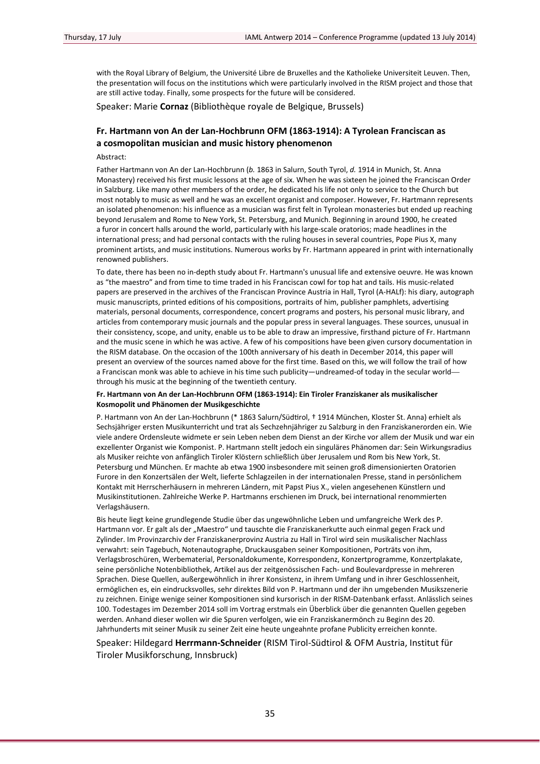with the Royal Library of Belgium, the Université Libre de Bruxelles and the Katholieke Universiteit Leuven. Then, the presentation will focus on the institutions which were particularly involved in the RISM project and those that are still active today. Finally, some prospects for the future will be considered.

Speaker: Marie **Cornaz** (Bibliothèque royale de Belgique, Brussels)

## **Fr. Hartmann von An der Lan‐Hochbrunn OFM (1863‐1914): A Tyrolean Franciscan as a cosmopolitan musician and music history phenomenon**

Abstract:

Father Hartmann von An der Lan‐Hochbrunn (*b.* 1863 in Salurn, South Tyrol, *d.* 1914 in Munich, St. Anna Monastery) received his first music lessons at the age of six. When he was sixteen he joined the Franciscan Order in Salzburg. Like many other members of the order, he dedicated his life not only to service to the Church but most notably to music as well and he was an excellent organist and composer. However, Fr. Hartmann represents an isolated phenomenon: his influence as a musician was first felt in Tyrolean monasteries but ended up reaching beyond Jerusalem and Rome to New York, St. Petersburg, and Munich. Beginning in around 1900, he created a furor in concert halls around the world, particularly with his large‐scale oratorios; made headlines in the international press; and had personal contacts with the ruling houses in several countries, Pope Pius X, many prominent artists, and music institutions. Numerous works by Fr. Hartmann appeared in print with internationally renowned publishers.

To date, there has been no in‐depth study about Fr. Hartmann's unusual life and extensive oeuvre. He was known as "the maestro" and from time to time traded in his Franciscan cowl for top hat and tails. His music-related papers are preserved in the archives of the Franciscan Province Austria in Hall, Tyrol (A‐HALf): his diary, autograph music manuscripts, printed editions of his compositions, portraits of him, publisher pamphlets, advertising materials, personal documents, correspondence, concert programs and posters, his personal music library, and articles from contemporary music journals and the popular press in several languages. These sources, unusual in their consistency, scope, and unity, enable us to be able to draw an impressive, firsthand picture of Fr. Hartmann and the music scene in which he was active. A few of his compositions have been given cursory documentation in the RISM database. On the occasion of the 100th anniversary of his death in December 2014, this paper will present an overview of the sources named above for the first time. Based on this, we will follow the trail of how a Franciscan monk was able to achieve in his time such publicity—undreamed-of today in the secular world through his music at the beginning of the twentieth century.

#### **Fr. Hartmann von An der Lan‐Hochbrunn OFM (1863‐1914): Ein Tiroler Franziskaner als musikalischer Kosmopolit und Phänomen der Musikgeschichte**

P. Hartmann von An der Lan-Hochbrunn (\* 1863 Salurn/Südtirol, † 1914 München, Kloster St. Anna) erhielt als Sechsjähriger ersten Musikunterricht und trat als Sechzehnjähriger zu Salzburg in den Franziskanerorden ein. Wie viele andere Ordensleute widmete er sein Leben neben dem Dienst an der Kirche vor allem der Musik und war ein exzellenter Organist wie Komponist. P. Hartmann stellt jedoch ein singuläres Phänomen dar: Sein Wirkungsradius als Musiker reichte von anfänglich Tiroler Klöstern schließlich über Jerusalem und Rom bis New York, St. Petersburg und München. Er machte ab etwa 1900 insbesondere mit seinen groß dimensionierten Oratorien Furore in den Konzertsälen der Welt, lieferte Schlagzeilen in der internationalen Presse, stand in persönlichem Kontakt mit Herrscherhäusern in mehreren Ländern, mit Papst Pius X., vielen angesehenen Künstlern und Musikinstitutionen. Zahlreiche Werke P. Hartmanns erschienen im Druck, bei international renommierten Verlagshäusern.

Bis heute liegt keine grundlegende Studie über das ungewöhnliche Leben und umfangreiche Werk des P. Hartmann vor. Er galt als der "Maestro" und tauschte die Franziskanerkutte auch einmal gegen Frack und Zylinder. Im Provinzarchiv der Franziskanerprovinz Austria zu Hall in Tirol wird sein musikalischer Nachlass verwahrt: sein Tagebuch, Notenautographe, Druckausgaben seiner Kompositionen, Porträts von ihm, Verlagsbroschüren, Werbematerial, Personaldokumente, Korrespondenz, Konzertprogramme, Konzertplakate, seine persönliche Notenbibliothek, Artikel aus der zeitgenössischen Fach- und Boulevardpresse in mehreren Sprachen. Diese Quellen, außergewöhnlich in ihrer Konsistenz, in ihrem Umfang und in ihrer Geschlossenheit, ermöglichen es, ein eindrucksvolles, sehr direktes Bild von P. Hartmann und der ihn umgebenden Musikszenerie zu zeichnen. Einige wenige seiner Kompositionen sind kursorisch in der RISM‐Datenbank erfasst. Anlässlich seines 100. Todestages im Dezember 2014 soll im Vortrag erstmals ein Überblick über die genannten Quellen gegeben werden. Anhand dieser wollen wir die Spuren verfolgen, wie ein Franziskanermönch zu Beginn des 20. Jahrhunderts mit seiner Musik zu seiner Zeit eine heute ungeahnte profane Publicity erreichen konnte.

## Speaker: Hildegard **Herrmann‐Schneider** (RISM Tirol‐Südtirol & OFM Austria, Institut für Tiroler Musikforschung, Innsbruck)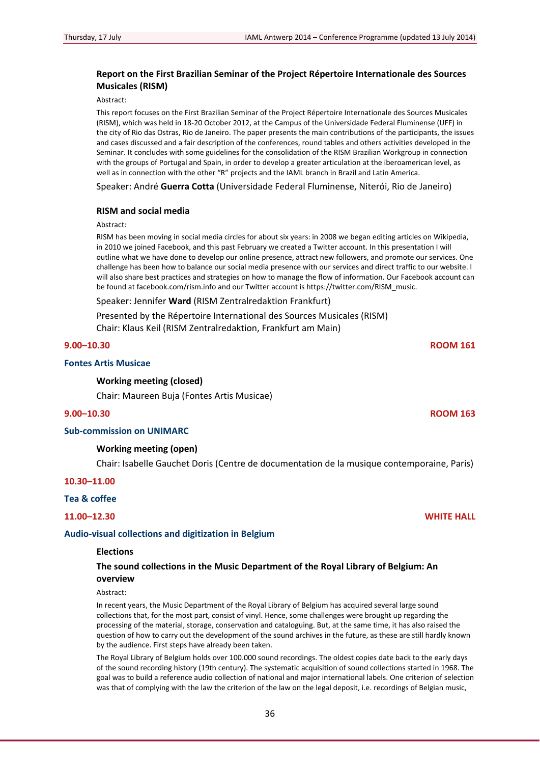## **Report on the First Brazilian Seminar of the Project Répertoire Internationale des Sources Musicales (RISM)**

Abstract:

This report focuses on the First Brazilian Seminar of the Project Répertoire Internationale des Sources Musicales (RISM), which was held in 18‐20 October 2012, at the Campus of the Universidade Federal Fluminense (UFF) in the city of Rio das Ostras, Rio de Janeiro. The paper presents the main contributions of the participants, the issues and cases discussed and a fair description of the conferences, round tables and others activities developed in the Seminar. It concludes with some guidelines for the consolidation of the RISM Brazilian Workgroup in connection with the groups of Portugal and Spain, in order to develop a greater articulation at the iberoamerican level, as well as in connection with the other "R" projects and the IAML branch in Brazil and Latin America.

Speaker: André **Guerra Cotta** (Universidade Federal Fluminense, Niterói, Rio de Janeiro)

#### **RISM and social media**

Abstract:

RISM has been moving in social media circles for about six years: in 2008 we began editing articles on Wikipedia, in 2010 we joined Facebook, and this past February we created a Twitter account. In this presentation I will outline what we have done to develop our online presence, attract new followers, and promote our services. One challenge has been how to balance our social media presence with our services and direct traffic to our website. I will also share best practices and strategies on how to manage the flow of information. Our Facebook account can be found at facebook.com/rism.info and our Twitter account is https://twitter.com/RISM\_music.

Speaker: Jennifer **Ward** (RISM Zentralredaktion Frankfurt)

Presented by the Répertoire International des Sources Musicales (RISM) Chair: Klaus Keil (RISM Zentralredaktion, Frankfurt am Main)

## **9.00–10.30 ROOM 161**

## **Fontes Artis Musicae**

## **Working meeting (closed)**

Chair: Maureen Buja (Fontes Artis Musicae)

## **9.00–10.30 ROOM 163**

### **Sub‐commission on UNIMARC**

#### **Working meeting (open)**

Chair: Isabelle Gauchet Doris (Centre de documentation de la musique contemporaine, Paris)

## **10.30–11.00**

### **Tea & coffee**

**11.00–12.30 WHITE HALL**

#### **Audio‐visual collections and digitization in Belgium**

#### **Elections**

## **The sound collections in the Music Department of the Royal Library of Belgium: An overview**

Abstract:

In recent years, the Music Department of the Royal Library of Belgium has acquired several large sound collections that, for the most part, consist of vinyl. Hence, some challenges were brought up regarding the processing of the material, storage, conservation and cataloguing. But, at the same time, it has also raised the question of how to carry out the development of the sound archives in the future, as these are still hardly known by the audience. First steps have already been taken.

The Royal Library of Belgium holds over 100.000 sound recordings. The oldest copies date back to the early days of the sound recording history (19th century). The systematic acquisition of sound collections started in 1968. The goal was to build a reference audio collection of national and major international labels. One criterion of selection was that of complying with the law the criterion of the law on the legal deposit, i.e. recordings of Belgian music,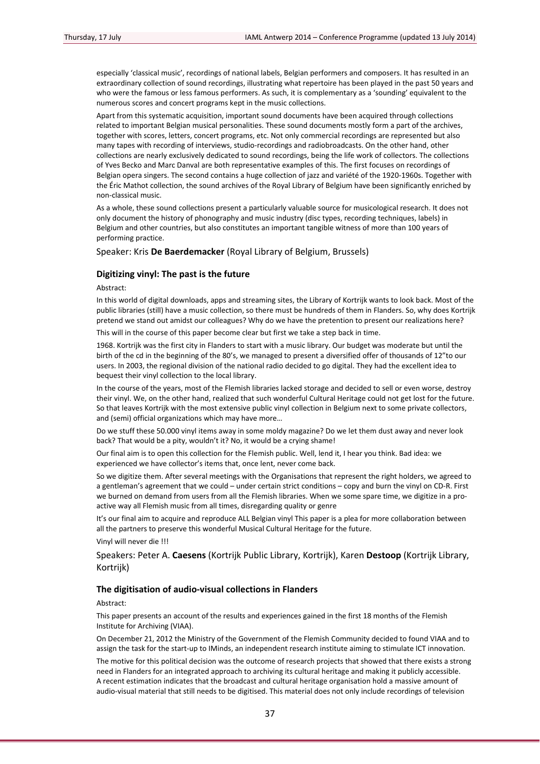especially 'classical music', recordings of national labels, Belgian performers and composers. It has resulted in an extraordinary collection of sound recordings, illustrating what repertoire has been played in the past 50 years and who were the famous or less famous performers. As such, it is complementary as a 'sounding' equivalent to the numerous scores and concert programs kept in the music collections.

Apart from this systematic acquisition, important sound documents have been acquired through collections related to important Belgian musical personalities. These sound documents mostly form a part of the archives, together with scores, letters, concert programs, etc. Not only commercial recordings are represented but also many tapes with recording of interviews, studio‐recordings and radiobroadcasts. On the other hand, other collections are nearly exclusively dedicated to sound recordings, being the life work of collectors. The collections of Yves Becko and Marc Danval are both representative examples of this. The first focuses on recordings of Belgian opera singers. The second contains a huge collection of jazz and variété of the 1920‐1960s. Together with the Éric Mathot collection, the sound archives of the Royal Library of Belgium have been significantly enriched by non‐classical music.

As a whole, these sound collections present a particularly valuable source for musicological research. It does not only document the history of phonography and music industry (disc types, recording techniques, labels) in Belgium and other countries, but also constitutes an important tangible witness of more than 100 years of performing practice.

Speaker: Kris **De Baerdemacker** (Royal Library of Belgium, Brussels)

## **Digitizing vinyl: The past is the future**

Abstract:

In this world of digital downloads, apps and streaming sites, the Library of Kortrijk wants to look back. Most of the public libraries (still) have a music collection, so there must be hundreds of them in Flanders. So, why does Kortrijk pretend we stand out amidst our colleagues? Why do we have the pretention to present our realizations here?

This will in the course of this paper become clear but first we take a step back in time.

1968. Kortrijk was the first city in Flanders to start with a music library. Our budget was moderate but until the birth of the cd in the beginning of the 80's, we managed to present a diversified offer of thousands of 12"to our users. In 2003, the regional division of the national radio decided to go digital. They had the excellent idea to bequest their vinyl collection to the local library.

In the course of the years, most of the Flemish libraries lacked storage and decided to sell or even worse, destroy their vinyl. We, on the other hand, realized that such wonderful Cultural Heritage could not get lost for the future. So that leaves Kortrijk with the most extensive public vinyl collection in Belgium next to some private collectors, and (semi) official organizations which may have more…

Do we stuff these 50.000 vinyl items away in some moldy magazine? Do we let them dust away and never look back? That would be a pity, wouldn't it? No, it would be a crying shame!

Our final aim is to open this collection for the Flemish public. Well, lend it, I hear you think. Bad idea: we experienced we have collector's items that, once lent, never come back.

So we digitize them. After several meetings with the Organisations that represent the right holders, we agreed to a gentleman's agreement that we could – under certain strict conditions – copy and burn the vinyl on CD‐R. First we burned on demand from users from all the Flemish libraries. When we some spare time, we digitize in a proactive way all Flemish music from all times, disregarding quality or genre

It's our final aim to acquire and reproduce ALL Belgian vinyl This paper is a plea for more collaboration between all the partners to preserve this wonderful Musical Cultural Heritage for the future.

Vinyl will never die !!!

Speakers: Peter A. **Caesens** (Kortrijk Public Library, Kortrijk), Karen **Destoop** (Kortrijk Library, Kortrijk)

## **The digitisation of audio‐visual collections in Flanders**

Abstract:

This paper presents an account of the results and experiences gained in the first 18 months of the Flemish Institute for Archiving (VIAA).

On December 21, 2012 the Ministry of the Government of the Flemish Community decided to found VIAA and to assign the task for the start‐up to IMinds, an independent research institute aiming to stimulate ICT innovation.

The motive for this political decision was the outcome of research projects that showed that there exists a strong need in Flanders for an integrated approach to archiving its cultural heritage and making it publicly accessible. A recent estimation indicates that the broadcast and cultural heritage organisation hold a massive amount of audio-visual material that still needs to be digitised. This material does not only include recordings of television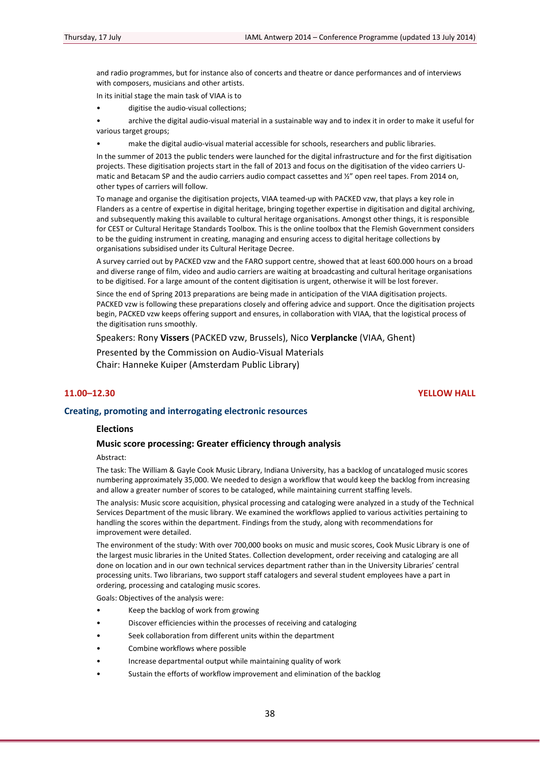and radio programmes, but for instance also of concerts and theatre or dance performances and of interviews with composers, musicians and other artists.

In its initial stage the main task of VIAA is to

• digitise the audio‐visual collections;

• archive the digital audio‐visual material in a sustainable way and to index it in order to make it useful for various target groups;

make the digital audio-visual material accessible for schools, researchers and public libraries.

In the summer of 2013 the public tenders were launched for the digital infrastructure and for the first digitisation projects. These digitisation projects start in the fall of 2013 and focus on the digitisation of the video carriers U‐ matic and Betacam SP and the audio carriers audio compact cassettes and ½" open reel tapes. From 2014 on, other types of carriers will follow.

To manage and organise the digitisation projects, VIAA teamed‐up with PACKED vzw, that plays a key role in Flanders as a centre of expertise in digital heritage, bringing together expertise in digitisation and digital archiving, and subsequently making this available to cultural heritage organisations. Amongst other things, it is responsible for CEST or Cultural Heritage Standards Toolbox. This is the online toolbox that the Flemish Government considers to be the guiding instrument in creating, managing and ensuring access to digital heritage collections by organisations subsidised under its Cultural Heritage Decree.

A survey carried out by PACKED vzw and the FARO support centre, showed that at least 600.000 hours on a broad and diverse range of film, video and audio carriers are waiting at broadcasting and cultural heritage organisations to be digitised. For a large amount of the content digitisation is urgent, otherwise it will be lost forever.

Since the end of Spring 2013 preparations are being made in anticipation of the VIAA digitisation projects. PACKED vzw is following these preparations closely and offering advice and support. Once the digitisation projects begin, PACKED vzw keeps offering support and ensures, in collaboration with VIAA, that the logistical process of the digitisation runs smoothly.

Speakers: Rony **Vissers** (PACKED vzw, Brussels), Nico **Verplancke** (VIAA, Ghent)

Presented by the Commission on Audio‐Visual Materials Chair: Hanneke Kuiper (Amsterdam Public Library)

## **11.00–12.30 YELLOW HALL**

## **Creating, promoting and interrogating electronic resources**

#### **Elections**

## **Music score processing: Greater efficiency through analysis**

Abstract:

The task: The William & Gayle Cook Music Library, Indiana University, has a backlog of uncataloged music scores numbering approximately 35,000. We needed to design a workflow that would keep the backlog from increasing and allow a greater number of scores to be cataloged, while maintaining current staffing levels.

The analysis: Music score acquisition, physical processing and cataloging were analyzed in a study of the Technical Services Department of the music library. We examined the workflows applied to various activities pertaining to handling the scores within the department. Findings from the study, along with recommendations for improvement were detailed.

The environment of the study: With over 700,000 books on music and music scores, Cook Music Library is one of the largest music libraries in the United States. Collection development, order receiving and cataloging are all done on location and in our own technical services department rather than in the University Libraries' central processing units. Two librarians, two support staff catalogers and several student employees have a part in ordering, processing and cataloging music scores.

Goals: Objectives of the analysis were:

- Keep the backlog of work from growing
- Discover efficiencies within the processes of receiving and cataloging
- Seek collaboration from different units within the department
- Combine workflows where possible
- Increase departmental output while maintaining quality of work
- Sustain the efforts of workflow improvement and elimination of the backlog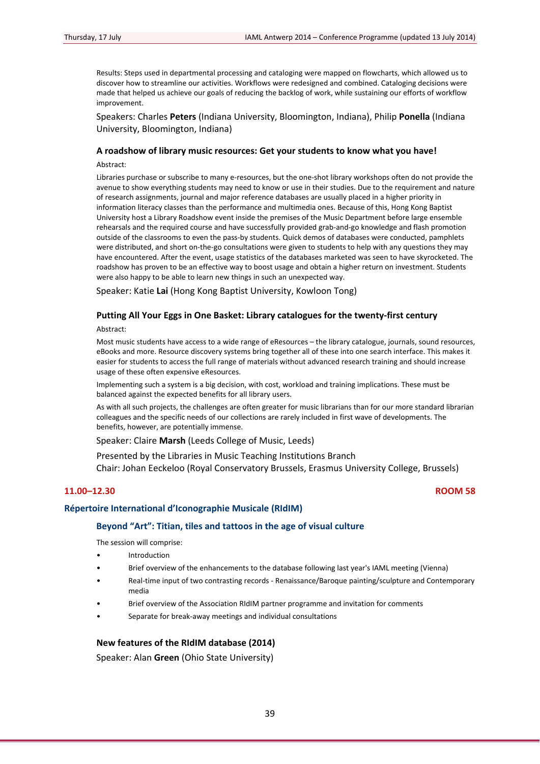Results: Steps used in departmental processing and cataloging were mapped on flowcharts, which allowed us to discover how to streamline our activities. Workflows were redesigned and combined. Cataloging decisions were made that helped us achieve our goals of reducing the backlog of work, while sustaining our efforts of workflow improvement.

Speakers: Charles **Peters** (Indiana University, Bloomington, Indiana), Philip **Ponella** (Indiana University, Bloomington, Indiana)

## **A roadshow of library music resources: Get your students to know what you have!**

Abstract:

Libraries purchase or subscribe to many e-resources, but the one-shot library workshops often do not provide the avenue to show everything students may need to know or use in their studies. Due to the requirement and nature of research assignments, journal and major reference databases are usually placed in a higher priority in information literacy classes than the performance and multimedia ones. Because of this, Hong Kong Baptist University host a Library Roadshow event inside the premises of the Music Department before large ensemble rehearsals and the required course and have successfully provided grab‐and‐go knowledge and flash promotion outside of the classrooms to even the pass‐by students. Quick demos of databases were conducted, pamphlets were distributed, and short on‐the‐go consultations were given to students to help with any questions they may have encountered. After the event, usage statistics of the databases marketed was seen to have skyrocketed. The roadshow has proven to be an effective way to boost usage and obtain a higher return on investment. Students were also happy to be able to learn new things in such an unexpected way.

Speaker: Katie **Lai** (Hong Kong Baptist University, Kowloon Tong)

## **Putting All Your Eggs in One Basket: Library catalogues for the twenty‐first century**

Abstract:

Most music students have access to a wide range of eResources – the library catalogue, journals, sound resources, eBooks and more. Resource discovery systems bring together all of these into one search interface. This makes it easier for students to access the full range of materials without advanced research training and should increase usage of these often expensive eResources.

Implementing such a system is a big decision, with cost, workload and training implications. These must be balanced against the expected benefits for all library users.

As with all such projects, the challenges are often greater for music librarians than for our more standard librarian colleagues and the specific needs of our collections are rarely included in first wave of developments. The benefits, however, are potentially immense.

Speaker: Claire **Marsh** (Leeds College of Music, Leeds)

Presented by the Libraries in Music Teaching Institutions Branch Chair: Johan Eeckeloo (Royal Conservatory Brussels, Erasmus University College, Brussels)

## **11.00–12.30 ROOM 58**

### **Répertoire International d'Iconographie Musicale (RIdIM)**

### **Beyond "Art": Titian, tiles and tattoos in the age of visual culture**

The session will comprise:

- **Introduction**
- Brief overview of the enhancements to the database following last year's IAML meeting (Vienna)
- Real-time input of two contrasting records Renaissance/Baroque painting/sculpture and Contemporary media
- Brief overview of the Association RIdIM partner programme and invitation for comments
- Separate for break‐away meetings and individual consultations

## **New features of the RIdIM database (2014)**

Speaker: Alan **Green** (Ohio State University)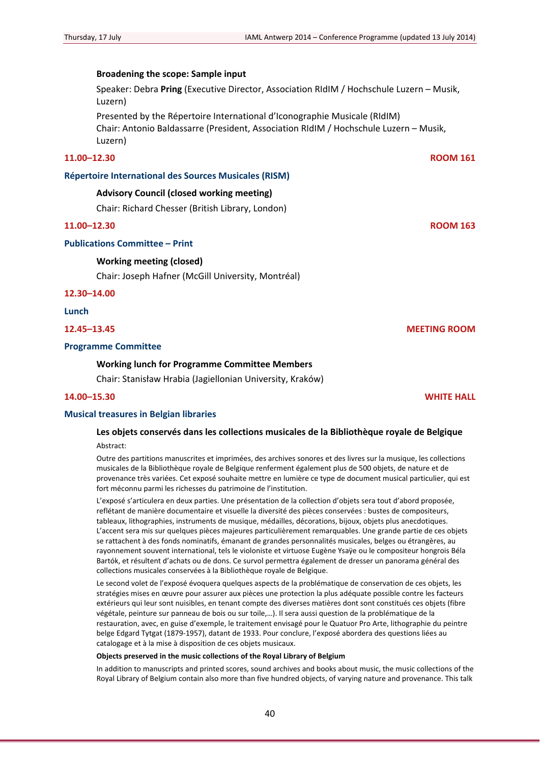## **Broadening the scope: Sample input**

Speaker: Debra **Pring** (Executive Director, Association RIdIM / Hochschule Luzern – Musik, Luzern)

Presented by the Répertoire International d'Iconographie Musicale (RIdIM) Chair: Antonio Baldassarre (President, Association RIdIM / Hochschule Luzern – Musik, Luzern)

## **11.00–12.30 ROOM 161**

### **Répertoire International des Sources Musicales (RISM)**

## **Advisory Council (closed working meeting)**

Chair: Richard Chesser (British Library, London)

## **11.00–12.30 ROOM 163**

## **Publications Committee – Print**

### **Working meeting (closed)**

Chair: Joseph Hafner (McGill University, Montréal)

**12.30–14.00**

**Lunch**

#### **Programme Committee**

#### **Working lunch for Programme Committee Members**

Chair: Stanisław Hrabia (Jagiellonian University, Kraków)

## **14.00–15.30 WHITE HALL**

## **Musical treasures in Belgian libraries**

## **Les objets conservés dans les collections musicales de la Bibliothèque royale de Belgique** Abstract:

Outre des partitions manuscrites et imprimées, des archives sonores et des livres sur la musique, les collections musicales de la Bibliothèque royale de Belgique renferment également plus de 500 objets, de nature et de provenance très variées. Cet exposé souhaite mettre en lumière ce type de document musical particulier, qui est fort méconnu parmi les richesses du patrimoine de l'institution.

L'exposé s'articulera en deux parties. Une présentation de la collection d'objets sera tout d'abord proposée, reflétant de manière documentaire et visuelle la diversité des pièces conservées : bustes de compositeurs, tableaux, lithographies, instruments de musique, médailles, décorations, bijoux, objets plus anecdotiques. L'accent sera mis sur quelques pièces majeures particulièrement remarquables. Une grande partie de ces objets se rattachent à des fonds nominatifs, émanant de grandes personnalités musicales, belges ou étrangères, au rayonnement souvent international, tels le violoniste et virtuose Eugène Ysaÿe ou le compositeur hongrois Béla Bartók, et résultent d'achats ou de dons. Ce survol permettra également de dresser un panorama général des collections musicales conservées à la Bibliothèque royale de Belgique.

Le second volet de l'exposé évoquera quelques aspects de la problématique de conservation de ces objets, les stratégies mises en œuvre pour assurer aux pièces une protection la plus adéquate possible contre les facteurs extérieurs qui leur sont nuisibles, en tenant compte des diverses matières dont sont constitués ces objets (fibre végétale, peinture sur panneau de bois ou sur toile,…). Il sera aussi question de la problématique de la restauration, avec, en guise d'exemple, le traitement envisagé pour le Quatuor Pro Arte, lithographie du peintre belge Edgard Tytgat (1879‐1957), datant de 1933. Pour conclure, l'exposé abordera des questions liées au catalogage et à la mise à disposition de ces objets musicaux.

#### **Objects preserved in the music collections of the Royal Library of Belgium**

In addition to manuscripts and printed scores, sound archives and books about music, the music collections of the Royal Library of Belgium contain also more than five hundred objects, of varying nature and provenance. This talk

**12.45–13.45 MEETING ROOM**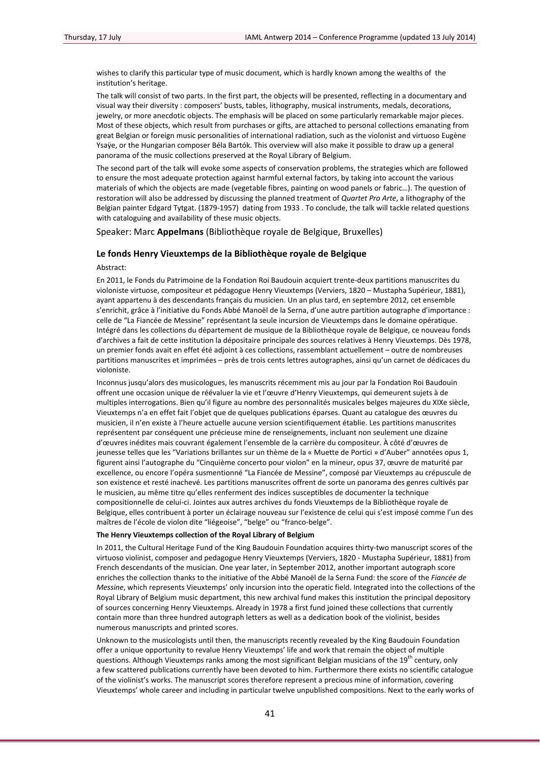wishes to clarify this particular type of music document, which is hardly known among the wealths of the institution's heritage.

The talk will consist of two parts. In the first part, the objects will be presented, reflecting in a documentary and visual way their diversity : composers' busts, tables, lithography, musical instruments, medals, decorations, jewelry, or more anecdotic objects. The emphasis will be placed on some particularly remarkable major pieces. Most of these objects, which result from purchases or gifts, are attached to personal collections emanating from great Belgian or foreign music personalities of international radiation, such as the violonist and virtuoso Eugène Ysaÿe, or the Hungarian composer Béla Bartók. This overview will also make it possible to draw up a general panorama of the music collections preserved at the Royal Library of Belgium.

The second part of the talk will evoke some aspects of conservation problems, the strategies which are followed to ensure the most adequate protection against harmful external factors, by taking into account the various materials of which the objects are made (vegetable fibres, painting on wood panels or fabric…). The question of restoration will also be addressed by discussing the planned treatment of *Quartet Pro Arte*, a lithography of the Belgian painter Edgard Tytgat. (1879‐1957) dating from 1933 . To conclude, the talk will tackle related questions with cataloguing and availability of these music objects.

Speaker: Marc **Appelmans** (Bibliothèque royale de Belgique, Bruxelles)

#### **Le fonds Henry Vieuxtemps de la Bibliothèque royale de Belgique**

#### Abstract:

En 2011, le Fonds du Patrimoine de la Fondation Roi Baudouin acquiert trente‐deux partitions manuscrites du violoniste virtuose, compositeur et pédagogue Henry Vieuxtemps (Verviers, 1820 – Mustapha Supérieur, 1881), ayant appartenu à des descendants français du musicien. Un an plus tard, en septembre 2012, cet ensemble s'enrichit, grâce à l'initiative du Fonds Abbé Manoël de la Serna, d'une autre partition autographe d'importance : celle de "La Fiancée de Messine" représentant la seule incursion de Vieuxtemps dans le domaine opératique. Intégré dans les collections du département de musique de la Bibliothèque royale de Belgique, ce nouveau fonds d'archives a fait de cette institution la dépositaire principale des sources relatives à Henry Vieuxtemps. Dès 1978, un premier fonds avait en effet été adjoint à ces collections, rassemblant actuellement – outre de nombreuses partitions manuscrites et imprimées – près de trois cents lettres autographes, ainsi qu'un carnet de dédicaces du violoniste.

Inconnus jusqu'alors des musicologues, les manuscrits récemment mis au jour par la Fondation Roi Baudouin offrent une occasion unique de réévaluer la vie et l'œuvre d'Henry Vieuxtemps, qui demeurent sujets à de multiples interrogations. Bien qu'il figure au nombre des personnalités musicales belges majeures du XIXe siècle, Vieuxtemps n'a en effet fait l'objet que de quelques publications éparses. Quant au catalogue des œuvres du musicien, il n'en existe à l'heure actuelle aucune version scientifiquement établie. Les partitions manuscrites représentent par conséquent une précieuse mine de renseignements, incluant non seulement une dizaine d'œuvres inédites mais couvrant également l'ensemble de la carrière du compositeur. À côté d'œuvres de jeunesse telles que les "Variations brillantes sur un thème de la « Muette de Portici » d'Auber" annotées opus 1, figurent ainsi l'autographe du "Cinquième concerto pour violon" en la mineur, opus 37, œuvre de maturité par excellence, ou encore l'opéra susmentionné "La Fiancée de Messine", composé par Vieuxtemps au crépuscule de son existence et resté inachevé. Les partitions manuscrites offrent de sorte un panorama des genres cultivés par le musicien, au même titre qu'elles renferment des indices susceptibles de documenter la technique compositionnelle de celui‐ci. Jointes aux autres archives du fonds Vieuxtemps de la Bibliothèque royale de Belgique, elles contribuent à porter un éclairage nouveau sur l'existence de celui qui s'est imposé comme l'un des maîtres de l'école de violon dite "liégeoise", "belge" ou "franco‐belge".

#### **The Henry Vieuxtemps collection of the Royal Library of Belgium**

In 2011, the Cultural Heritage Fund of the King Baudouin Foundation acquires thirty-two manuscript scores of the virtuoso violinist, composer and pedagogue Henry Vieuxtemps (Verviers, 1820 ‐ Mustapha Supérieur, 1881) from French descendants of the musician. One year later, in September 2012, another important autograph score enriches the collection thanks to the initiative of the Abbé Manoël de la Serna Fund: the score of the *Fiancée de Messine*, which represents Vieuxtemps' only incursion into the operatic field. Integrated into the collections of the Royal Library of Belgium music department, this new archival fund makes this institution the principal depository of sources concerning Henry Vieuxtemps. Already in 1978 a first fund joined these collections that currently contain more than three hundred autograph letters as well as a dedication book of the violinist, besides numerous manuscripts and printed scores.

Unknown to the musicologists until then, the manuscripts recently revealed by the King Baudouin Foundation offer a unique opportunity to revalue Henry Vieuxtemps' life and work that remain the object of multiple questions. Although Vieuxtemps ranks among the most significant Belgian musicians of the 19<sup>th</sup> century, only a few scattered publications currently have been devoted to him. Furthermore there exists no scientific catalogue of the violinist's works. The manuscript scores therefore represent a precious mine of information, covering Vieuxtemps' whole career and including in particular twelve unpublished compositions. Next to the early works of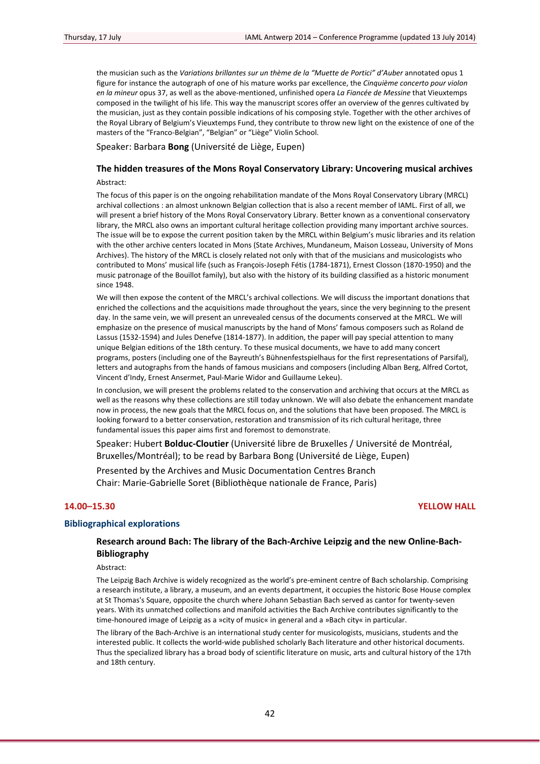the musician such as the *Variations brillantes sur un thème de la "Muette de Portici" d'Auber* annotated opus 1 figure for instance the autograph of one of his mature works par excellence, the *Cinquième concerto pour violon en la mineur* opus 37, as well as the above‐mentioned, unfinished opera *La Fiancée de Messine* that Vieuxtemps composed in the twilight of his life. This way the manuscript scores offer an overview of the genres cultivated by the musician, just as they contain possible indications of his composing style. Together with the other archives of the Royal Library of Belgium's Vieuxtemps Fund, they contribute to throw new light on the existence of one of the masters of the "Franco‐Belgian", "Belgian" or "Liège" Violin School.

Speaker: Barbara **Bong** (Université de Liège, Eupen)

# **The hidden treasures of the Mons Royal Conservatory Library: Uncovering musical archives**

## Abstract:

The focus of this paper is on the ongoing rehabilitation mandate of the Mons Royal Conservatory Library (MRCL) archival collections : an almost unknown Belgian collection that is also a recent member of IAML. First of all, we will present a brief history of the Mons Royal Conservatory Library. Better known as a conventional conservatory library, the MRCL also owns an important cultural heritage collection providing many important archive sources. The issue will be to expose the current position taken by the MRCL within Belgium's music libraries and its relation with the other archive centers located in Mons (State Archives, Mundaneum, Maison Losseau, University of Mons Archives). The history of the MRCL is closely related not only with that of the musicians and musicologists who contributed to Mons' musical life (such as François‐Joseph Fétis (1784‐1871), Ernest Closson (1870‐1950) and the music patronage of the Bouillot family), but also with the history of its building classified as a historic monument since 1948.

We will then expose the content of the MRCL's archival collections. We will discuss the important donations that enriched the collections and the acquisitions made throughout the years, since the very beginning to the present day. In the same vein, we will present an unrevealed census of the documents conserved at the MRCL. We will emphasize on the presence of musical manuscripts by the hand of Mons' famous composers such as Roland de Lassus (1532‐1594) and Jules Denefve (1814‐1877). In addition, the paper will pay special attention to many unique Belgian editions of the 18th century. To these musical documents, we have to add many concert programs, posters (including one of the Bayreuth's Bühnenfestspielhaus for the first representations of Parsifal), letters and autographs from the hands of famous musicians and composers (including Alban Berg, Alfred Cortot, Vincent d'Indy, Ernest Ansermet, Paul‐Marie Widor and Guillaume Lekeu).

In conclusion, we will present the problems related to the conservation and archiving that occurs at the MRCL as well as the reasons why these collections are still today unknown. We will also debate the enhancement mandate now in process, the new goals that the MRCL focus on, and the solutions that have been proposed. The MRCL is looking forward to a better conservation, restoration and transmission of its rich cultural heritage, three fundamental issues this paper aims first and foremost to demonstrate.

Speaker: Hubert **Bolduc‐Cloutier** (Université libre de Bruxelles / Université de Montréal, Bruxelles/Montréal); to be read by Barbara Bong (Université de Liège, Eupen)

Presented by the Archives and Music Documentation Centres Branch Chair: Marie‐Gabrielle Soret (Bibliothèque nationale de France, Paris)

#### **14.00–15.30 YELLOW HALL**

## **Bibliographical explorations**

## **Research around Bach: The library of the Bach‐Archive Leipzig and the new Online‐Bach‐ Bibliography**

Abstract:

The Leipzig Bach Archive is widely recognized as the world's pre-eminent centre of Bach scholarship. Comprising a research institute, a library, a museum, and an events department, it occupies the historic Bose House complex at St Thomas's Square, opposite the church where Johann Sebastian Bach served as cantor for twenty‐seven years. With its unmatched collections and manifold activities the Bach Archive contributes significantly to the time-honoured image of Leipzig as a »city of music« in general and a »Bach city« in particular.

The library of the Bach‐Archive is an international study center for musicologists, musicians, students and the interested public. It collects the world‐wide published scholarly Bach literature and other historical documents. Thus the specialized library has a broad body of scientific literature on music, arts and cultural history of the 17th and 18th century.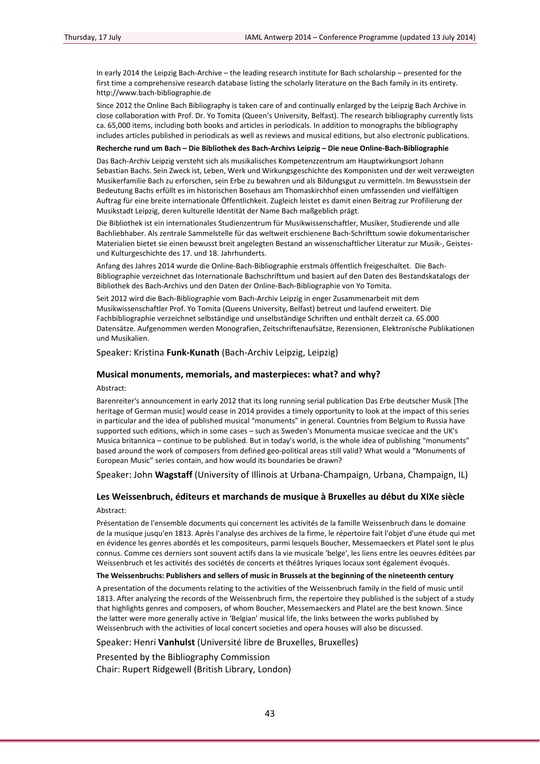In early 2014 the Leipzig Bach‐Archive – the leading research institute for Bach scholarship – presented for the first time a comprehensive research database listing the scholarly literature on the Bach family in its entirety. http://www.bach‐bibliographie.de

Since 2012 the Online Bach Bibliography is taken care of and continually enlarged by the Leipzig Bach Archive in close collaboration with Prof. Dr. Yo Tomita (Queen's University, Belfast). The research bibliography currently lists ca. 65,000 items, including both books and articles in periodicals. In addition to monographs the bibliography includes articles published in periodicals as well as reviews and musical editions, but also electronic publications.

## Recherche rund um Bach - Die Bibliothek des Bach-Archivs Leipzig - Die neue Online-Bach-Bibliographie

Das Bach‐Archiv Leipzig versteht sich als musikalisches Kompetenzzentrum am Hauptwirkungsort Johann Sebastian Bachs. Sein Zweck ist, Leben, Werk und Wirkungsgeschichte des Komponisten und der weit verzweigten Musikerfamilie Bach zu erforschen, sein Erbe zu bewahren und als Bildungsgut zu vermitteln. Im Bewusstsein der Bedeutung Bachs erfüllt es im historischen Bosehaus am Thomaskirchhof einen umfassenden und vielfältigen Auftrag für eine breite internationale Öffentlichkeit. Zugleich leistet es damit einen Beitrag zur Profilierung der Musikstadt Leipzig, deren kulturelle Identität der Name Bach maßgeblich prägt.

Die Bibliothek ist ein internationales Studienzentrum für Musikwissenschaftler, Musiker, Studierende und alle Bachliebhaber. Als zentrale Sammelstelle für das weltweit erschienene Bach‐Schrifttum sowie dokumentarischer Materialien bietet sie einen bewusst breit angelegten Bestand an wissenschaftlicher Literatur zur Musik‐, Geistes‐ und Kulturgeschichte des 17. und 18. Jahrhunderts.

Anfang des Jahres 2014 wurde die Online‐Bach‐Bibliographie erstmals öffentlich freigeschaltet. Die Bach‐ Bibliographie verzeichnet das Internationale Bachschrifttum und basiert auf den Daten des Bestandskatalogs der Bibliothek des Bach‐Archivs und den Daten der Online‐Bach‐Bibliographie von Yo Tomita.

Seit 2012 wird die Bach‐Bibliographie vom Bach‐Archiv Leipzig in enger Zusammenarbeit mit dem Musikwissenschaftler Prof. Yo Tomita (Queens University, Belfast) betreut und laufend erweitert. Die Fachbibliographie verzeichnet selbständige und unselbständige Schriften und enthält derzeit ca. 65.000 Datensätze. Aufgenommen werden Monografien, Zeitschriftenaufsätze, Rezensionen, Elektronische Publikationen und Musikalien.

Speaker: Kristina **Funk‐Kunath** (Bach‐Archiv Leipzig, Leipzig)

#### **Musical monuments, memorials, and masterpieces: what? and why?**

Abstract:

Barenreiter's announcement in early 2012 that its long running serial publication Das Erbe deutscher Musik [The heritage of German music] would cease in 2014 provides a timely opportunity to look at the impact of this series in particular and the idea of published musical "monuments" in general. Countries from Belgium to Russia have supported such editions, which in some cases – such as Sweden's Monumenta musicae svecicae and the UK's Musica britannica – continue to be published. But in today's world, is the whole idea of publishing "monuments" based around the work of composers from defined geo-political areas still valid? What would a "Monuments of European Music" series contain, and how would its boundaries be drawn?

Speaker: John **Wagstaff** (University of Illinois at Urbana‐Champaign, Urbana, Champaign, IL)

## **Les Weissenbruch, éditeurs et marchands de musique à Bruxelles au début du XIXe siècle** Abstract:

Présentation de l'ensemble documents qui concernent les activités de la famille Weissenbruch dans le domaine de la musique jusqu'en 1813. Après l'analyse des archives de la firme, le répertoire fait l'objet d'une étude qui met en évidence les genres abordés et les compositeurs, parmi lesquels Boucher, Messemaeckers et Platel sont le plus connus. Comme ces derniers sont souvent actifs dans la vie musicale 'belge', les liens entre les oeuvres éditées par Weissenbruch et les activités des sociétés de concerts et théâtres lyriques locaux sont également évoqués.

#### **The Weissenbruchs: Publishers and sellers of music in Brussels at the beginning of the nineteenth century**

A presentation of the documents relating to the activities of the Weissenbruch family in the field of music until 1813. After analyzing the records of the Weissenbruch firm, the repertoire they published is the subject of a study that highlights genres and composers, of whom Boucher, Messemaeckers and Platel are the best known. Since the latter were more generally active in 'Belgian' musical life, the links between the works published by Weissenbruch with the activities of local concert societies and opera houses will also be discussed.

Speaker: Henri **Vanhulst** (Université libre de Bruxelles, Bruxelles)

Presented by the Bibliography Commission Chair: Rupert Ridgewell (British Library, London)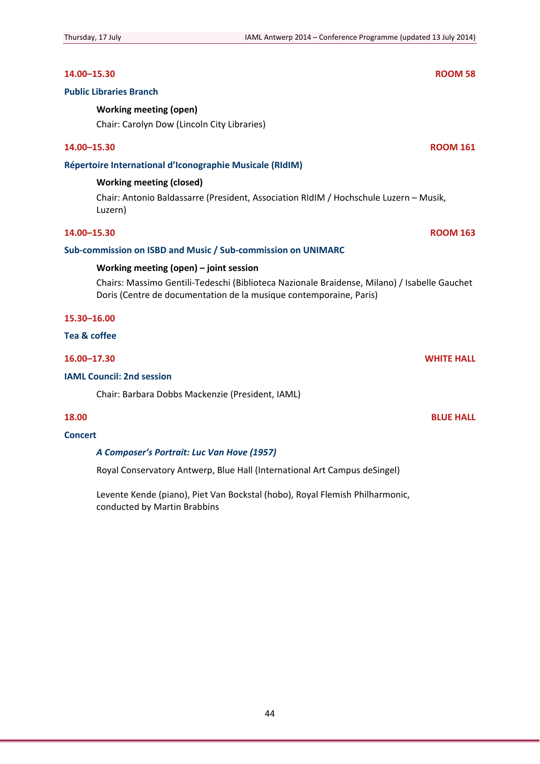## **14.00–15.30 ROOM 58**

## **Public Libraries Branch**

## **Working meeting (open)**

Chair: Carolyn Dow (Lincoln City Libraries)

## **14.00–15.30 ROOM 161**

## **Répertoire International d'Iconographie Musicale (RIdIM)**

## **Working meeting (closed)**

Chair: Antonio Baldassarre (President, Association RIdIM / Hochschule Luzern – Musik, Luzern)

## **14.00–15.30 ROOM 163**

## **Sub‐commission on ISBD and Music / Sub‐commission on UNIMARC**

## **Working meeting (open) – joint session**

Chairs: Massimo Gentili‐Tedeschi (Biblioteca Nazionale Braidense, Milano) / Isabelle Gauchet Doris (Centre de documentation de la musique contemporaine, Paris)

## **15.30–16.00**

## **Tea & coffee**

## **16.00–17.30 WHITE HALL**

## **IAML Council: 2nd session**

Chair: Barbara Dobbs Mackenzie (President, IAML)

## **18.00 BLUE HALL**

## **Concert**

## *A Composer's Portrait: Luc Van Hove (1957)*

Royal Conservatory Antwerp, Blue Hall (International Art Campus deSingel)

Levente Kende (piano), Piet Van Bockstal (hobo), Royal Flemish Philharmonic, conducted by Martin Brabbins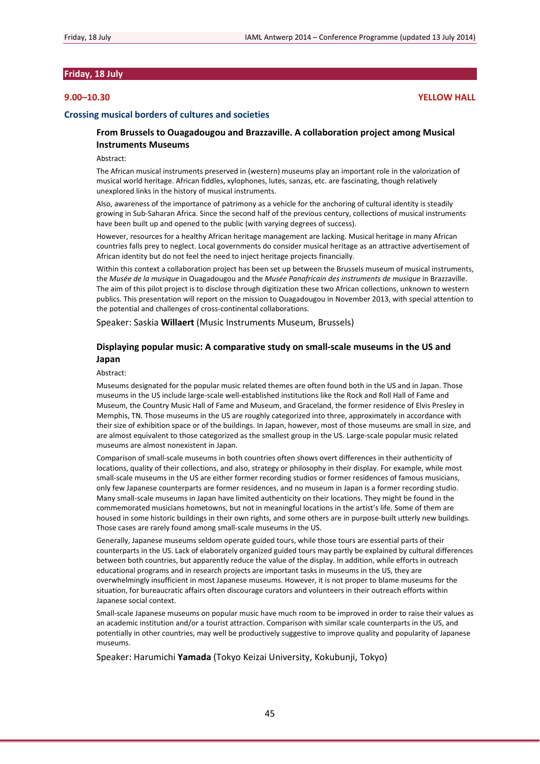## **Friday, 18 July**

## **9.00–10.30 YELLOW HALL**

#### **Crossing musical borders of cultures and societies**

## **From Brussels to Ouagadougou and Brazzaville. A collaboration project among Musical Instruments Museums**

Abstract:

The African musical instruments preserved in (western) museums play an important role in the valorization of musical world heritage. African fiddles, xylophones, lutes, sanzas, etc. are fascinating, though relatively unexplored links in the history of musical instruments.

Also, awareness of the importance of patrimony as a vehicle for the anchoring of cultural identity is steadily growing in Sub‐Saharan Africa. Since the second half of the previous century, collections of musical instruments have been built up and opened to the public (with varying degrees of success).

However, resources for a healthy African heritage management are lacking. Musical heritage in many African countries falls prey to neglect. Local governments do consider musical heritage as an attractive advertisement of African identity but do not feel the need to inject heritage projects financially.

Within this context a collaboration project has been set up between the Brussels museum of musical instruments, the *Musée de la musique* in Ouagadougou and the *Musée Panafricain des instruments de musique* in Brazzaville. The aim of this pilot project is to disclose through digitization these two African collections, unknown to western publics. This presentation will report on the mission to Ouagadougou in November 2013, with special attention to the potential and challenges of cross‐continental collaborations.

Speaker: Saskia **Willaert** (Music Instruments Museum, Brussels)

## **Displaying popular music: A comparative study on small‐scale museums in the US and Japan**

#### Abstract:

Museums designated for the popular music related themes are often found both in the US and in Japan. Those museums in the US include large‐scale well‐established institutions like the Rock and Roll Hall of Fame and Museum, the Country Music Hall of Fame and Museum, and Graceland, the former residence of Elvis Presley in Memphis, TN. Those museums in the US are roughly categorized into three, approximately in accordance with their size of exhibition space or of the buildings. In Japan, however, most of those museums are small in size, and are almost equivalent to those categorized as the smallest group in the US. Large-scale popular music related museums are almost nonexistent in Japan.

Comparison of small‐scale museums in both countries often shows overt differences in their authenticity of locations, quality of their collections, and also, strategy or philosophy in their display. For example, while most small-scale museums in the US are either former recording studios or former residences of famous musicians, only few Japanese counterparts are former residences, and no museum in Japan is a former recording studio. Many small‐scale museums in Japan have limited authenticity on their locations. They might be found in the commemorated musicians hometowns, but not in meaningful locations in the artist's life. Some of them are housed in some historic buildings in their own rights, and some others are in purpose-built utterly new buildings. Those cases are rarely found among small‐scale museums in the US.

Generally, Japanese museums seldom operate guided tours, while those tours are essential parts of their counterparts in the US. Lack of elaborately organized guided tours may partly be explained by cultural differences between both countries, but apparently reduce the value of the display. In addition, while efforts in outreach educational programs and in research projects are important tasks in museums in the US, they are overwhelmingly insufficient in most Japanese museums. However, it is not proper to blame museums for the situation, for bureaucratic affairs often discourage curators and volunteers in their outreach efforts within Japanese social context.

Small-scale Japanese museums on popular music have much room to be improved in order to raise their values as an academic institution and/or a tourist attraction. Comparison with similar scale counterparts in the US, and potentially in other countries, may well be productively suggestive to improve quality and popularity of Japanese museums.

Speaker: Harumichi **Yamada** (Tokyo Keizai University, Kokubunji, Tokyo)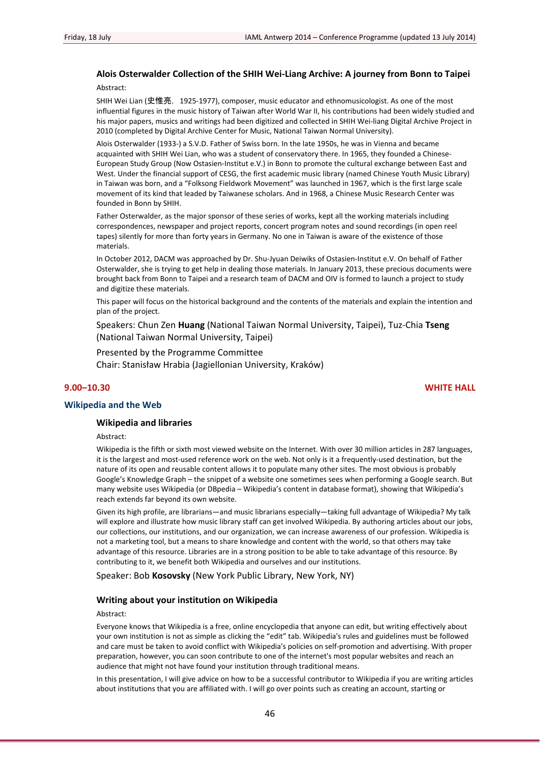## **Alois Osterwalder Collection of the SHIH Wei‐Liang Archive: A journey from Bonn to Taipei**

Abstract:

SHIH Wei Lian (史惟亮, 1925-1977), composer, music educator and ethnomusicologist. As one of the most influential figures in the music history of Taiwan after World War II, his contributions had been widely studied and his major papers, musics and writings had been digitized and collected in SHIH Wei-liang Digital Archive Project in 2010 (completed by Digital Archive Center for Music, National Taiwan Normal University).

Alois Osterwalder (1933‐) a S.V.D. Father of Swiss born. In the late 1950s, he was in Vienna and became acquainted with SHIH Wei Lian, who was a student of conservatory there. In 1965, they founded a Chinese-European Study Group (Now Ostasien‐Institut e.V.) in Bonn to promote the cultural exchange between East and West. Under the financial support of CESG, the first academic music library (named Chinese Youth Music Library) in Taiwan was born, and a "Folksong Fieldwork Movement" was launched in 1967, which is the first large scale movement of its kind that leaded by Taiwanese scholars. And in 1968, a Chinese Music Research Center was founded in Bonn by SHIH.

Father Osterwalder, as the major sponsor of these series of works, kept all the working materials including correspondences, newspaper and project reports, concert program notes and sound recordings (in open reel tapes) silently for more than forty years in Germany. No one in Taiwan is aware of the existence of those materials.

In October 2012, DACM was approached by Dr. Shu‐Jyuan Deiwiks of Ostasien‐Institut e.V. On behalf of Father Osterwalder, she is trying to get help in dealing those materials. In January 2013, these precious documents were brought back from Bonn to Taipei and a research team of DACM and OIV is formed to launch a project to study and digitize these materials.

This paper will focus on the historical background and the contents of the materials and explain the intention and plan of the project.

Speakers: Chun Zen **Huang** (National Taiwan Normal University, Taipei), Tuz‐Chia **Tseng** (National Taiwan Normal University, Taipei)

Presented by the Programme Committee Chair: Stanisław Hrabia (Jagiellonian University, Kraków)

## **9.00–10.30 WHITE HALL**

## **Wikipedia and the Web**

### **Wikipedia and libraries**

Abstract:

Wikipedia is the fifth or sixth most viewed website on the Internet. With over 30 million articles in 287 languages, it is the largest and most-used reference work on the web. Not only is it a frequently-used destination, but the nature of its open and reusable content allows it to populate many other sites. The most obvious is probably Google's Knowledge Graph – the snippet of a website one sometimes sees when performing a Google search. But many website uses Wikipedia (or DBpedia – Wikipedia's content in database format), showing that Wikipedia's reach extends far beyond its own website.

Given its high profile, are librarians—and music librarians especially—taking full advantage of Wikipedia? My talk will explore and illustrate how music library staff can get involved Wikipedia. By authoring articles about our jobs, our collections, our institutions, and our organization, we can increase awareness of our profession. Wikipedia is not a marketing tool, but a means to share knowledge and content with the world, so that others may take advantage of this resource. Libraries are in a strong position to be able to take advantage of this resource. By contributing to it, we benefit both Wikipedia and ourselves and our institutions.

Speaker: Bob **Kosovsky** (New York Public Library, New York, NY)

#### **Writing about your institution on Wikipedia**

#### Abstract:

Everyone knows that Wikipedia is a free, online encyclopedia that anyone can edit, but writing effectively about your own institution is not as simple as clicking the "edit" tab. Wikipedia's rules and guidelines must be followed and care must be taken to avoid conflict with Wikipedia's policies on self-promotion and advertising. With proper preparation, however, you can soon contribute to one of the internet's most popular websites and reach an audience that might not have found your institution through traditional means.

In this presentation, I will give advice on how to be a successful contributor to Wikipedia if you are writing articles about institutions that you are affiliated with. I will go over points such as creating an account, starting or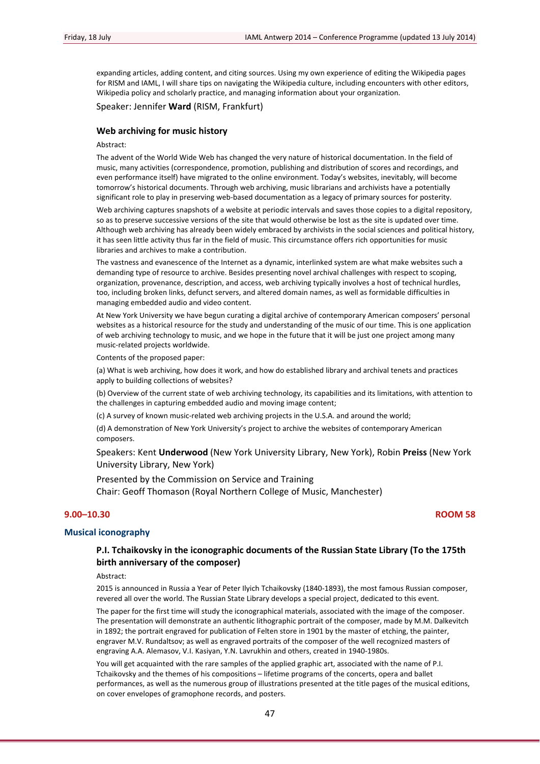expanding articles, adding content, and citing sources. Using my own experience of editing the Wikipedia pages for RISM and IAML, I will share tips on navigating the Wikipedia culture, including encounters with other editors, Wikipedia policy and scholarly practice, and managing information about your organization.

Speaker: Jennifer **Ward** (RISM, Frankfurt)

#### **Web archiving for music history**

#### Abstract:

The advent of the World Wide Web has changed the very nature of historical documentation. In the field of music, many activities (correspondence, promotion, publishing and distribution of scores and recordings, and even performance itself) have migrated to the online environment. Today's websites, inevitably, will become tomorrow's historical documents. Through web archiving, music librarians and archivists have a potentially significant role to play in preserving web-based documentation as a legacy of primary sources for posterity.

Web archiving captures snapshots of a website at periodic intervals and saves those copies to a digital repository, so as to preserve successive versions of the site that would otherwise be lost as the site is updated over time. Although web archiving has already been widely embraced by archivists in the social sciences and political history, it has seen little activity thus far in the field of music. This circumstance offers rich opportunities for music libraries and archives to make a contribution.

The vastness and evanescence of the Internet as a dynamic, interlinked system are what make websites such a demanding type of resource to archive. Besides presenting novel archival challenges with respect to scoping, organization, provenance, description, and access, web archiving typically involves a host of technical hurdles, too, including broken links, defunct servers, and altered domain names, as well as formidable difficulties in managing embedded audio and video content.

At New York University we have begun curating a digital archive of contemporary American composers' personal websites as a historical resource for the study and understanding of the music of our time. This is one application of web archiving technology to music, and we hope in the future that it will be just one project among many music‐related projects worldwide.

Contents of the proposed paper:

(a) What is web archiving, how does it work, and how do established library and archival tenets and practices apply to building collections of websites?

(b) Overview of the current state of web archiving technology, its capabilities and its limitations, with attention to the challenges in capturing embedded audio and moving image content;

(c) A survey of known music‐related web archiving projects in the U.S.A. and around the world;

(d) A demonstration of New York University's project to archive the websites of contemporary American composers.

Speakers: Kent **Underwood** (New York University Library, New York), Robin **Preiss** (New York University Library, New York)

Presented by the Commission on Service and Training Chair: Geoff Thomason (Royal Northern College of Music, Manchester)

## **9.00–10.30 ROOM 58**

## **Musical iconography**

## **P.I. Tchaikovsky in the iconographic documents of the Russian State Library (To the 175th birth anniversary of the composer)**

Abstract:

2015 is announced in Russia a Year of Peter Ilyich Tchaikovsky (1840‐1893), the most famous Russian composer, revered all over the world. The Russian State Library develops a special project, dedicated to this event.

The paper for the first time will study the iconographical materials, associated with the image of the composer. The presentation will demonstrate an authentic lithographic portrait of the composer, made by M.M. Dalkevitch in 1892; the portrait engraved for publication of Felten store in 1901 by the master of etching, the painter, engraver M.V. Rundaltsov; as well as engraved portraits of the composer of the well recognized masters of engraving A.A. Alemasov, V.I. Kasiyan, Y.N. Lavrukhin and others, created in 1940‐1980s.

You will get acquainted with the rare samples of the applied graphic art, associated with the name of P.I. Tchaikovsky and the themes of his compositions – lifetime programs of the concerts, opera and ballet performances, as well as the numerous group of illustrations presented at the title pages of the musical editions, on cover envelopes of gramophone records, and posters.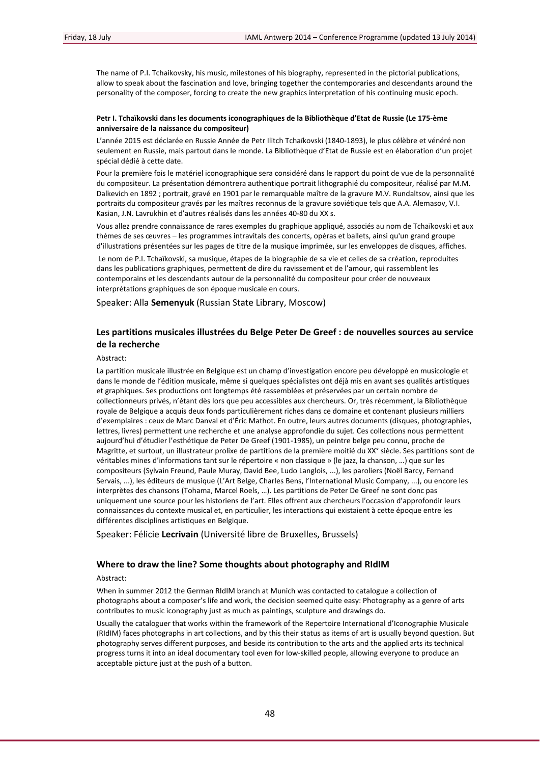The name of P.I. Tchaikovsky, his music, milestones of his biography, represented in the pictorial publications, allow to speak about the fascination and love, bringing together the contemporaries and descendants around the personality of the composer, forcing to create the new graphics interpretation of his continuing music epoch.

#### **Petr I. Tchaïkovski dans les documents iconographiques de la Bibliothèque d'Etat de Russie (Le 175‐ème anniversaire de la naissance du compositeur)**

L'année 2015 est déclarée en Russie Année de Petr Ilitch Tchaïkovski (1840‐1893), le plus célèbre et vénéré non seulement en Russie, mais partout dans le monde. La Bibliothèque d'Etat de Russie est en élaboration d'un projet spécial dédié à cette date.

Pour la première fois le matériel iconographique sera considéré dans le rapport du point de vue de la personnalité du compositeur. La présentation démontrera authentique portrait lithographié du compositeur, réalisé par M.M. Dalkevich en 1892 ; portrait, gravé en 1901 par le remarquable maître de la gravure M.V. Rundaltsov, ainsi que les portraits du compositeur gravés par les maîtres reconnus de la gravure soviétique tels que A.A. Alemasov, V.I. Kasian, J.N. Lavrukhin et d'autres réalisés dans les années 40‐80 du XX s.

Vous allez prendre connaissance de rares exemples du graphique appliqué, associés au nom de Tchaïkovski et aux thèmes de ses œuvres – les programmes intravitals des concerts, opéras et ballets, ainsi qu'un grand groupe d'illustrations présentées sur les pages de titre de la musique imprimée, sur les enveloppes de disques, affiches.

Le nom de P.I. Tchaïkovski, sa musique, étapes de la biographie de sa vie et celles de sa création, reproduites dans les publications graphiques, permettent de dire du ravissement et de l'amour, qui rassemblent les contemporains et les descendants autour de la personnalité du compositeur pour créer de nouveaux interprétations graphiques de son époque musicale en cours.

Speaker: Alla **Semenyuk** (Russian State Library, Moscow)

## **Les partitions musicales illustrées du Belge Peter De Greef : de nouvelles sources au service de la recherche**

Abstract:

La partition musicale illustrée en Belgique est un champ d'investigation encore peu développé en musicologie et dans le monde de l'édition musicale, même si quelques spécialistes ont déjà mis en avant ses qualités artistiques et graphiques. Ses productions ont longtemps été rassemblées et préservées par un certain nombre de collectionneurs privés, n'étant dès lors que peu accessibles aux chercheurs. Or, très récemment, la Bibliothèque royale de Belgique a acquis deux fonds particulièrement riches dans ce domaine et contenant plusieurs milliers d'exemplaires : ceux de Marc Danval et d'Éric Mathot. En outre, leurs autres documents (disques, photographies, lettres, livres) permettent une recherche et une analyse approfondie du sujet. Ces collections nous permettent aujourd'hui d'étudier l'esthétique de Peter De Greef (1901‐1985), un peintre belge peu connu, proche de Magritte, et surtout, un illustrateur prolixe de partitions de la première moitié du XX° siècle. Ses partitions sont de véritables mines d'informations tant sur le répertoire « non classique » (le jazz, la chanson, …) que sur les compositeurs (Sylvain Freund, Paule Muray, David Bee, Ludo Langlois, ...), les paroliers (Noël Barcy, Fernand Servais, ...), les éditeurs de musique (L'Art Belge, Charles Bens, l'International Music Company, ...), ou encore les interprètes des chansons (Tohama, Marcel Roels, …). Les partitions de Peter De Greef ne sont donc pas uniquement une source pour les historiens de l'art. Elles offrent aux chercheurs l'occasion d'approfondir leurs connaissances du contexte musical et, en particulier, les interactions qui existaient à cette époque entre les différentes disciplines artistiques en Belgique.

Speaker: Félicie **Lecrivain** (Université libre de Bruxelles, Brussels)

### **Where to draw the line? Some thoughts about photography and RIdIM**

#### Abstract:

When in summer 2012 the German RIdIM branch at Munich was contacted to catalogue a collection of photographs about a composer's life and work, the decision seemed quite easy: Photography as a genre of arts contributes to music iconography just as much as paintings, sculpture and drawings do.

Usually the cataloguer that works within the framework of the Repertoire International d'Iconographie Musicale (RIdIM) faces photographs in art collections, and by this their status as items of art is usually beyond question. But photography serves different purposes, and beside its contribution to the arts and the applied arts its technical progress turns it into an ideal documentary tool even for low‐skilled people, allowing everyone to produce an acceptable picture just at the push of a button.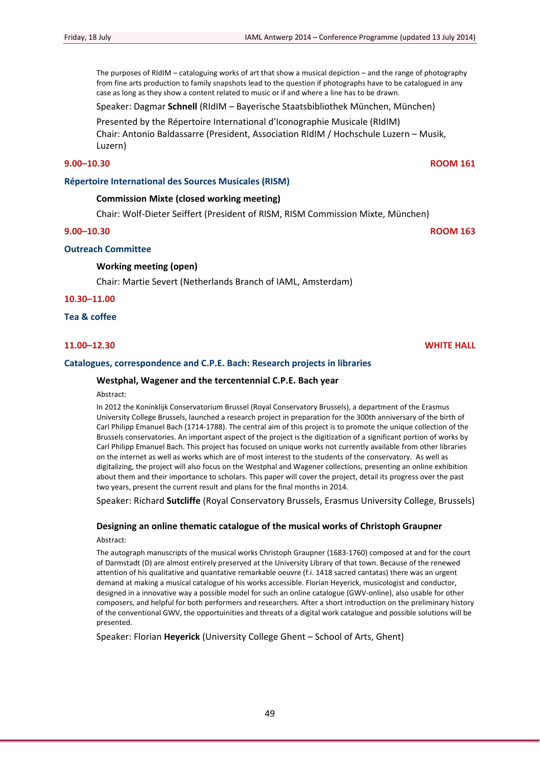The purposes of RIdIM – cataloguing works of art that show a musical depiction – and the range of photography from fine arts production to family snapshots lead to the question if photographs have to be catalogued in any case as long as they show a content related to music or if and where a line has to be drawn.

Speaker: Dagmar **Schnell** (RIdIM – Bayerische Staatsbibliothek München, München)

Presented by the Répertoire International d'Iconographie Musicale (RIdIM) Chair: Antonio Baldassarre (President, Association RIdIM / Hochschule Luzern – Musik, Luzern)

## **9.00–10.30 ROOM 161**

## **Répertoire International des Sources Musicales (RISM)**

## **Commission Mixte (closed working meeting)**

Chair: Wolf‐Dieter Seiffert (President of RISM, RISM Commission Mixte, München)

## **9.00–10.30 ROOM 163**

## **Outreach Committee**

## **Working meeting (open)**

Chair: Martie Severt (Netherlands Branch of IAML, Amsterdam)

**10.30–11.00**

**Tea & coffee**

## **Catalogues, correspondence and C.P.E. Bach: Research projects in libraries**

## **Westphal, Wagener and the tercentennial C.P.E. Bach year**

#### Abstract:

In 2012 the Koninklijk Conservatorium Brussel (Royal Conservatory Brussels), a department of the Erasmus University College Brussels, launched a research project in preparation for the 300th anniversary of the birth of Carl Philipp Emanuel Bach (1714‐1788). The central aim of this project is to promote the unique collection of the Brussels conservatories. An important aspect of the project is the digitization of a significant portion of works by Carl Philipp Emanuel Bach. This project has focused on unique works not currently available from other libraries on the internet as well as works which are of most interest to the students of the conservatory. As well as digitalizing, the project will also focus on the Westphal and Wagener collections, presenting an online exhibition about them and their importance to scholars. This paper will cover the project, detail its progress over the past two years, present the current result and plans for the final months in 2014.

Speaker: Richard **Sutcliffe** (Royal Conservatory Brussels, Erasmus University College, Brussels)

# **Designing an online thematic catalogue of the musical works of Christoph Graupner**

Abstract:

The autograph manuscripts of the musical works Christoph Graupner (1683‐1760) composed at and for the court of Darmstadt (D) are almost entirely preserved at the University Library of that town. Because of the renewed attention of his qualitative and quantative remarkable oeuvre (f.i. 1418 sacred cantatas) there was an urgent demand at making a musical catalogue of his works accessible. Florian Heyerick, musicologist and conductor, designed in a innovative way a possible model for such an online catalogue (GWV‐online), also usable for other composers, and helpful for both performers and researchers. After a short introduction on the preliminary history of the conventional GWV, the opportuinities and threats of a digital work catalogue and possible solutions will be presented.

Speaker: Florian **Heyerick** (University College Ghent – School of Arts, Ghent)

**11.00–12.30 WHITE HALL**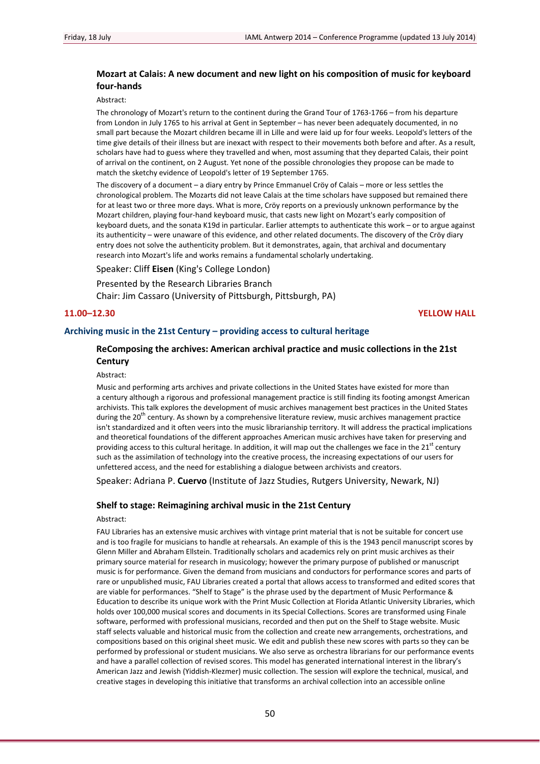## **Mozart at Calais: A new document and new light on his composition of music for keyboard four‐hands**

Abstract:

The chronology of Mozart's return to the continent during the Grand Tour of 1763-1766 – from his departure from London in July 1765 to his arrival at Gent in September – has never been adequately documented, in no small part because the Mozart children became ill in Lille and were laid up for four weeks. Leopold's letters of the time give details of their illness but are inexact with respect to their movements both before and after. As a result, scholars have had to guess where they travelled and when, most assuming that they departed Calais, their point of arrival on the continent, on 2 August. Yet none of the possible chronologies they propose can be made to match the sketchy evidence of Leopold's letter of 19 September 1765.

The discovery of a document – a diary entry by Prince Emmanuel Cröy of Calais – more or less settles the chronological problem. The Mozarts did not leave Calais at the time scholars have supposed but remained there for at least two or three more days. What is more, Cröy reports on a previously unknown performance by the Mozart children, playing four‐hand keyboard music, that casts new light on Mozart's early composition of keyboard duets, and the sonata K19d in particular. Earlier attempts to authenticate this work – or to argue against its authenticity – were unaware of this evidence, and other related documents. The discovery of the Cröy diary entry does not solve the authenticity problem. But it demonstrates, again, that archival and documentary research into Mozart's life and works remains a fundamental scholarly undertaking.

Speaker: Cliff **Eisen** (King's College London)

Presented by the Research Libraries Branch

Chair: Jim Cassaro (University of Pittsburgh, Pittsburgh, PA)

**11.00–12.30 YELLOW HALL**

## **Archiving music in the 21st Century – providing access to cultural heritage**

## **ReComposing the archives: American archival practice and music collections in the 21st Century**

Abstract:

Music and performing arts archives and private collections in the United States have existed for more than a century although a rigorous and professional management practice is still finding its footing amongst American archivists. This talk explores the development of music archives management best practices in the United States during the 20<sup>th</sup> century. As shown by a comprehensive literature review, music archives management practice isn't standardized and it often veers into the music librarianship territory. It will address the practical implications and theoretical foundations of the different approaches American music archives have taken for preserving and providing access to this cultural heritage. In addition, it will map out the challenges we face in the  $21<sup>st</sup>$  century such as the assimilation of technology into the creative process, the increasing expectations of our users for unfettered access, and the need for establishing a dialogue between archivists and creators.

Speaker: Adriana P. **Cuervo** (Institute of Jazz Studies, Rutgers University, Newark, NJ)

## **Shelf to stage: Reimagining archival music in the 21st Century**

#### Abstract:

FAU Libraries has an extensive music archives with vintage print material that is not be suitable for concert use and is too fragile for musicians to handle at rehearsals. An example of this is the 1943 pencil manuscript scores by Glenn Miller and Abraham Ellstein. Traditionally scholars and academics rely on print music archives as their primary source material for research in musicology; however the primary purpose of published or manuscript music is for performance. Given the demand from musicians and conductors for performance scores and parts of rare or unpublished music, FAU Libraries created a portal that allows access to transformed and edited scores that are viable for performances. "Shelf to Stage" is the phrase used by the department of Music Performance & Education to describe its unique work with the Print Music Collection at Florida Atlantic University Libraries, which holds over 100,000 musical scores and documents in its Special Collections. Scores are transformed using Finale software, performed with professional musicians, recorded and then put on the Shelf to Stage website. Music staff selects valuable and historical music from the collection and create new arrangements, orchestrations, and compositions based on this original sheet music. We edit and publish these new scores with parts so they can be performed by professional or student musicians. We also serve as orchestra librarians for our performance events and have a parallel collection of revised scores. This model has generated international interest in the library's American Jazz and Jewish (Yiddish‐Klezmer) music collection. The session will explore the technical, musical, and creative stages in developing this initiative that transforms an archival collection into an accessible online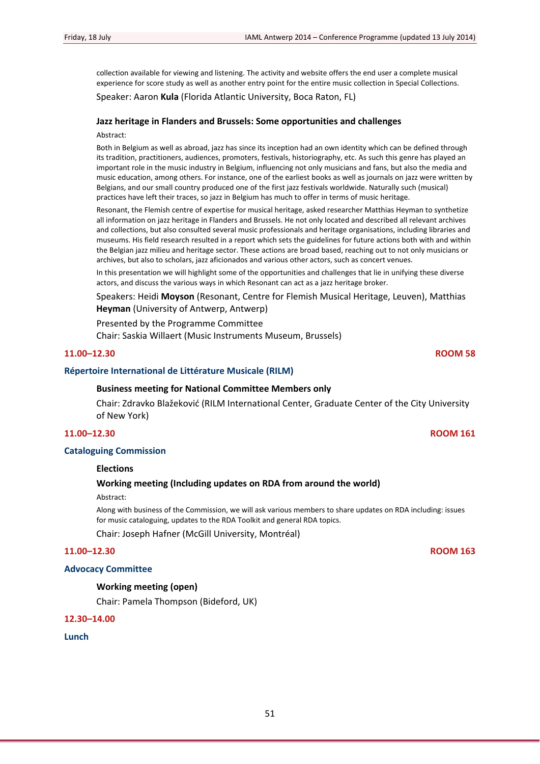collection available for viewing and listening. The activity and website offers the end user a complete musical experience for score study as well as another entry point for the entire music collection in Special Collections.

## Speaker: Aaron **Kula** (Florida Atlantic University, Boca Raton, FL)

## **Jazz heritage in Flanders and Brussels: Some opportunities and challenges**

#### Abstract:

Both in Belgium as well as abroad, jazz has since its inception had an own identity which can be defined through its tradition, practitioners, audiences, promoters, festivals, historiography, etc. As such this genre has played an important role in the music industry in Belgium, influencing not only musicians and fans, but also the media and music education, among others. For instance, one of the earliest books as well as journals on jazz were written by Belgians, and our small country produced one of the first jazz festivals worldwide. Naturally such (musical) practices have left their traces, so jazz in Belgium has much to offer in terms of music heritage.

Resonant, the Flemish centre of expertise for musical heritage, asked researcher Matthias Heyman to synthetize all information on jazz heritage in Flanders and Brussels. He not only located and described all relevant archives and collections, but also consulted several music professionals and heritage organisations, including libraries and museums. His field research resulted in a report which sets the guidelines for future actions both with and within the Belgian jazz milieu and heritage sector. These actions are broad based, reaching out to not only musicians or archives, but also to scholars, jazz aficionados and various other actors, such as concert venues.

In this presentation we will highlight some of the opportunities and challenges that lie in unifying these diverse actors, and discuss the various ways in which Resonant can act as a jazz heritage broker.

Speakers: Heidi **Moyson** (Resonant, Centre for Flemish Musical Heritage, Leuven), Matthias **Heyman** (University of Antwerp, Antwerp)

Presented by the Programme Committee

Chair: Saskia Willaert (Music Instruments Museum, Brussels)

## **11.00–12.30 ROOM 58**

## **Répertoire International de Littérature Musicale (RILM)**

### **Business meeting for National Committee Members only**

Chair: Zdravko Blažeković (RILM International Center, Graduate Center of the City University of New York)

## **11.00–12.30 ROOM 161**

## **Cataloguing Commission**

### **Elections**

## **Working meeting (Including updates on RDA from around the world)**

Abstract:

Along with business of the Commission, we will ask various members to share updates on RDA including: issues for music cataloguing, updates to the RDA Toolkit and general RDA topics.

Chair: Joseph Hafner (McGill University, Montréal)

## **11.00–12.30 ROOM 163**

### **Advocacy Committee**

## **Working meeting (open)**

Chair: Pamela Thompson (Bideford, UK)

## **12.30–14.00**

## **Lunch**

51